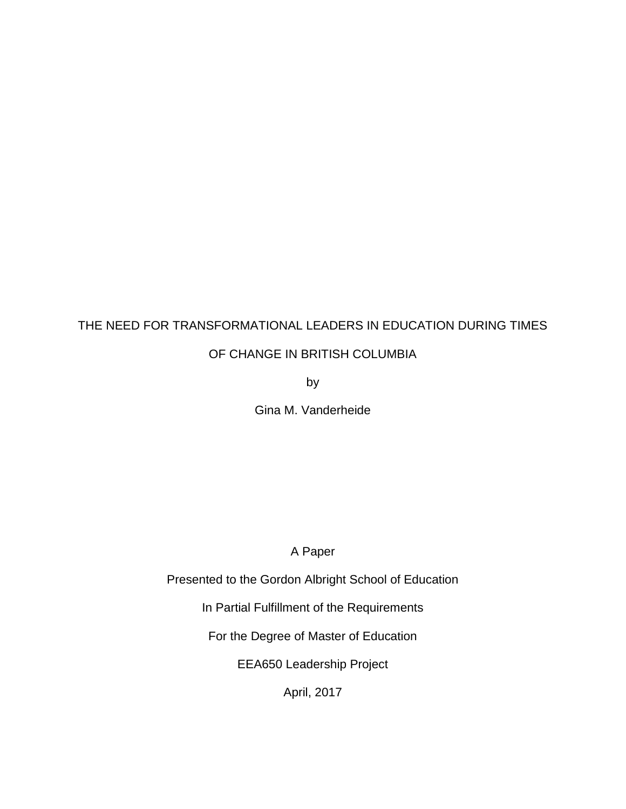# THE NEED FOR TRANSFORMATIONAL LEADERS IN EDUCATION DURING TIMES

OF CHANGE IN BRITISH COLUMBIA

by

Gina M. Vanderheide

A Paper

Presented to the Gordon Albright School of Education

In Partial Fulfillment of the Requirements

For the Degree of Master of Education

EEA650 Leadership Project

April, 2017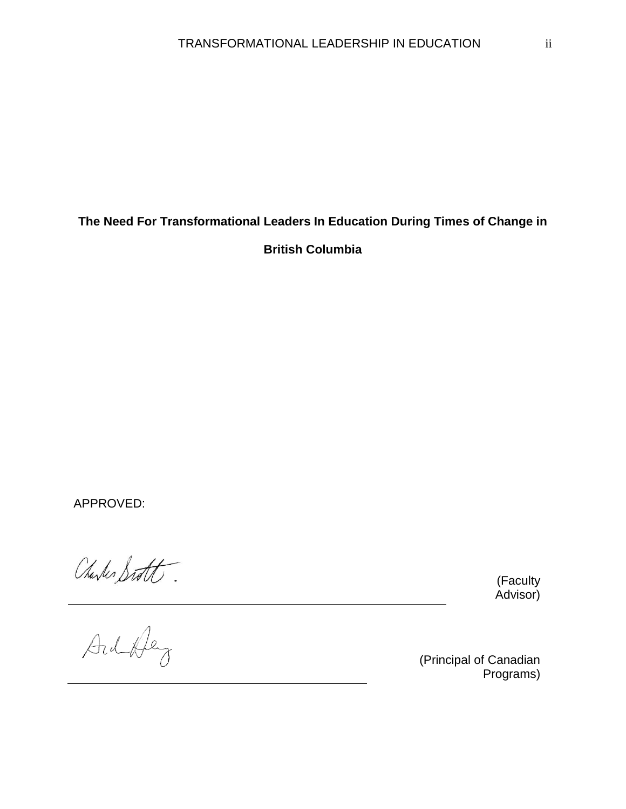# **The Need For Transformational Leaders In Education During Times of Change in British Columbia**

APPROVED:

(Faculty Advisor)

Charles Statt.

(Principal of Canadian Programs)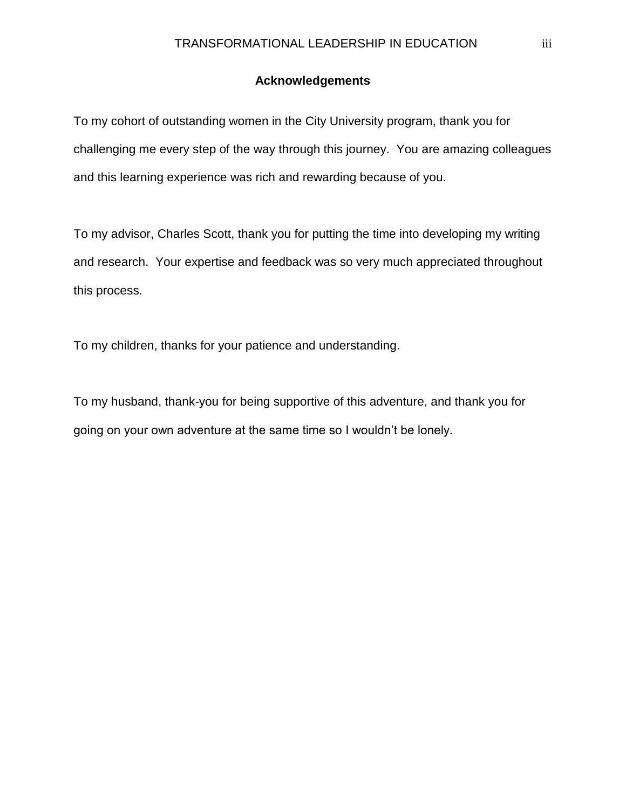### **Acknowledgements**

To my cohort of outstanding women in the City University program, thank you for challenging me every step of the way through this journey. You are amazing colleagues and this learning experience was rich and rewarding because of you.

To my advisor, Charles Scott, thank you for putting the time into developing my writing and research. Your expertise and feedback was so very much appreciated throughout this process.

To my children, thanks for your patience and understanding.

To my husband, thank-you for being supportive of this adventure, and thank you for going on your own adventure at the same time so I wouldn't be lonely.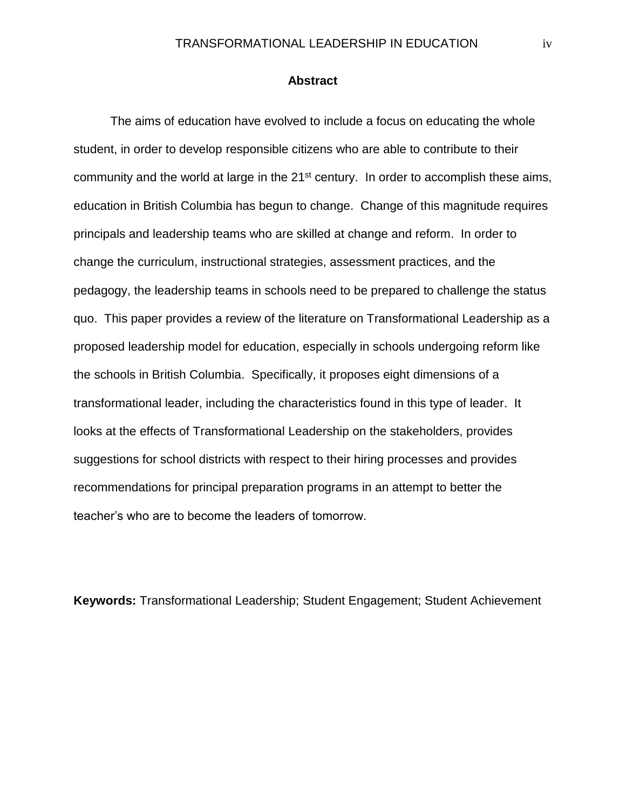#### **Abstract**

The aims of education have evolved to include a focus on educating the whole student, in order to develop responsible citizens who are able to contribute to their community and the world at large in the 21<sup>st</sup> century. In order to accomplish these aims, education in British Columbia has begun to change. Change of this magnitude requires principals and leadership teams who are skilled at change and reform. In order to change the curriculum, instructional strategies, assessment practices, and the pedagogy, the leadership teams in schools need to be prepared to challenge the status quo. This paper provides a review of the literature on Transformational Leadership as a proposed leadership model for education, especially in schools undergoing reform like the schools in British Columbia. Specifically, it proposes eight dimensions of a transformational leader, including the characteristics found in this type of leader. It looks at the effects of Transformational Leadership on the stakeholders, provides suggestions for school districts with respect to their hiring processes and provides recommendations for principal preparation programs in an attempt to better the teacher's who are to become the leaders of tomorrow.

**Keywords:** Transformational Leadership; Student Engagement; Student Achievement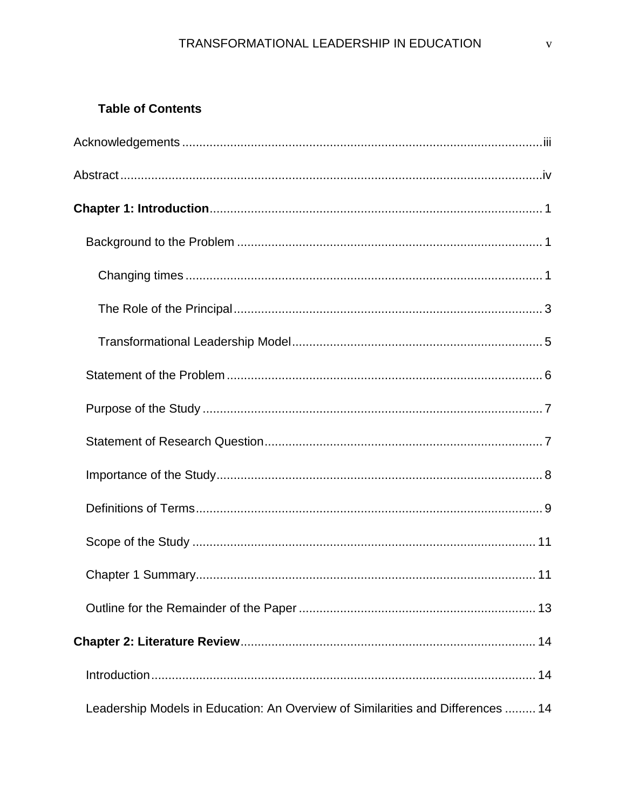### **Table of Contents**

| Leadership Models in Education: An Overview of Similarities and Differences  14 |
|---------------------------------------------------------------------------------|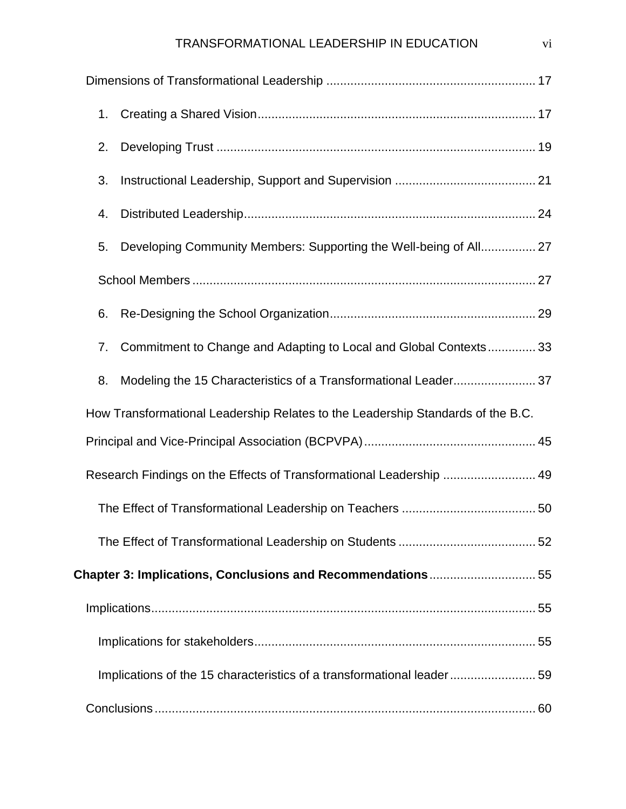### TRANSFORMATIONAL LEADERSHIP IN EDUCATION vi

| 1.                                                                              |
|---------------------------------------------------------------------------------|
| 2.                                                                              |
| 3.                                                                              |
| 4.                                                                              |
| Developing Community Members: Supporting the Well-being of All 27<br>5.         |
|                                                                                 |
| 6.                                                                              |
| Commitment to Change and Adapting to Local and Global Contexts 33<br>7.         |
| Modeling the 15 Characteristics of a Transformational Leader 37<br>8.           |
| How Transformational Leadership Relates to the Leadership Standards of the B.C. |
|                                                                                 |
| Research Findings on the Effects of Transformational Leadership  49             |
|                                                                                 |
|                                                                                 |
| Chapter 3: Implications, Conclusions and Recommendations 55                     |
|                                                                                 |
|                                                                                 |
| Implications of the 15 characteristics of a transformational leader59           |
|                                                                                 |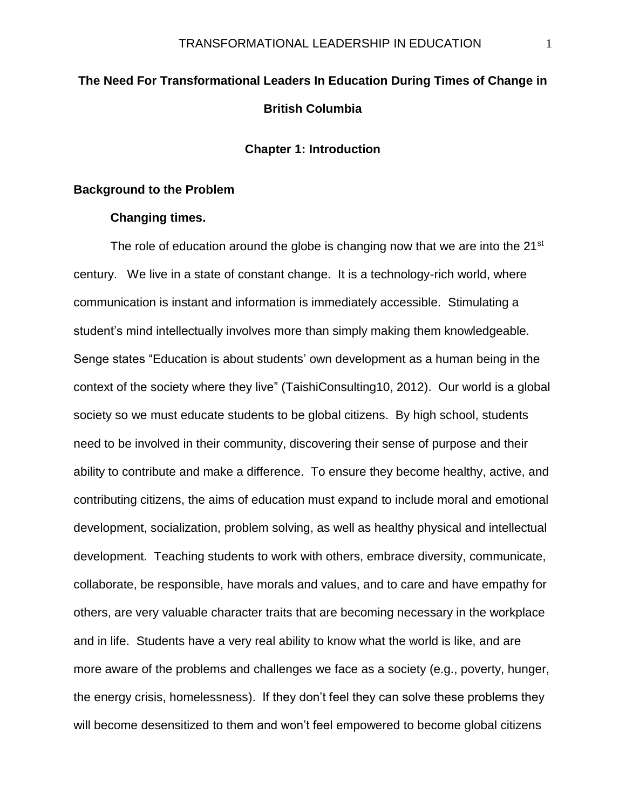# **The Need For Transformational Leaders In Education During Times of Change in British Columbia**

**Chapter 1: Introduction**

#### **Background to the Problem**

#### **Changing times.**

The role of education around the globe is changing now that we are into the 21 $\mathrm{^{st}}$ century. We live in a state of constant change. It is a technology-rich world, where communication is instant and information is immediately accessible. Stimulating a student's mind intellectually involves more than simply making them knowledgeable. Senge states "Education is about students' own development as a human being in the context of the society where they live" (TaishiConsulting10, 2012). Our world is a global society so we must educate students to be global citizens. By high school, students need to be involved in their community, discovering their sense of purpose and their ability to contribute and make a difference. To ensure they become healthy, active, and contributing citizens, the aims of education must expand to include moral and emotional development, socialization, problem solving, as well as healthy physical and intellectual development. Teaching students to work with others, embrace diversity, communicate, collaborate, be responsible, have morals and values, and to care and have empathy for others, are very valuable character traits that are becoming necessary in the workplace and in life. Students have a very real ability to know what the world is like, and are more aware of the problems and challenges we face as a society (e.g., poverty, hunger, the energy crisis, homelessness). If they don't feel they can solve these problems they will become desensitized to them and won't feel empowered to become global citizens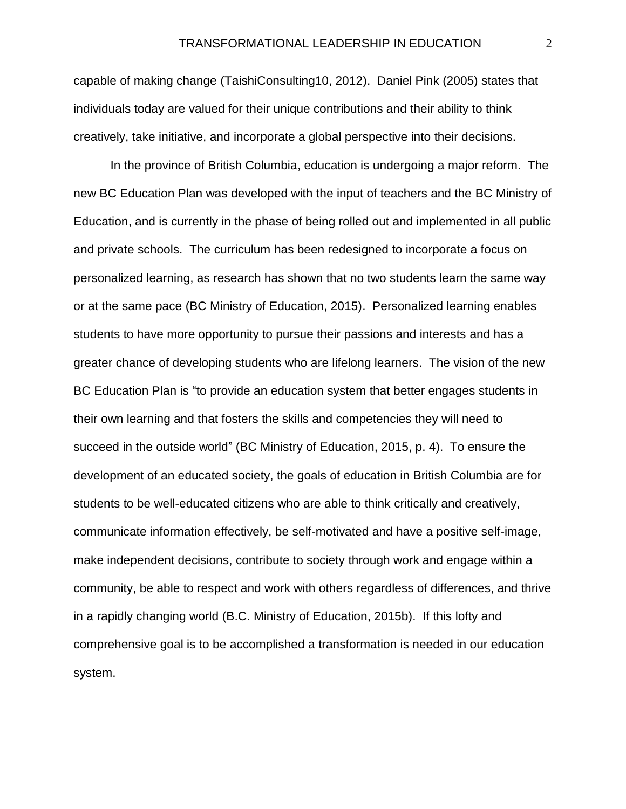capable of making change (TaishiConsulting10, 2012). Daniel Pink (2005) states that individuals today are valued for their unique contributions and their ability to think creatively, take initiative, and incorporate a global perspective into their decisions.

In the province of British Columbia, education is undergoing a major reform. The new BC Education Plan was developed with the input of teachers and the BC Ministry of Education, and is currently in the phase of being rolled out and implemented in all public and private schools. The curriculum has been redesigned to incorporate a focus on personalized learning, as research has shown that no two students learn the same way or at the same pace (BC Ministry of Education, 2015). Personalized learning enables students to have more opportunity to pursue their passions and interests and has a greater chance of developing students who are lifelong learners. The vision of the new BC Education Plan is "to provide an education system that better engages students in their own learning and that fosters the skills and competencies they will need to succeed in the outside world" (BC Ministry of Education, 2015, p. 4). To ensure the development of an educated society, the goals of education in British Columbia are for students to be well-educated citizens who are able to think critically and creatively, communicate information effectively, be self-motivated and have a positive self-image, make independent decisions, contribute to society through work and engage within a community, be able to respect and work with others regardless of differences, and thrive in a rapidly changing world (B.C. Ministry of Education, 2015b). If this lofty and comprehensive goal is to be accomplished a transformation is needed in our education system.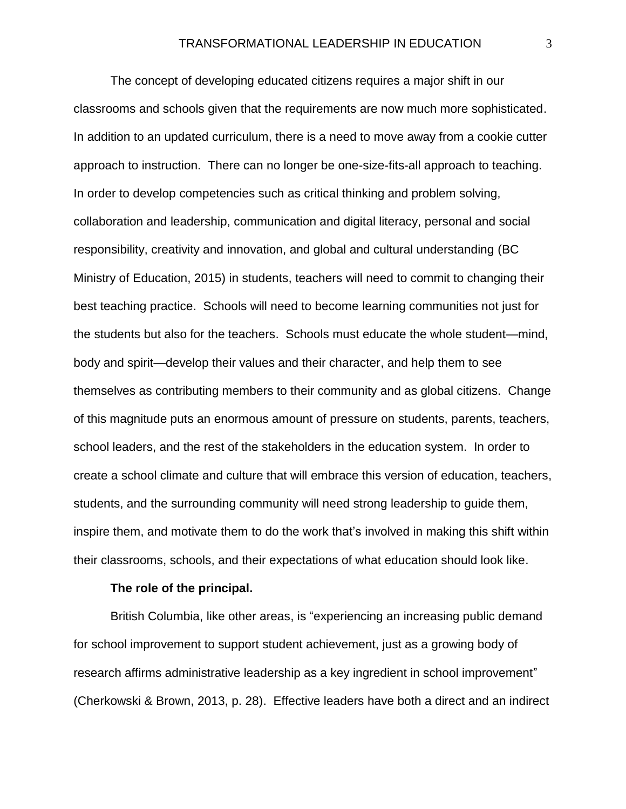The concept of developing educated citizens requires a major shift in our classrooms and schools given that the requirements are now much more sophisticated. In addition to an updated curriculum, there is a need to move away from a cookie cutter approach to instruction. There can no longer be one-size-fits-all approach to teaching. In order to develop competencies such as critical thinking and problem solving, collaboration and leadership, communication and digital literacy, personal and social responsibility, creativity and innovation, and global and cultural understanding (BC Ministry of Education, 2015) in students, teachers will need to commit to changing their best teaching practice. Schools will need to become learning communities not just for the students but also for the teachers. Schools must educate the whole student—mind, body and spirit—develop their values and their character, and help them to see themselves as contributing members to their community and as global citizens. Change of this magnitude puts an enormous amount of pressure on students, parents, teachers, school leaders, and the rest of the stakeholders in the education system. In order to create a school climate and culture that will embrace this version of education, teachers, students, and the surrounding community will need strong leadership to guide them, inspire them, and motivate them to do the work that's involved in making this shift within their classrooms, schools, and their expectations of what education should look like.

#### **The role of the principal.**

British Columbia, like other areas, is "experiencing an increasing public demand for school improvement to support student achievement, just as a growing body of research affirms administrative leadership as a key ingredient in school improvement" (Cherkowski & Brown, 2013, p. 28). Effective leaders have both a direct and an indirect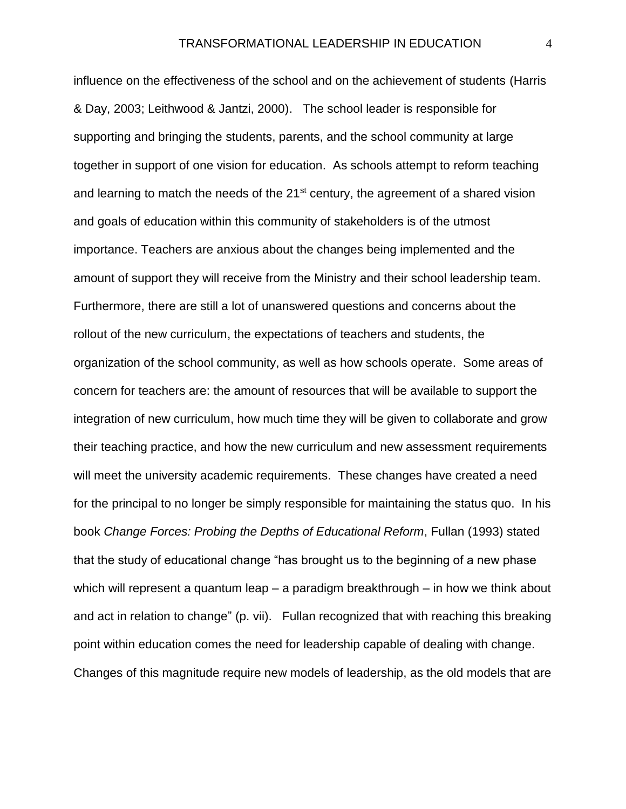influence on the effectiveness of the school and on the achievement of students (Harris & Day, 2003; Leithwood & Jantzi, 2000). The school leader is responsible for supporting and bringing the students, parents, and the school community at large together in support of one vision for education. As schools attempt to reform teaching and learning to match the needs of the 21<sup>st</sup> century, the agreement of a shared vision and goals of education within this community of stakeholders is of the utmost importance. Teachers are anxious about the changes being implemented and the amount of support they will receive from the Ministry and their school leadership team. Furthermore, there are still a lot of unanswered questions and concerns about the rollout of the new curriculum, the expectations of teachers and students, the organization of the school community, as well as how schools operate. Some areas of concern for teachers are: the amount of resources that will be available to support the integration of new curriculum, how much time they will be given to collaborate and grow their teaching practice, and how the new curriculum and new assessment requirements will meet the university academic requirements. These changes have created a need for the principal to no longer be simply responsible for maintaining the status quo. In his book *Change Forces: Probing the Depths of Educational Reform*, Fullan (1993) stated that the study of educational change "has brought us to the beginning of a new phase which will represent a quantum leap – a paradigm breakthrough – in how we think about and act in relation to change" (p. vii). Fullan recognized that with reaching this breaking point within education comes the need for leadership capable of dealing with change. Changes of this magnitude require new models of leadership, as the old models that are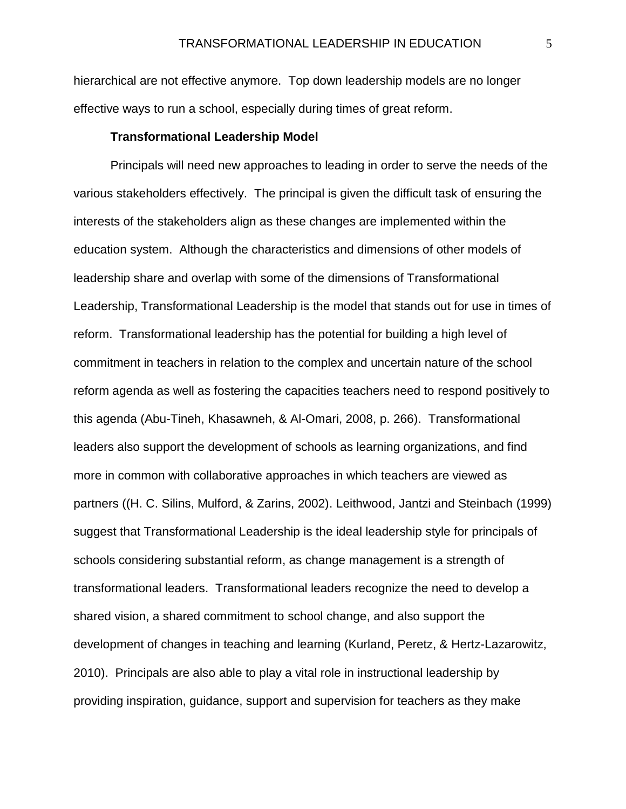hierarchical are not effective anymore. Top down leadership models are no longer effective ways to run a school, especially during times of great reform.

#### **Transformational Leadership Model**

Principals will need new approaches to leading in order to serve the needs of the various stakeholders effectively. The principal is given the difficult task of ensuring the interests of the stakeholders align as these changes are implemented within the education system. Although the characteristics and dimensions of other models of leadership share and overlap with some of the dimensions of Transformational Leadership, Transformational Leadership is the model that stands out for use in times of reform. Transformational leadership has the potential for building a high level of commitment in teachers in relation to the complex and uncertain nature of the school reform agenda as well as fostering the capacities teachers need to respond positively to this agenda (Abu-Tineh, Khasawneh, & Al-Omari, 2008, p. 266). Transformational leaders also support the development of schools as learning organizations, and find more in common with collaborative approaches in which teachers are viewed as partners ((H. C. Silins, Mulford, & Zarins, 2002). Leithwood, Jantzi and Steinbach (1999) suggest that Transformational Leadership is the ideal leadership style for principals of schools considering substantial reform, as change management is a strength of transformational leaders. Transformational leaders recognize the need to develop a shared vision, a shared commitment to school change, and also support the development of changes in teaching and learning (Kurland, Peretz, & Hertz-Lazarowitz, 2010). Principals are also able to play a vital role in instructional leadership by providing inspiration, guidance, support and supervision for teachers as they make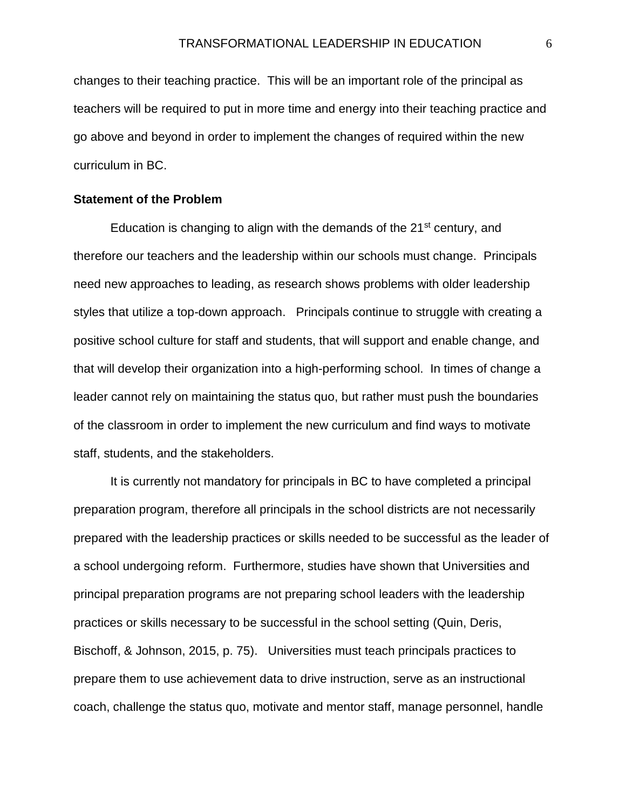changes to their teaching practice. This will be an important role of the principal as teachers will be required to put in more time and energy into their teaching practice and go above and beyond in order to implement the changes of required within the new curriculum in BC.

#### **Statement of the Problem**

Education is changing to align with the demands of the  $21<sup>st</sup>$  century, and therefore our teachers and the leadership within our schools must change. Principals need new approaches to leading, as research shows problems with older leadership styles that utilize a top-down approach. Principals continue to struggle with creating a positive school culture for staff and students, that will support and enable change, and that will develop their organization into a high-performing school. In times of change a leader cannot rely on maintaining the status quo, but rather must push the boundaries of the classroom in order to implement the new curriculum and find ways to motivate staff, students, and the stakeholders.

It is currently not mandatory for principals in BC to have completed a principal preparation program, therefore all principals in the school districts are not necessarily prepared with the leadership practices or skills needed to be successful as the leader of a school undergoing reform. Furthermore, studies have shown that Universities and principal preparation programs are not preparing school leaders with the leadership practices or skills necessary to be successful in the school setting (Quin, Deris, Bischoff, & Johnson, 2015, p. 75). Universities must teach principals practices to prepare them to use achievement data to drive instruction, serve as an instructional coach, challenge the status quo, motivate and mentor staff, manage personnel, handle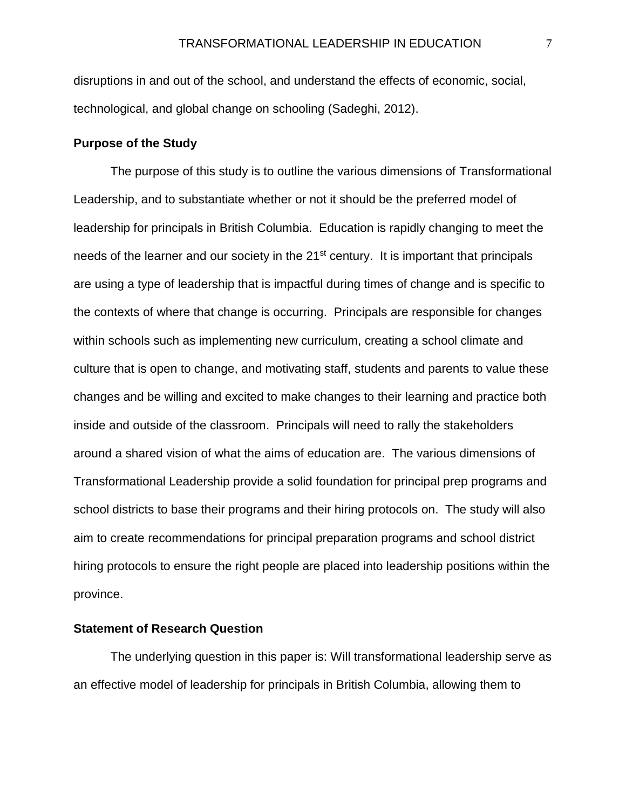disruptions in and out of the school, and understand the effects of economic, social, technological, and global change on schooling (Sadeghi, 2012).

#### **Purpose of the Study**

The purpose of this study is to outline the various dimensions of Transformational Leadership, and to substantiate whether or not it should be the preferred model of leadership for principals in British Columbia. Education is rapidly changing to meet the needs of the learner and our society in the 21<sup>st</sup> century. It is important that principals are using a type of leadership that is impactful during times of change and is specific to the contexts of where that change is occurring. Principals are responsible for changes within schools such as implementing new curriculum, creating a school climate and culture that is open to change, and motivating staff, students and parents to value these changes and be willing and excited to make changes to their learning and practice both inside and outside of the classroom. Principals will need to rally the stakeholders around a shared vision of what the aims of education are. The various dimensions of Transformational Leadership provide a solid foundation for principal prep programs and school districts to base their programs and their hiring protocols on. The study will also aim to create recommendations for principal preparation programs and school district hiring protocols to ensure the right people are placed into leadership positions within the province.

#### **Statement of Research Question**

The underlying question in this paper is: Will transformational leadership serve as an effective model of leadership for principals in British Columbia, allowing them to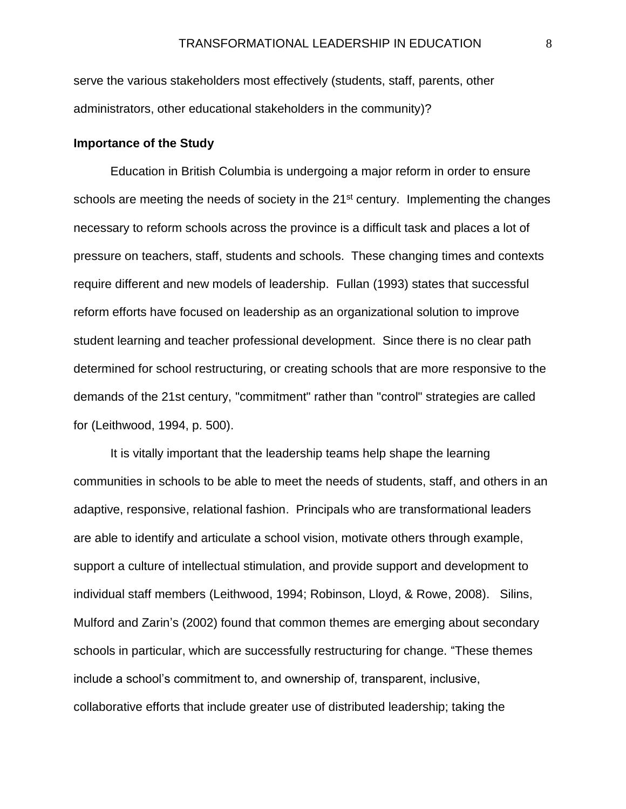serve the various stakeholders most effectively (students, staff, parents, other administrators, other educational stakeholders in the community)?

#### **Importance of the Study**

Education in British Columbia is undergoing a major reform in order to ensure schools are meeting the needs of society in the  $21<sup>st</sup>$  century. Implementing the changes necessary to reform schools across the province is a difficult task and places a lot of pressure on teachers, staff, students and schools. These changing times and contexts require different and new models of leadership. Fullan (1993) states that successful reform efforts have focused on leadership as an organizational solution to improve student learning and teacher professional development. Since there is no clear path determined for school restructuring, or creating schools that are more responsive to the demands of the 21st century, "commitment" rather than "control" strategies are called for (Leithwood, 1994, p. 500).

It is vitally important that the leadership teams help shape the learning communities in schools to be able to meet the needs of students, staff, and others in an adaptive, responsive, relational fashion. Principals who are transformational leaders are able to identify and articulate a school vision, motivate others through example, support a culture of intellectual stimulation, and provide support and development to individual staff members (Leithwood, 1994; Robinson, Lloyd, & Rowe, 2008). Silins, Mulford and Zarin's (2002) found that common themes are emerging about secondary schools in particular, which are successfully restructuring for change. "These themes include a school's commitment to, and ownership of, transparent, inclusive, collaborative efforts that include greater use of distributed leadership; taking the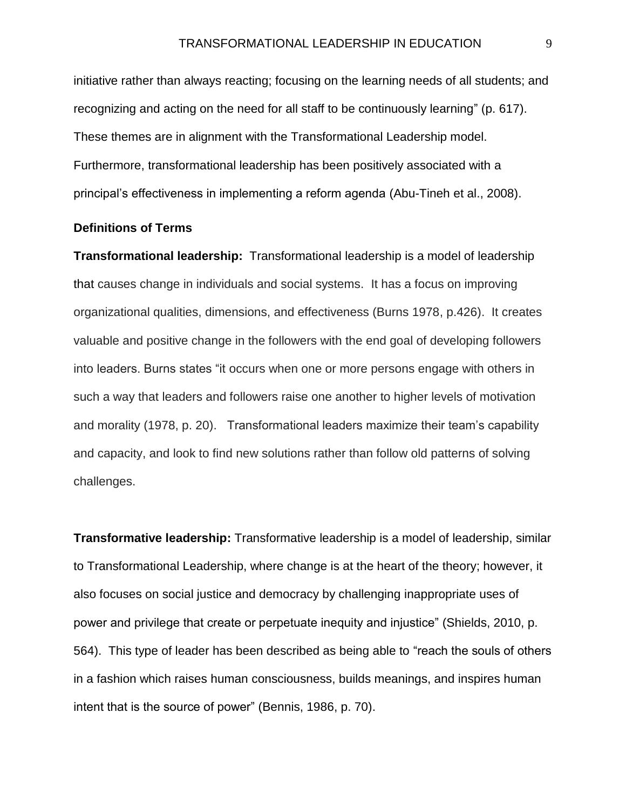initiative rather than always reacting; focusing on the learning needs of all students; and recognizing and acting on the need for all staff to be continuously learning" (p. 617). These themes are in alignment with the Transformational Leadership model. Furthermore, transformational leadership has been positively associated with a principal's effectiveness in implementing a reform agenda (Abu-Tineh et al., 2008).

#### **Definitions of Terms**

**Transformational leadership:** Transformational leadership is a model of leadership that causes change in individuals and social systems. It has a focus on improving organizational qualities, dimensions, and effectiveness (Burns 1978, p.426). It creates valuable and positive change in the followers with the end goal of developing followers into leaders. Burns states "it occurs when one or more persons engage with others in such a way that leaders and followers raise one another to higher levels of motivation and morality (1978, p. 20). Transformational leaders maximize their team's capability and capacity, and look to find new solutions rather than follow old patterns of solving challenges.

**Transformative leadership:** Transformative leadership is a model of leadership, similar to Transformational Leadership, where change is at the heart of the theory; however, it also focuses on social justice and democracy by challenging inappropriate uses of power and privilege that create or perpetuate inequity and injustice" (Shields, 2010, p. 564). This type of leader has been described as being able to "reach the souls of others in a fashion which raises human consciousness, builds meanings, and inspires human intent that is the source of power" (Bennis, 1986, p. 70).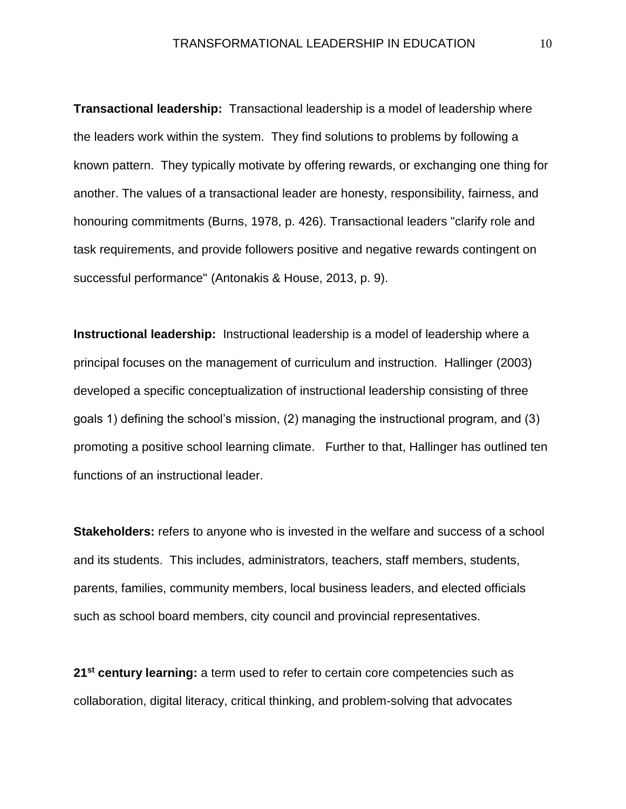**Transactional leadership:** Transactional leadership is a model of leadership where the leaders work within the system. They find solutions to problems by following a known pattern. They typically motivate by offering rewards, or exchanging one thing for another. The values of a transactional leader are honesty, responsibility, fairness, and honouring commitments (Burns, 1978, p. 426). Transactional leaders "clarify role and task requirements, and provide followers positive and negative rewards contingent on successful performance" (Antonakis & House, 2013, p. 9).

**Instructional leadership:** Instructional leadership is a model of leadership where a principal focuses on the management of curriculum and instruction. Hallinger (2003) developed a specific conceptualization of instructional leadership consisting of three goals 1) defining the school's mission, (2) managing the instructional program, and (3) promoting a positive school learning climate. Further to that, Hallinger has outlined ten functions of an instructional leader.

**Stakeholders:** refers to anyone who is invested in the welfare and success of a school and its students. This includes, administrators, teachers, staff members, students, parents, families, community members, local business leaders, and elected officials such as school board members, city council and provincial representatives.

**21st century learning:** a term used to refer to certain core competencies such as collaboration, digital literacy, critical thinking, and problem-solving that advocates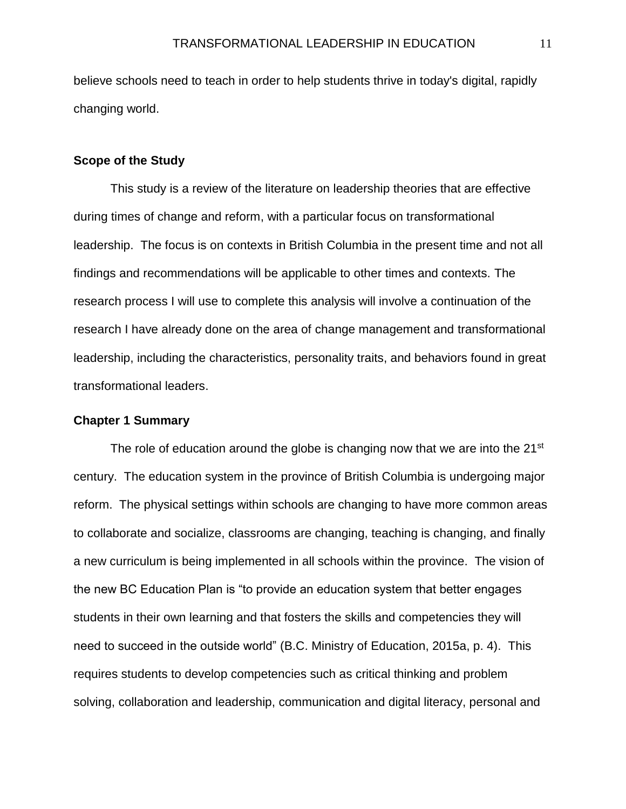believe schools need to teach in order to help students thrive in today's digital, rapidly changing world.

#### **Scope of the Study**

This study is a review of the literature on leadership theories that are effective during times of change and reform, with a particular focus on transformational leadership. The focus is on contexts in British Columbia in the present time and not all findings and recommendations will be applicable to other times and contexts. The research process I will use to complete this analysis will involve a continuation of the research I have already done on the area of change management and transformational leadership, including the characteristics, personality traits, and behaviors found in great transformational leaders.

#### **Chapter 1 Summary**

The role of education around the globe is changing now that we are into the 21<sup>st</sup> century. The education system in the province of British Columbia is undergoing major reform. The physical settings within schools are changing to have more common areas to collaborate and socialize, classrooms are changing, teaching is changing, and finally a new curriculum is being implemented in all schools within the province. The vision of the new BC Education Plan is "to provide an education system that better engages students in their own learning and that fosters the skills and competencies they will need to succeed in the outside world" (B.C. Ministry of Education, 2015a, p. 4). This requires students to develop competencies such as critical thinking and problem solving, collaboration and leadership, communication and digital literacy, personal and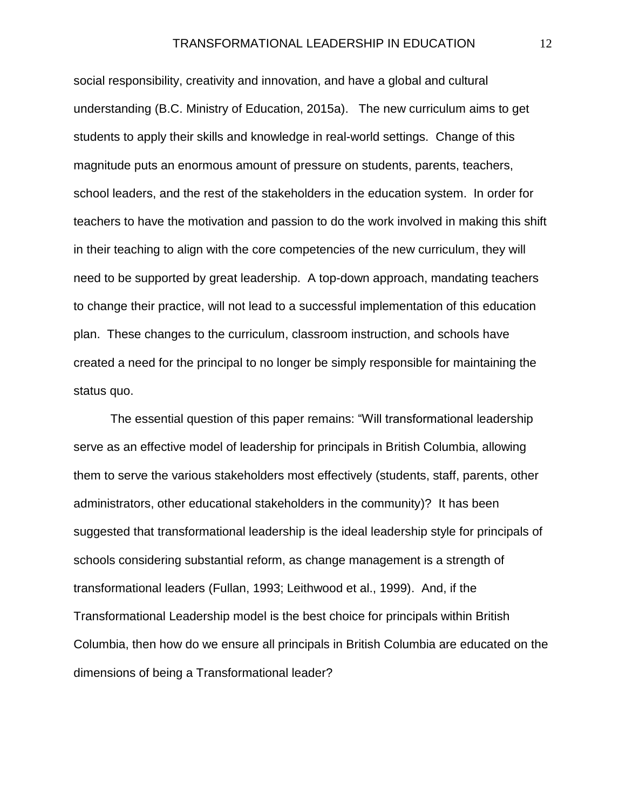social responsibility, creativity and innovation, and have a global and cultural understanding (B.C. Ministry of Education, 2015a). The new curriculum aims to get students to apply their skills and knowledge in real-world settings. Change of this magnitude puts an enormous amount of pressure on students, parents, teachers, school leaders, and the rest of the stakeholders in the education system. In order for teachers to have the motivation and passion to do the work involved in making this shift in their teaching to align with the core competencies of the new curriculum, they will need to be supported by great leadership. A top-down approach, mandating teachers to change their practice, will not lead to a successful implementation of this education plan. These changes to the curriculum, classroom instruction, and schools have created a need for the principal to no longer be simply responsible for maintaining the status quo.

The essential question of this paper remains: "Will transformational leadership serve as an effective model of leadership for principals in British Columbia, allowing them to serve the various stakeholders most effectively (students, staff, parents, other administrators, other educational stakeholders in the community)? It has been suggested that transformational leadership is the ideal leadership style for principals of schools considering substantial reform, as change management is a strength of transformational leaders (Fullan, 1993; Leithwood et al., 1999). And, if the Transformational Leadership model is the best choice for principals within British Columbia, then how do we ensure all principals in British Columbia are educated on the dimensions of being a Transformational leader?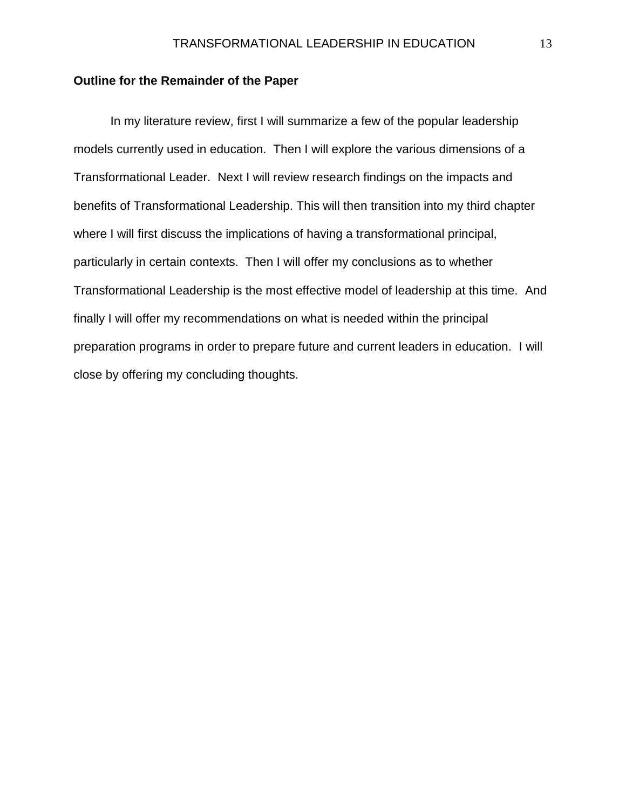#### **Outline for the Remainder of the Paper**

In my literature review, first I will summarize a few of the popular leadership models currently used in education. Then I will explore the various dimensions of a Transformational Leader. Next I will review research findings on the impacts and benefits of Transformational Leadership. This will then transition into my third chapter where I will first discuss the implications of having a transformational principal, particularly in certain contexts. Then I will offer my conclusions as to whether Transformational Leadership is the most effective model of leadership at this time. And finally I will offer my recommendations on what is needed within the principal preparation programs in order to prepare future and current leaders in education. I will close by offering my concluding thoughts.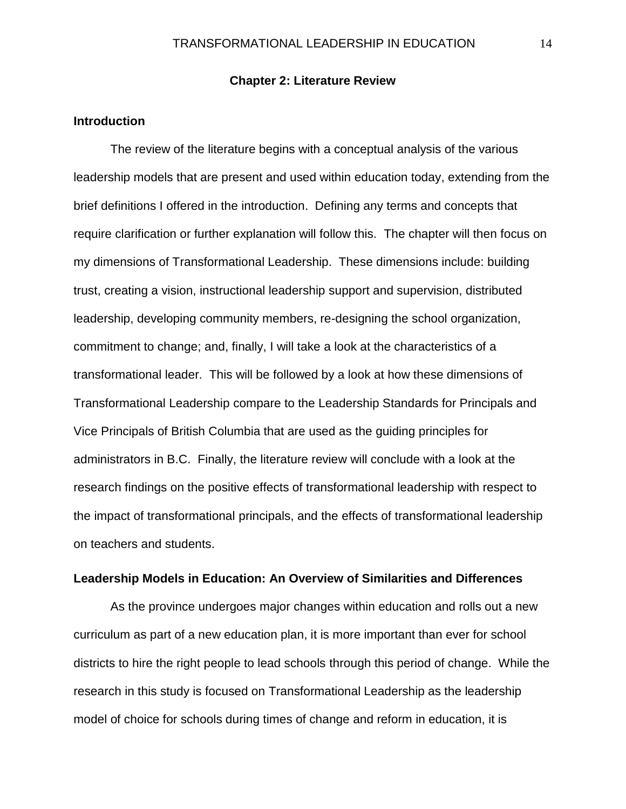#### **Chapter 2: Literature Review**

#### **Introduction**

The review of the literature begins with a conceptual analysis of the various leadership models that are present and used within education today, extending from the brief definitions I offered in the introduction. Defining any terms and concepts that require clarification or further explanation will follow this. The chapter will then focus on my dimensions of Transformational Leadership. These dimensions include: building trust, creating a vision, instructional leadership support and supervision, distributed leadership, developing community members, re-designing the school organization, commitment to change; and, finally, I will take a look at the characteristics of a transformational leader. This will be followed by a look at how these dimensions of Transformational Leadership compare to the Leadership Standards for Principals and Vice Principals of British Columbia that are used as the guiding principles for administrators in B.C. Finally, the literature review will conclude with a look at the research findings on the positive effects of transformational leadership with respect to the impact of transformational principals, and the effects of transformational leadership on teachers and students.

#### **Leadership Models in Education: An Overview of Similarities and Differences**

As the province undergoes major changes within education and rolls out a new curriculum as part of a new education plan, it is more important than ever for school districts to hire the right people to lead schools through this period of change. While the research in this study is focused on Transformational Leadership as the leadership model of choice for schools during times of change and reform in education, it is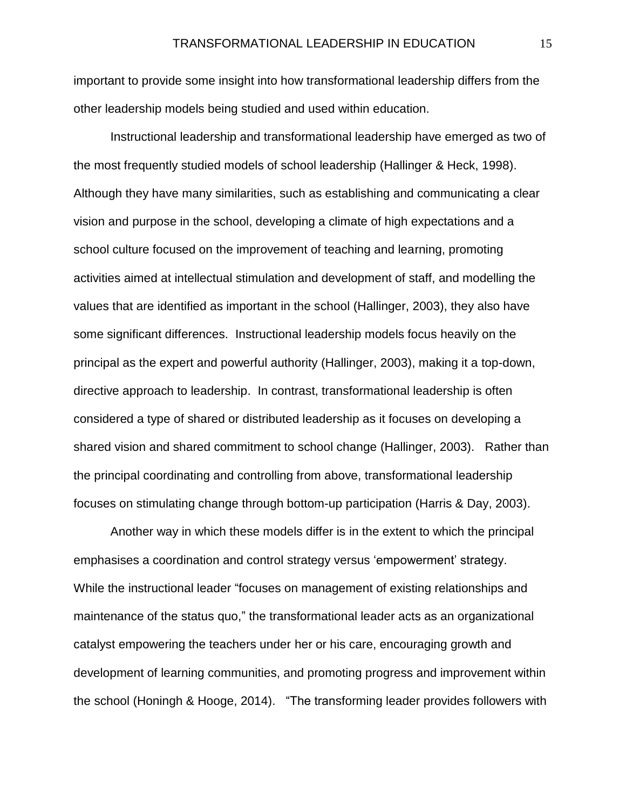important to provide some insight into how transformational leadership differs from the other leadership models being studied and used within education.

Instructional leadership and transformational leadership have emerged as two of the most frequently studied models of school leadership (Hallinger & Heck, 1998). Although they have many similarities, such as establishing and communicating a clear vision and purpose in the school, developing a climate of high expectations and a school culture focused on the improvement of teaching and learning, promoting activities aimed at intellectual stimulation and development of staff, and modelling the values that are identified as important in the school (Hallinger, 2003), they also have some significant differences. Instructional leadership models focus heavily on the principal as the expert and powerful authority (Hallinger, 2003), making it a top-down, directive approach to leadership. In contrast, transformational leadership is often considered a type of shared or distributed leadership as it focuses on developing a shared vision and shared commitment to school change (Hallinger, 2003). Rather than the principal coordinating and controlling from above, transformational leadership focuses on stimulating change through bottom-up participation (Harris & Day, 2003).

Another way in which these models differ is in the extent to which the principal emphasises a coordination and control strategy versus 'empowerment' strategy. While the instructional leader "focuses on management of existing relationships and maintenance of the status quo," the transformational leader acts as an organizational catalyst empowering the teachers under her or his care, encouraging growth and development of learning communities, and promoting progress and improvement within the school (Honingh & Hooge, 2014). "The transforming leader provides followers with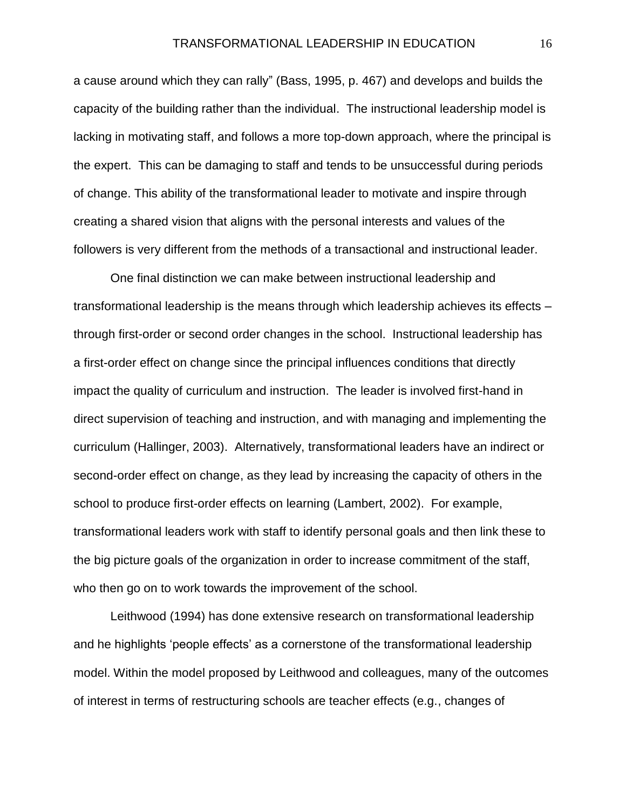a cause around which they can rally" (Bass, 1995, p. 467) and develops and builds the capacity of the building rather than the individual. The instructional leadership model is lacking in motivating staff, and follows a more top-down approach, where the principal is the expert. This can be damaging to staff and tends to be unsuccessful during periods of change. This ability of the transformational leader to motivate and inspire through creating a shared vision that aligns with the personal interests and values of the followers is very different from the methods of a transactional and instructional leader.

One final distinction we can make between instructional leadership and transformational leadership is the means through which leadership achieves its effects – through first-order or second order changes in the school. Instructional leadership has a first-order effect on change since the principal influences conditions that directly impact the quality of curriculum and instruction. The leader is involved first-hand in direct supervision of teaching and instruction, and with managing and implementing the curriculum (Hallinger, 2003). Alternatively, transformational leaders have an indirect or second-order effect on change, as they lead by increasing the capacity of others in the school to produce first-order effects on learning (Lambert, 2002). For example, transformational leaders work with staff to identify personal goals and then link these to the big picture goals of the organization in order to increase commitment of the staff, who then go on to work towards the improvement of the school.

Leithwood (1994) has done extensive research on transformational leadership and he highlights 'people effects' as a cornerstone of the transformational leadership model. Within the model proposed by Leithwood and colleagues, many of the outcomes of interest in terms of restructuring schools are teacher effects (e.g., changes of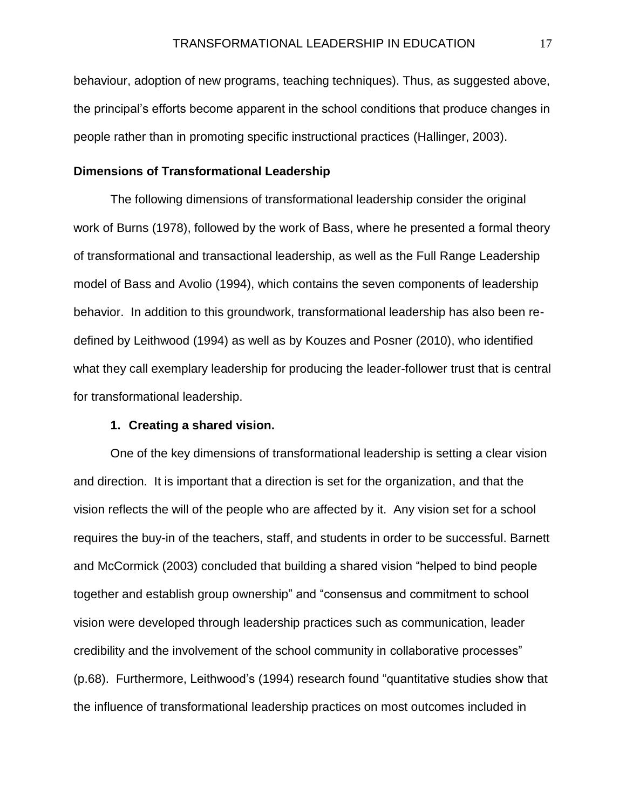behaviour, adoption of new programs, teaching techniques). Thus, as suggested above, the principal's efforts become apparent in the school conditions that produce changes in people rather than in promoting specific instructional practices (Hallinger, 2003).

#### **Dimensions of Transformational Leadership**

The following dimensions of transformational leadership consider the original work of Burns (1978), followed by the work of Bass, where he presented a formal theory of transformational and transactional leadership, as well as the Full Range Leadership model of Bass and Avolio (1994), which contains the seven components of leadership behavior. In addition to this groundwork, transformational leadership has also been redefined by Leithwood (1994) as well as by Kouzes and Posner (2010), who identified what they call exemplary leadership for producing the leader-follower trust that is central for transformational leadership.

#### **1. Creating a shared vision.**

One of the key dimensions of transformational leadership is setting a clear vision and direction. It is important that a direction is set for the organization, and that the vision reflects the will of the people who are affected by it. Any vision set for a school requires the buy-in of the teachers, staff, and students in order to be successful. Barnett and McCormick (2003) concluded that building a shared vision "helped to bind people together and establish group ownership" and "consensus and commitment to school vision were developed through leadership practices such as communication, leader credibility and the involvement of the school community in collaborative processes" (p.68). Furthermore, Leithwood's (1994) research found "quantitative studies show that the influence of transformational leadership practices on most outcomes included in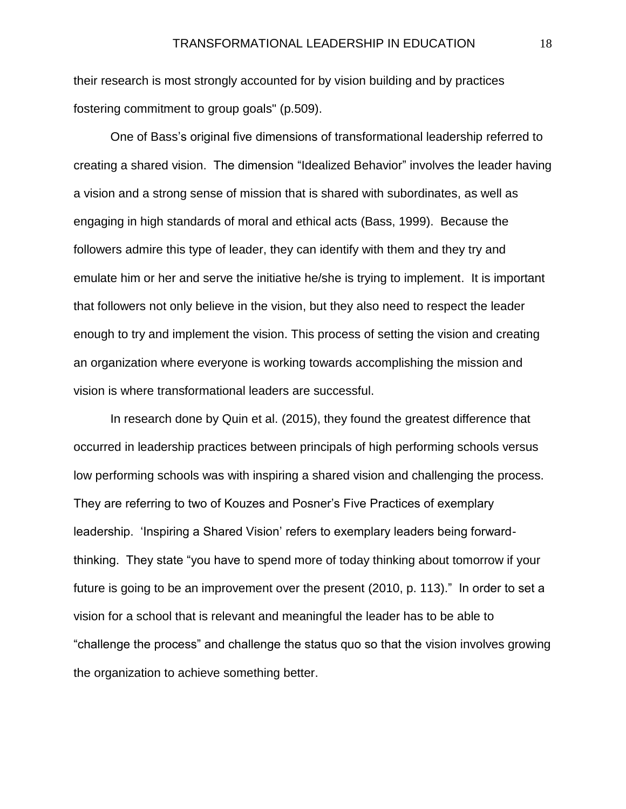their research is most strongly accounted for by vision building and by practices fostering commitment to group goals" (p.509).

One of Bass's original five dimensions of transformational leadership referred to creating a shared vision. The dimension "Idealized Behavior" involves the leader having a vision and a strong sense of mission that is shared with subordinates, as well as engaging in high standards of moral and ethical acts (Bass, 1999). Because the followers admire this type of leader, they can identify with them and they try and emulate him or her and serve the initiative he/she is trying to implement. It is important that followers not only believe in the vision, but they also need to respect the leader enough to try and implement the vision. This process of setting the vision and creating an organization where everyone is working towards accomplishing the mission and vision is where transformational leaders are successful.

In research done by Quin et al. (2015), they found the greatest difference that occurred in leadership practices between principals of high performing schools versus low performing schools was with inspiring a shared vision and challenging the process. They are referring to two of Kouzes and Posner's Five Practices of exemplary leadership. 'Inspiring a Shared Vision' refers to exemplary leaders being forwardthinking. They state "you have to spend more of today thinking about tomorrow if your future is going to be an improvement over the present (2010, p. 113)." In order to set a vision for a school that is relevant and meaningful the leader has to be able to "challenge the process" and challenge the status quo so that the vision involves growing the organization to achieve something better.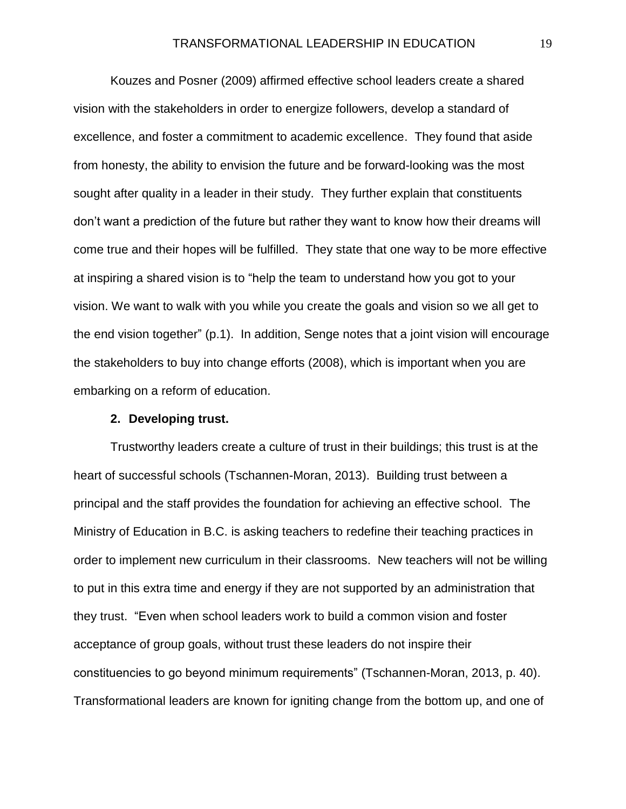Kouzes and Posner (2009) affirmed effective school leaders create a shared vision with the stakeholders in order to energize followers, develop a standard of excellence, and foster a commitment to academic excellence. They found that aside from honesty, the ability to envision the future and be forward-looking was the most sought after quality in a leader in their study. They further explain that constituents don't want a prediction of the future but rather they want to know how their dreams will come true and their hopes will be fulfilled. They state that one way to be more effective at inspiring a shared vision is to "help the team to understand how you got to your vision. We want to walk with you while you create the goals and vision so we all get to the end vision together" (p.1). In addition, Senge notes that a joint vision will encourage the stakeholders to buy into change efforts (2008), which is important when you are embarking on a reform of education.

#### **2. Developing trust.**

Trustworthy leaders create a culture of trust in their buildings; this trust is at the heart of successful schools (Tschannen-Moran, 2013). Building trust between a principal and the staff provides the foundation for achieving an effective school. The Ministry of Education in B.C. is asking teachers to redefine their teaching practices in order to implement new curriculum in their classrooms. New teachers will not be willing to put in this extra time and energy if they are not supported by an administration that they trust. "Even when school leaders work to build a common vision and foster acceptance of group goals, without trust these leaders do not inspire their constituencies to go beyond minimum requirements" (Tschannen-Moran, 2013, p. 40). Transformational leaders are known for igniting change from the bottom up, and one of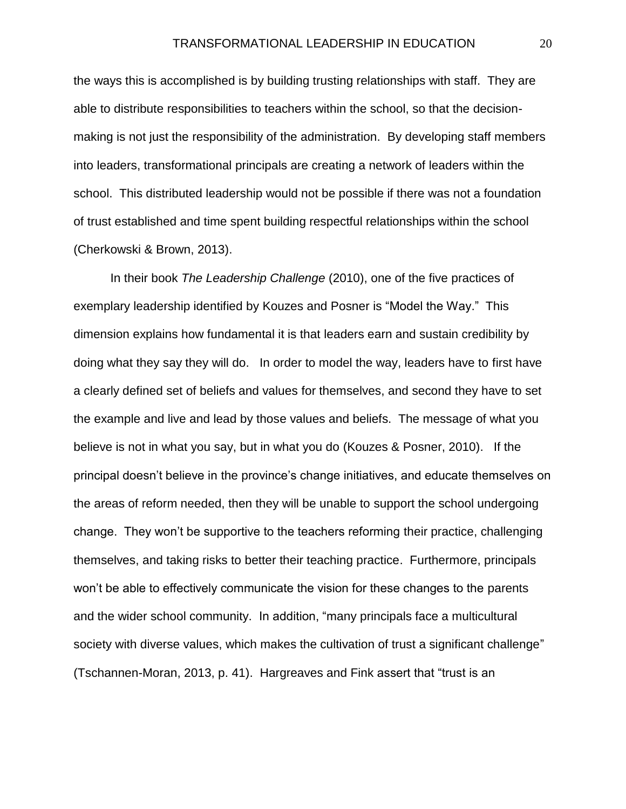the ways this is accomplished is by building trusting relationships with staff. They are able to distribute responsibilities to teachers within the school, so that the decisionmaking is not just the responsibility of the administration. By developing staff members into leaders, transformational principals are creating a network of leaders within the school. This distributed leadership would not be possible if there was not a foundation of trust established and time spent building respectful relationships within the school (Cherkowski & Brown, 2013).

In their book *The Leadership Challenge* (2010), one of the five practices of exemplary leadership identified by Kouzes and Posner is "Model the Way." This dimension explains how fundamental it is that leaders earn and sustain credibility by doing what they say they will do. In order to model the way, leaders have to first have a clearly defined set of beliefs and values for themselves, and second they have to set the example and live and lead by those values and beliefs. The message of what you believe is not in what you say, but in what you do (Kouzes & Posner, 2010). If the principal doesn't believe in the province's change initiatives, and educate themselves on the areas of reform needed, then they will be unable to support the school undergoing change. They won't be supportive to the teachers reforming their practice, challenging themselves, and taking risks to better their teaching practice. Furthermore, principals won't be able to effectively communicate the vision for these changes to the parents and the wider school community. In addition, "many principals face a multicultural society with diverse values, which makes the cultivation of trust a significant challenge" (Tschannen-Moran, 2013, p. 41). Hargreaves and Fink assert that "trust is an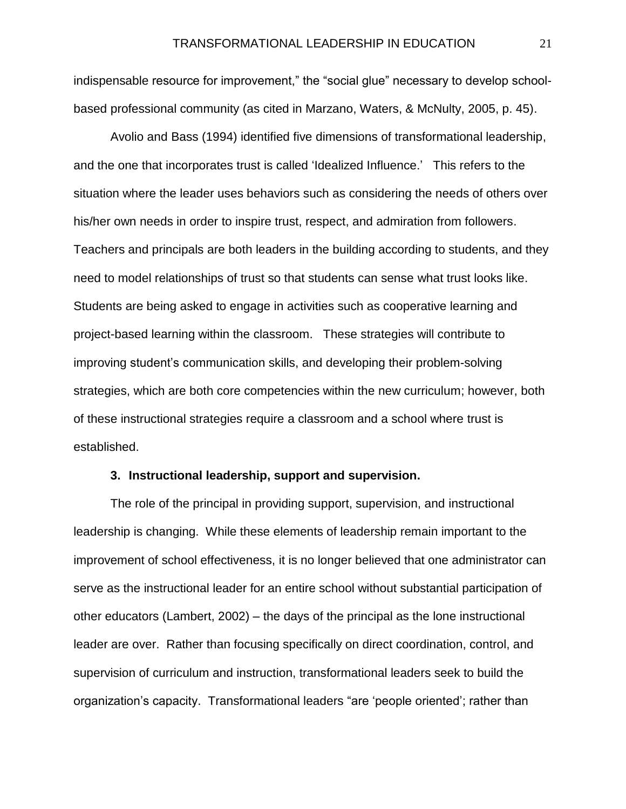indispensable resource for improvement," the "social glue" necessary to develop schoolbased professional community (as cited in Marzano, Waters, & McNulty, 2005, p. 45).

Avolio and Bass (1994) identified five dimensions of transformational leadership, and the one that incorporates trust is called 'Idealized Influence.' This refers to the situation where the leader uses behaviors such as considering the needs of others over his/her own needs in order to inspire trust, respect, and admiration from followers. Teachers and principals are both leaders in the building according to students, and they need to model relationships of trust so that students can sense what trust looks like. Students are being asked to engage in activities such as cooperative learning and project-based learning within the classroom. These strategies will contribute to improving student's communication skills, and developing their problem-solving strategies, which are both core competencies within the new curriculum; however, both of these instructional strategies require a classroom and a school where trust is established.

#### **3. Instructional leadership, support and supervision.**

The role of the principal in providing support, supervision, and instructional leadership is changing. While these elements of leadership remain important to the improvement of school effectiveness, it is no longer believed that one administrator can serve as the instructional leader for an entire school without substantial participation of other educators (Lambert, 2002) – the days of the principal as the lone instructional leader are over. Rather than focusing specifically on direct coordination, control, and supervision of curriculum and instruction, transformational leaders seek to build the organization's capacity. Transformational leaders "are 'people oriented'; rather than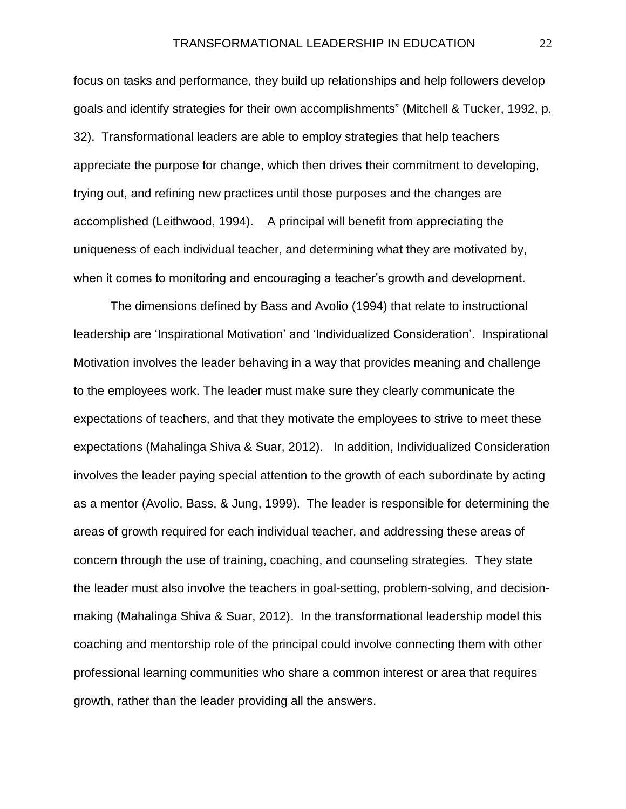focus on tasks and performance, they build up relationships and help followers develop goals and identify strategies for their own accomplishments" (Mitchell & Tucker, 1992, p. 32). Transformational leaders are able to employ strategies that help teachers appreciate the purpose for change, which then drives their commitment to developing, trying out, and refining new practices until those purposes and the changes are accomplished (Leithwood, 1994). A principal will benefit from appreciating the uniqueness of each individual teacher, and determining what they are motivated by, when it comes to monitoring and encouraging a teacher's growth and development.

The dimensions defined by Bass and Avolio (1994) that relate to instructional leadership are 'Inspirational Motivation' and 'Individualized Consideration'. Inspirational Motivation involves the leader behaving in a way that provides meaning and challenge to the employees work. The leader must make sure they clearly communicate the expectations of teachers, and that they motivate the employees to strive to meet these expectations (Mahalinga Shiva & Suar, 2012). In addition, Individualized Consideration involves the leader paying special attention to the growth of each subordinate by acting as a mentor (Avolio, Bass, & Jung, 1999). The leader is responsible for determining the areas of growth required for each individual teacher, and addressing these areas of concern through the use of training, coaching, and counseling strategies. They state the leader must also involve the teachers in goal-setting, problem-solving, and decisionmaking (Mahalinga Shiva & Suar, 2012). In the transformational leadership model this coaching and mentorship role of the principal could involve connecting them with other professional learning communities who share a common interest or area that requires growth, rather than the leader providing all the answers.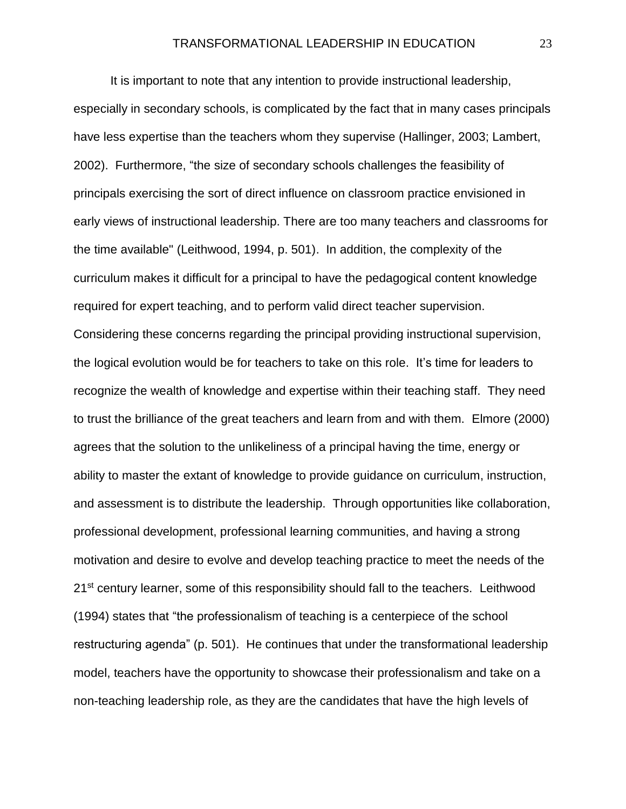It is important to note that any intention to provide instructional leadership, especially in secondary schools, is complicated by the fact that in many cases principals have less expertise than the teachers whom they supervise (Hallinger, 2003; Lambert, 2002). Furthermore, "the size of secondary schools challenges the feasibility of principals exercising the sort of direct influence on classroom practice envisioned in early views of instructional leadership. There are too many teachers and classrooms for the time available" (Leithwood, 1994, p. 501). In addition, the complexity of the curriculum makes it difficult for a principal to have the pedagogical content knowledge required for expert teaching, and to perform valid direct teacher supervision. Considering these concerns regarding the principal providing instructional supervision, the logical evolution would be for teachers to take on this role. It's time for leaders to recognize the wealth of knowledge and expertise within their teaching staff. They need to trust the brilliance of the great teachers and learn from and with them. Elmore (2000) agrees that the solution to the unlikeliness of a principal having the time, energy or ability to master the extant of knowledge to provide guidance on curriculum, instruction, and assessment is to distribute the leadership. Through opportunities like collaboration, professional development, professional learning communities, and having a strong motivation and desire to evolve and develop teaching practice to meet the needs of the 21<sup>st</sup> century learner, some of this responsibility should fall to the teachers. Leithwood (1994) states that "the professionalism of teaching is a centerpiece of the school restructuring agenda" (p. 501). He continues that under the transformational leadership model, teachers have the opportunity to showcase their professionalism and take on a non-teaching leadership role, as they are the candidates that have the high levels of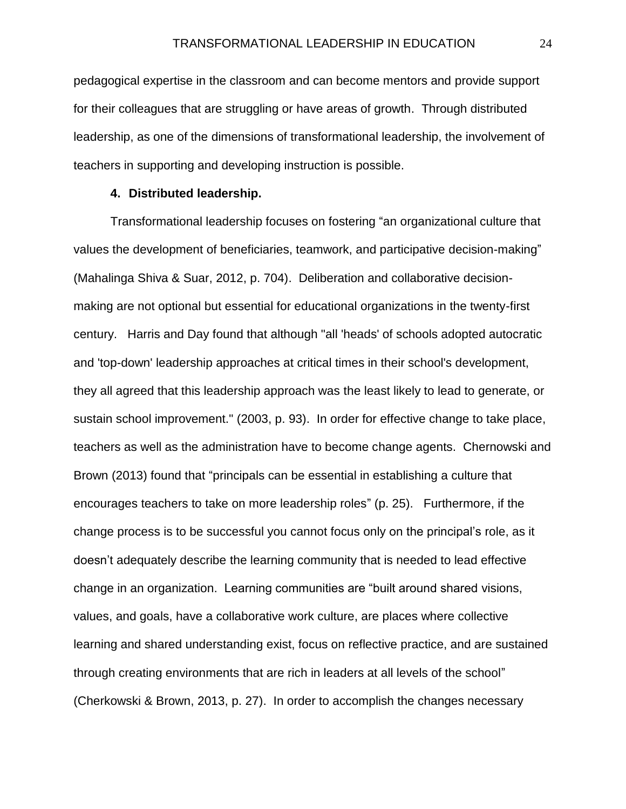pedagogical expertise in the classroom and can become mentors and provide support for their colleagues that are struggling or have areas of growth. Through distributed leadership, as one of the dimensions of transformational leadership, the involvement of teachers in supporting and developing instruction is possible.

#### **4. Distributed leadership.**

Transformational leadership focuses on fostering "an organizational culture that values the development of beneficiaries, teamwork, and participative decision-making" (Mahalinga Shiva & Suar, 2012, p. 704). Deliberation and collaborative decisionmaking are not optional but essential for educational organizations in the twenty-first century. Harris and Day found that although "all 'heads' of schools adopted autocratic and 'top-down' leadership approaches at critical times in their school's development, they all agreed that this leadership approach was the least likely to lead to generate, or sustain school improvement." (2003, p. 93). In order for effective change to take place, teachers as well as the administration have to become change agents. Chernowski and Brown (2013) found that "principals can be essential in establishing a culture that encourages teachers to take on more leadership roles" (p. 25). Furthermore, if the change process is to be successful you cannot focus only on the principal's role, as it doesn't adequately describe the learning community that is needed to lead effective change in an organization. Learning communities are "built around shared visions, values, and goals, have a collaborative work culture, are places where collective learning and shared understanding exist, focus on reflective practice, and are sustained through creating environments that are rich in leaders at all levels of the school" (Cherkowski & Brown, 2013, p. 27). In order to accomplish the changes necessary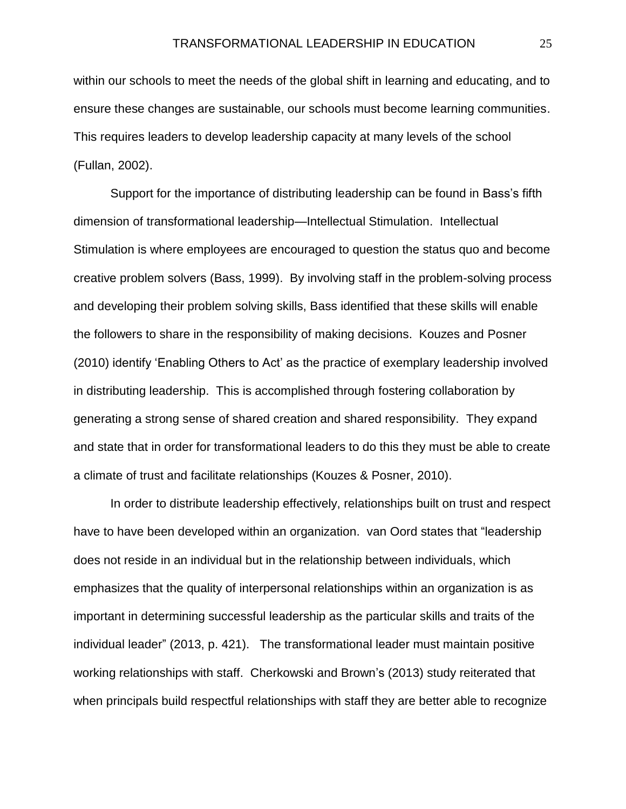within our schools to meet the needs of the global shift in learning and educating, and to ensure these changes are sustainable, our schools must become learning communities. This requires leaders to develop leadership capacity at many levels of the school (Fullan, 2002).

Support for the importance of distributing leadership can be found in Bass's fifth dimension of transformational leadership—Intellectual Stimulation. Intellectual Stimulation is where employees are encouraged to question the status quo and become creative problem solvers (Bass, 1999). By involving staff in the problem-solving process and developing their problem solving skills, Bass identified that these skills will enable the followers to share in the responsibility of making decisions. Kouzes and Posner (2010) identify 'Enabling Others to Act' as the practice of exemplary leadership involved in distributing leadership. This is accomplished through fostering collaboration by generating a strong sense of shared creation and shared responsibility. They expand and state that in order for transformational leaders to do this they must be able to create a climate of trust and facilitate relationships (Kouzes & Posner, 2010).

In order to distribute leadership effectively, relationships built on trust and respect have to have been developed within an organization. van Oord states that "leadership does not reside in an individual but in the relationship between individuals, which emphasizes that the quality of interpersonal relationships within an organization is as important in determining successful leadership as the particular skills and traits of the individual leader" (2013, p. 421). The transformational leader must maintain positive working relationships with staff. Cherkowski and Brown's (2013) study reiterated that when principals build respectful relationships with staff they are better able to recognize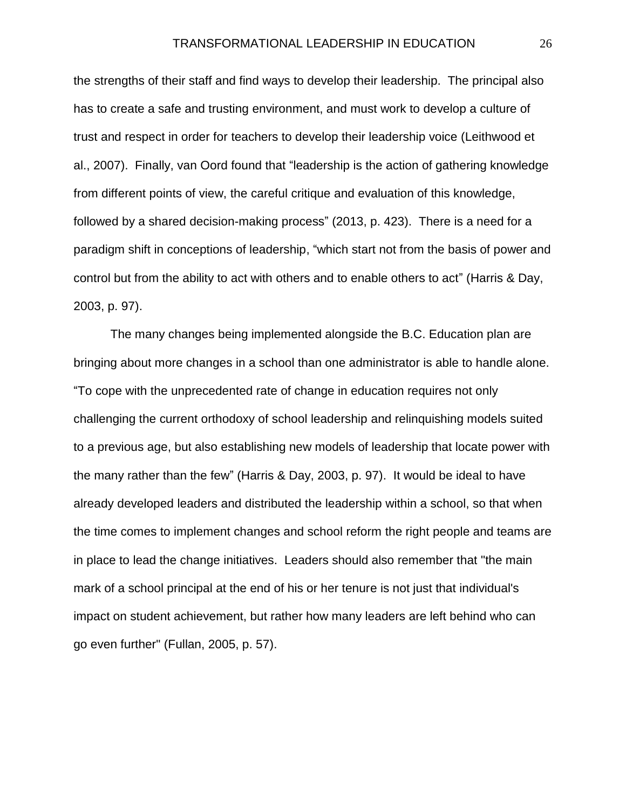the strengths of their staff and find ways to develop their leadership. The principal also has to create a safe and trusting environment, and must work to develop a culture of trust and respect in order for teachers to develop their leadership voice (Leithwood et al., 2007). Finally, van Oord found that "leadership is the action of gathering knowledge from different points of view, the careful critique and evaluation of this knowledge, followed by a shared decision-making process" (2013, p. 423). There is a need for a paradigm shift in conceptions of leadership, "which start not from the basis of power and control but from the ability to act with others and to enable others to act" (Harris & Day, 2003, p. 97).

The many changes being implemented alongside the B.C. Education plan are bringing about more changes in a school than one administrator is able to handle alone. "To cope with the unprecedented rate of change in education requires not only challenging the current orthodoxy of school leadership and relinquishing models suited to a previous age, but also establishing new models of leadership that locate power with the many rather than the few" (Harris & Day, 2003, p. 97). It would be ideal to have already developed leaders and distributed the leadership within a school, so that when the time comes to implement changes and school reform the right people and teams are in place to lead the change initiatives. Leaders should also remember that "the main mark of a school principal at the end of his or her tenure is not just that individual's impact on student achievement, but rather how many leaders are left behind who can go even further" (Fullan, 2005, p. 57).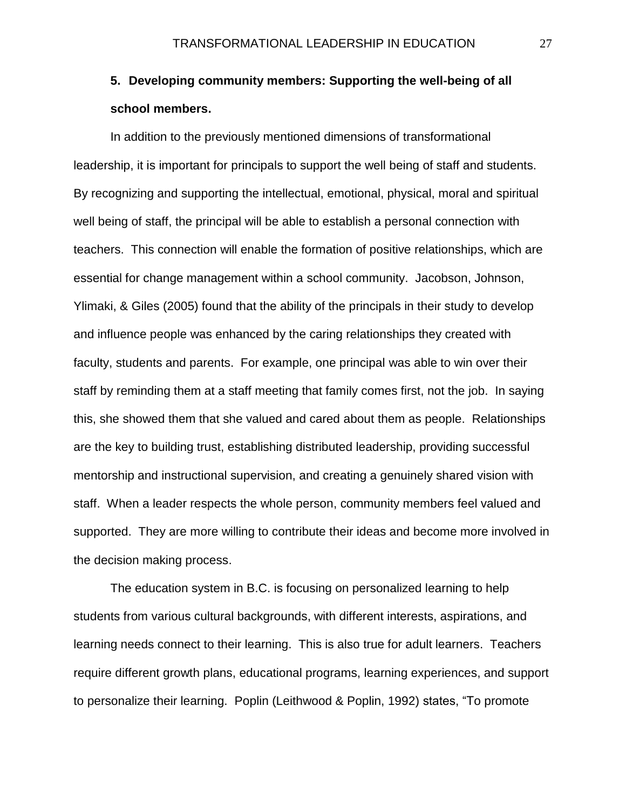## **5. Developing community members: Supporting the well-being of all school members.**

In addition to the previously mentioned dimensions of transformational leadership, it is important for principals to support the well being of staff and students. By recognizing and supporting the intellectual, emotional, physical, moral and spiritual well being of staff, the principal will be able to establish a personal connection with teachers. This connection will enable the formation of positive relationships, which are essential for change management within a school community. Jacobson, Johnson, Ylimaki, & Giles (2005) found that the ability of the principals in their study to develop and influence people was enhanced by the caring relationships they created with faculty, students and parents. For example, one principal was able to win over their staff by reminding them at a staff meeting that family comes first, not the job. In saying this, she showed them that she valued and cared about them as people. Relationships are the key to building trust, establishing distributed leadership, providing successful mentorship and instructional supervision, and creating a genuinely shared vision with staff. When a leader respects the whole person, community members feel valued and supported. They are more willing to contribute their ideas and become more involved in the decision making process.

The education system in B.C. is focusing on personalized learning to help students from various cultural backgrounds, with different interests, aspirations, and learning needs connect to their learning. This is also true for adult learners. Teachers require different growth plans, educational programs, learning experiences, and support to personalize their learning. Poplin (Leithwood & Poplin, 1992) states, "To promote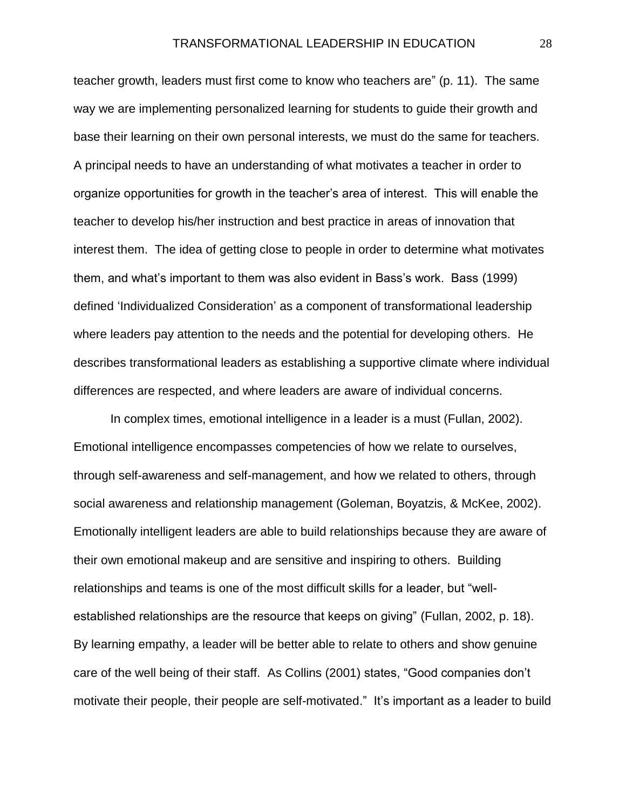teacher growth, leaders must first come to know who teachers are" (p. 11). The same way we are implementing personalized learning for students to guide their growth and base their learning on their own personal interests, we must do the same for teachers. A principal needs to have an understanding of what motivates a teacher in order to organize opportunities for growth in the teacher's area of interest. This will enable the teacher to develop his/her instruction and best practice in areas of innovation that interest them. The idea of getting close to people in order to determine what motivates them, and what's important to them was also evident in Bass's work. Bass (1999) defined 'Individualized Consideration' as a component of transformational leadership where leaders pay attention to the needs and the potential for developing others. He describes transformational leaders as establishing a supportive climate where individual differences are respected, and where leaders are aware of individual concerns.

In complex times, emotional intelligence in a leader is a must (Fullan, 2002). Emotional intelligence encompasses competencies of how we relate to ourselves, through self-awareness and self-management, and how we related to others, through social awareness and relationship management (Goleman, Boyatzis, & McKee, 2002). Emotionally intelligent leaders are able to build relationships because they are aware of their own emotional makeup and are sensitive and inspiring to others. Building relationships and teams is one of the most difficult skills for a leader, but "wellestablished relationships are the resource that keeps on giving" (Fullan, 2002, p. 18). By learning empathy, a leader will be better able to relate to others and show genuine care of the well being of their staff. As Collins (2001) states, "Good companies don't motivate their people, their people are self-motivated." It's important as a leader to build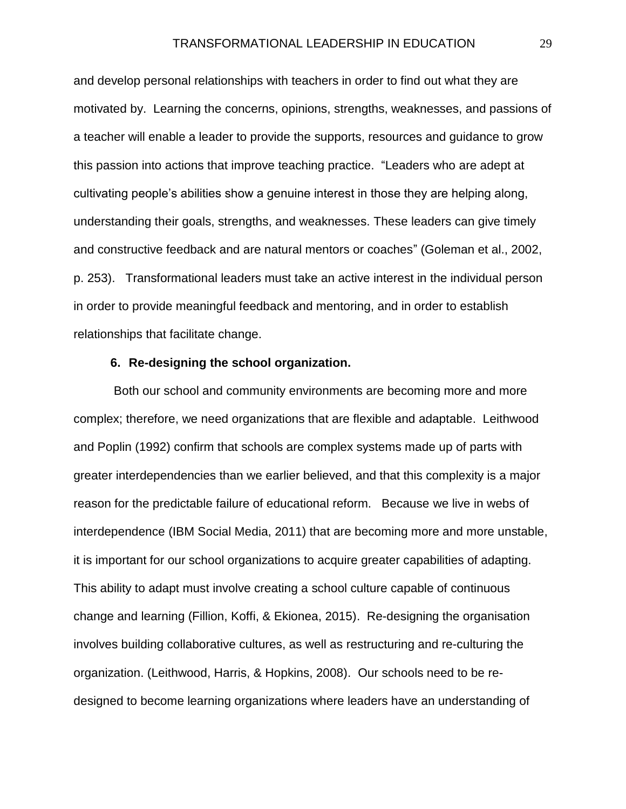and develop personal relationships with teachers in order to find out what they are motivated by. Learning the concerns, opinions, strengths, weaknesses, and passions of a teacher will enable a leader to provide the supports, resources and guidance to grow this passion into actions that improve teaching practice. "Leaders who are adept at cultivating people's abilities show a genuine interest in those they are helping along, understanding their goals, strengths, and weaknesses. These leaders can give timely and constructive feedback and are natural mentors or coaches" (Goleman et al., 2002, p. 253). Transformational leaders must take an active interest in the individual person in order to provide meaningful feedback and mentoring, and in order to establish relationships that facilitate change.

#### **6. Re-designing the school organization.**

Both our school and community environments are becoming more and more complex; therefore, we need organizations that are flexible and adaptable. Leithwood and Poplin (1992) confirm that schools are complex systems made up of parts with greater interdependencies than we earlier believed, and that this complexity is a major reason for the predictable failure of educational reform. Because we live in webs of interdependence (IBM Social Media, 2011) that are becoming more and more unstable, it is important for our school organizations to acquire greater capabilities of adapting. This ability to adapt must involve creating a school culture capable of continuous change and learning (Fillion, Koffi, & Ekionea, 2015). Re-designing the organisation involves building collaborative cultures, as well as restructuring and re-culturing the organization. (Leithwood, Harris, & Hopkins, 2008). Our schools need to be redesigned to become learning organizations where leaders have an understanding of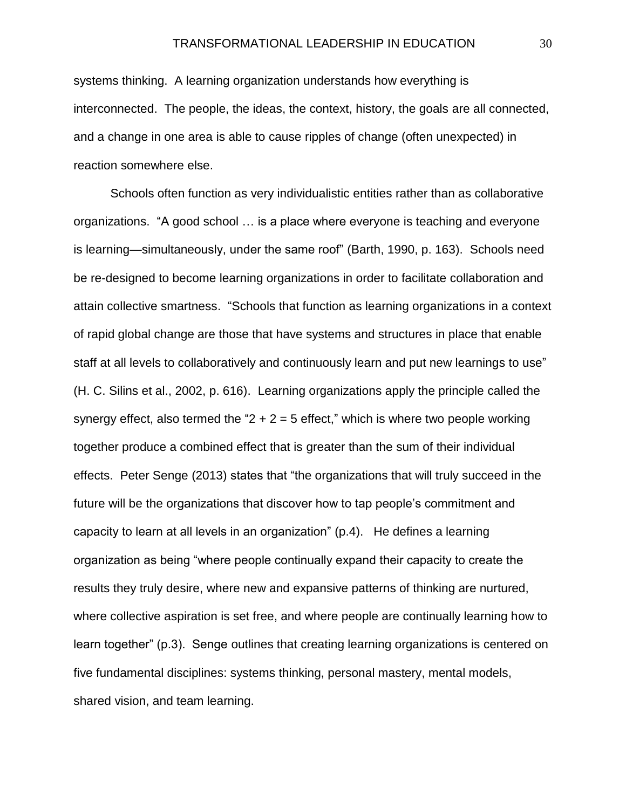systems thinking. A learning organization understands how everything is interconnected. The people, the ideas, the context, history, the goals are all connected, and a change in one area is able to cause ripples of change (often unexpected) in reaction somewhere else.

Schools often function as very individualistic entities rather than as collaborative organizations. "A good school … is a place where everyone is teaching and everyone is learning—simultaneously, under the same roof" (Barth, 1990, p. 163). Schools need be re-designed to become learning organizations in order to facilitate collaboration and attain collective smartness. "Schools that function as learning organizations in a context of rapid global change are those that have systems and structures in place that enable staff at all levels to collaboratively and continuously learn and put new learnings to use" (H. C. Silins et al., 2002, p. 616). Learning organizations apply the principle called the synergy effect, also termed the " $2 + 2 = 5$  effect," which is where two people working together produce a combined effect that is greater than the sum of their individual effects. Peter Senge (2013) states that "the organizations that will truly succeed in the future will be the organizations that discover how to tap people's commitment and capacity to learn at all levels in an organization" (p.4). He defines a learning organization as being "where people continually expand their capacity to create the results they truly desire, where new and expansive patterns of thinking are nurtured, where collective aspiration is set free, and where people are continually learning how to learn together" (p.3). Senge outlines that creating learning organizations is centered on five fundamental disciplines: systems thinking, personal mastery, mental models, shared vision, and team learning.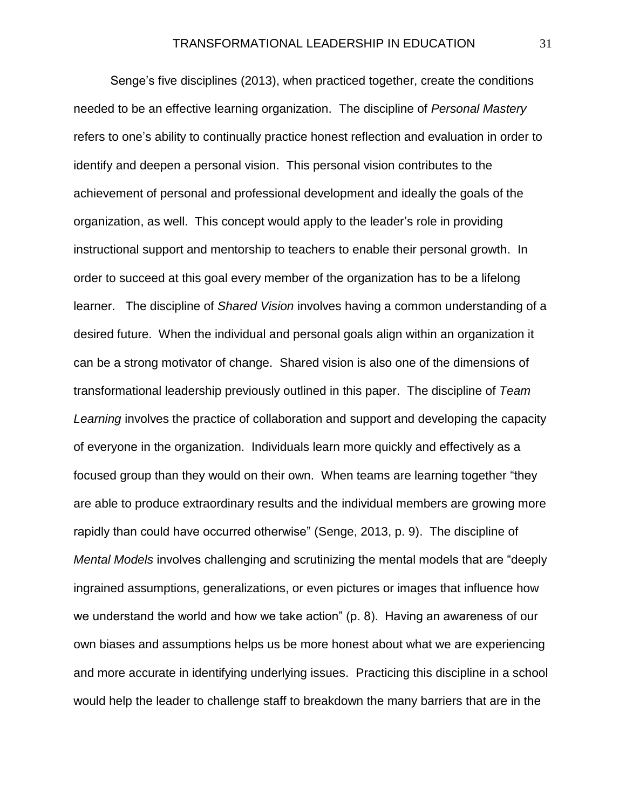Senge's five disciplines (2013), when practiced together, create the conditions needed to be an effective learning organization. The discipline of *Personal Mastery* refers to one's ability to continually practice honest reflection and evaluation in order to identify and deepen a personal vision. This personal vision contributes to the achievement of personal and professional development and ideally the goals of the organization, as well. This concept would apply to the leader's role in providing instructional support and mentorship to teachers to enable their personal growth. In order to succeed at this goal every member of the organization has to be a lifelong learner. The discipline of *Shared Vision* involves having a common understanding of a desired future. When the individual and personal goals align within an organization it can be a strong motivator of change. Shared vision is also one of the dimensions of transformational leadership previously outlined in this paper. The discipline of *Team Learning* involves the practice of collaboration and support and developing the capacity of everyone in the organization. Individuals learn more quickly and effectively as a focused group than they would on their own. When teams are learning together "they are able to produce extraordinary results and the individual members are growing more rapidly than could have occurred otherwise" (Senge, 2013, p. 9). The discipline of *Mental Models* involves challenging and scrutinizing the mental models that are "deeply ingrained assumptions, generalizations, or even pictures or images that influence how we understand the world and how we take action" (p. 8). Having an awareness of our own biases and assumptions helps us be more honest about what we are experiencing and more accurate in identifying underlying issues. Practicing this discipline in a school would help the leader to challenge staff to breakdown the many barriers that are in the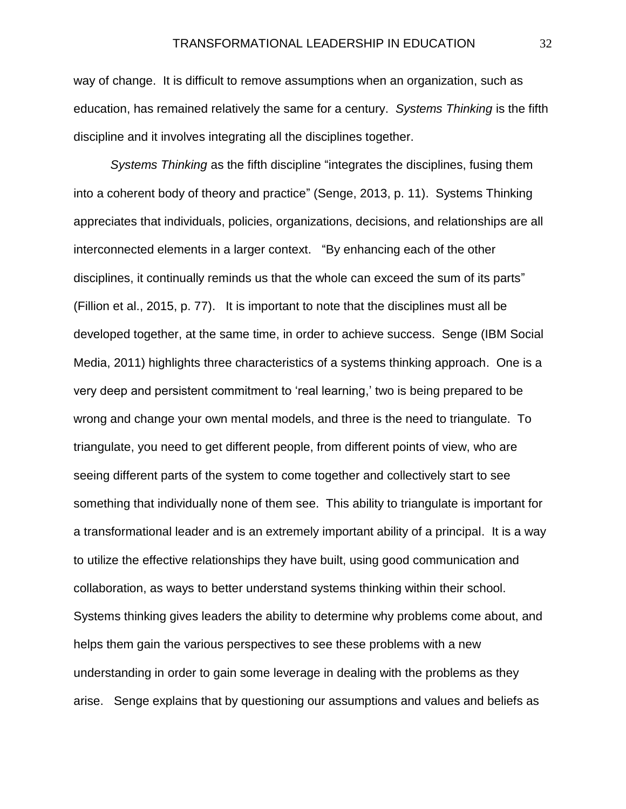way of change. It is difficult to remove assumptions when an organization, such as education, has remained relatively the same for a century. *Systems Thinking* is the fifth discipline and it involves integrating all the disciplines together.

*Systems Thinking* as the fifth discipline "integrates the disciplines, fusing them into a coherent body of theory and practice" (Senge, 2013, p. 11). Systems Thinking appreciates that individuals, policies, organizations, decisions, and relationships are all interconnected elements in a larger context. "By enhancing each of the other disciplines, it continually reminds us that the whole can exceed the sum of its parts" (Fillion et al., 2015, p. 77). It is important to note that the disciplines must all be developed together, at the same time, in order to achieve success. Senge (IBM Social Media, 2011) highlights three characteristics of a systems thinking approach. One is a very deep and persistent commitment to 'real learning,' two is being prepared to be wrong and change your own mental models, and three is the need to triangulate. To triangulate, you need to get different people, from different points of view, who are seeing different parts of the system to come together and collectively start to see something that individually none of them see. This ability to triangulate is important for a transformational leader and is an extremely important ability of a principal. It is a way to utilize the effective relationships they have built, using good communication and collaboration, as ways to better understand systems thinking within their school. Systems thinking gives leaders the ability to determine why problems come about, and helps them gain the various perspectives to see these problems with a new understanding in order to gain some leverage in dealing with the problems as they arise. Senge explains that by questioning our assumptions and values and beliefs as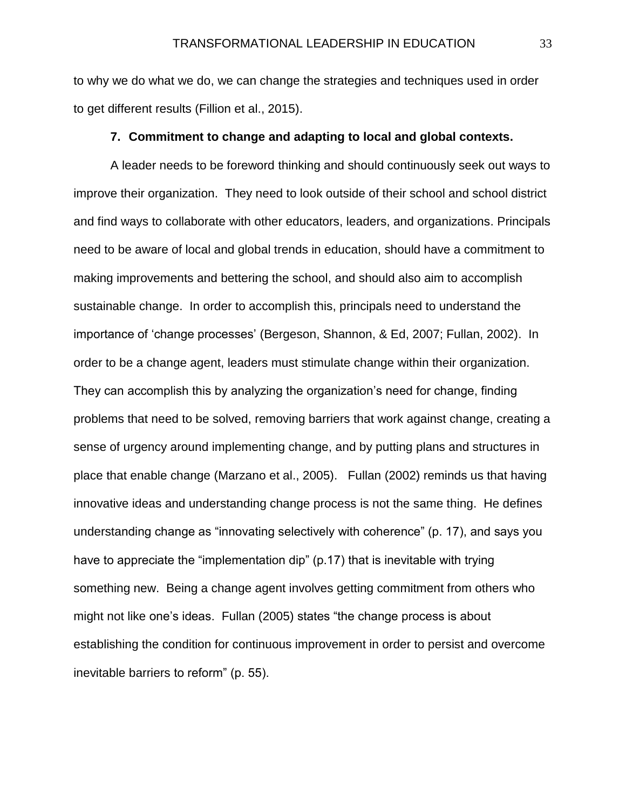to why we do what we do, we can change the strategies and techniques used in order to get different results (Fillion et al., 2015).

#### **7. Commitment to change and adapting to local and global contexts.**

A leader needs to be foreword thinking and should continuously seek out ways to improve their organization. They need to look outside of their school and school district and find ways to collaborate with other educators, leaders, and organizations. Principals need to be aware of local and global trends in education, should have a commitment to making improvements and bettering the school, and should also aim to accomplish sustainable change. In order to accomplish this, principals need to understand the importance of 'change processes' (Bergeson, Shannon, & Ed, 2007; Fullan, 2002). In order to be a change agent, leaders must stimulate change within their organization. They can accomplish this by analyzing the organization's need for change, finding problems that need to be solved, removing barriers that work against change, creating a sense of urgency around implementing change, and by putting plans and structures in place that enable change (Marzano et al., 2005). Fullan (2002) reminds us that having innovative ideas and understanding change process is not the same thing. He defines understanding change as "innovating selectively with coherence" (p. 17), and says you have to appreciate the "implementation dip" (p.17) that is inevitable with trying something new. Being a change agent involves getting commitment from others who might not like one's ideas. Fullan (2005) states "the change process is about establishing the condition for continuous improvement in order to persist and overcome inevitable barriers to reform" (p. 55).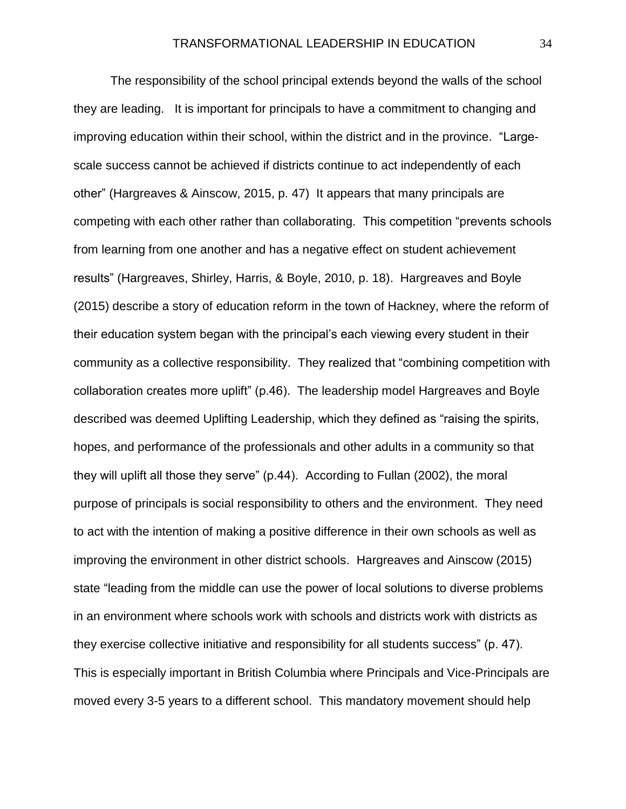The responsibility of the school principal extends beyond the walls of the school they are leading. It is important for principals to have a commitment to changing and improving education within their school, within the district and in the province. "Largescale success cannot be achieved if districts continue to act independently of each other" (Hargreaves & Ainscow, 2015, p. 47) It appears that many principals are competing with each other rather than collaborating. This competition "prevents schools from learning from one another and has a negative effect on student achievement results" (Hargreaves, Shirley, Harris, & Boyle, 2010, p. 18). Hargreaves and Boyle (2015) describe a story of education reform in the town of Hackney, where the reform of their education system began with the principal's each viewing every student in their community as a collective responsibility. They realized that "combining competition with collaboration creates more uplift" (p.46). The leadership model Hargreaves and Boyle described was deemed Uplifting Leadership, which they defined as "raising the spirits, hopes, and performance of the professionals and other adults in a community so that they will uplift all those they serve" (p.44). According to Fullan (2002), the moral purpose of principals is social responsibility to others and the environment. They need to act with the intention of making a positive difference in their own schools as well as improving the environment in other district schools. Hargreaves and Ainscow (2015) state "leading from the middle can use the power of local solutions to diverse problems in an environment where schools work with schools and districts work with districts as they exercise collective initiative and responsibility for all students success" (p. 47). This is especially important in British Columbia where Principals and Vice-Principals are moved every 3-5 years to a different school. This mandatory movement should help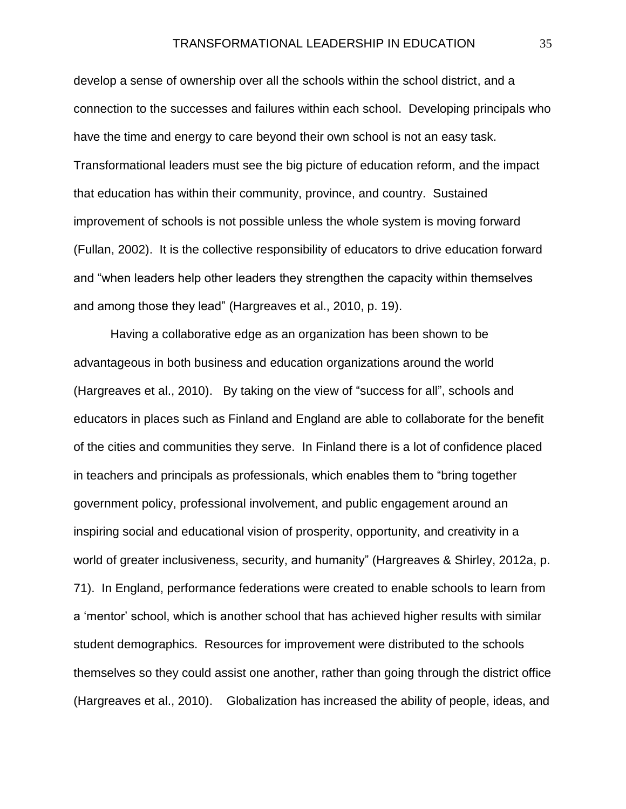develop a sense of ownership over all the schools within the school district, and a connection to the successes and failures within each school. Developing principals who have the time and energy to care beyond their own school is not an easy task. Transformational leaders must see the big picture of education reform, and the impact that education has within their community, province, and country. Sustained improvement of schools is not possible unless the whole system is moving forward (Fullan, 2002). It is the collective responsibility of educators to drive education forward and "when leaders help other leaders they strengthen the capacity within themselves and among those they lead" (Hargreaves et al., 2010, p. 19).

Having a collaborative edge as an organization has been shown to be advantageous in both business and education organizations around the world (Hargreaves et al., 2010). By taking on the view of "success for all", schools and educators in places such as Finland and England are able to collaborate for the benefit of the cities and communities they serve. In Finland there is a lot of confidence placed in teachers and principals as professionals, which enables them to "bring together government policy, professional involvement, and public engagement around an inspiring social and educational vision of prosperity, opportunity, and creativity in a world of greater inclusiveness, security, and humanity" (Hargreaves & Shirley, 2012a, p. 71). In England, performance federations were created to enable schools to learn from a 'mentor' school, which is another school that has achieved higher results with similar student demographics. Resources for improvement were distributed to the schools themselves so they could assist one another, rather than going through the district office (Hargreaves et al., 2010). Globalization has increased the ability of people, ideas, and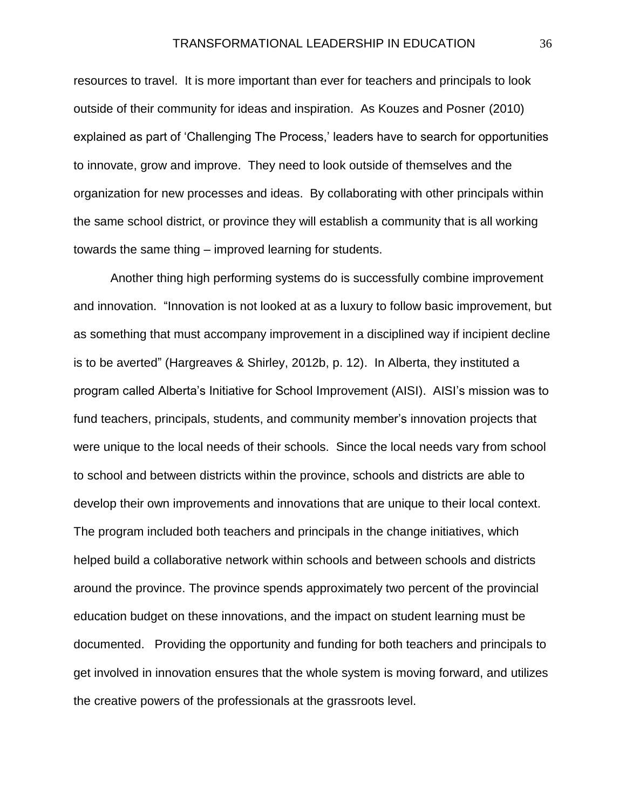resources to travel. It is more important than ever for teachers and principals to look outside of their community for ideas and inspiration. As Kouzes and Posner (2010) explained as part of 'Challenging The Process,' leaders have to search for opportunities to innovate, grow and improve. They need to look outside of themselves and the organization for new processes and ideas. By collaborating with other principals within the same school district, or province they will establish a community that is all working towards the same thing – improved learning for students.

Another thing high performing systems do is successfully combine improvement and innovation. "Innovation is not looked at as a luxury to follow basic improvement, but as something that must accompany improvement in a disciplined way if incipient decline is to be averted" (Hargreaves & Shirley, 2012b, p. 12). In Alberta, they instituted a program called Alberta's Initiative for School Improvement (AISI). AISI's mission was to fund teachers, principals, students, and community member's innovation projects that were unique to the local needs of their schools. Since the local needs vary from school to school and between districts within the province, schools and districts are able to develop their own improvements and innovations that are unique to their local context. The program included both teachers and principals in the change initiatives, which helped build a collaborative network within schools and between schools and districts around the province. The province spends approximately two percent of the provincial education budget on these innovations, and the impact on student learning must be documented. Providing the opportunity and funding for both teachers and principals to get involved in innovation ensures that the whole system is moving forward, and utilizes the creative powers of the professionals at the grassroots level.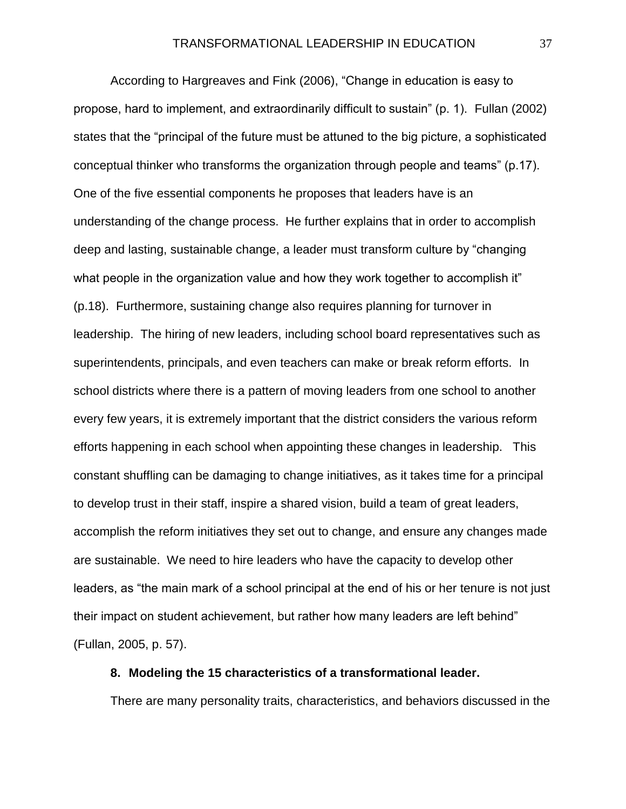According to Hargreaves and Fink (2006), "Change in education is easy to propose, hard to implement, and extraordinarily difficult to sustain" (p. 1). Fullan (2002) states that the "principal of the future must be attuned to the big picture, a sophisticated conceptual thinker who transforms the organization through people and teams" (p.17). One of the five essential components he proposes that leaders have is an understanding of the change process. He further explains that in order to accomplish deep and lasting, sustainable change, a leader must transform culture by "changing what people in the organization value and how they work together to accomplish it" (p.18). Furthermore, sustaining change also requires planning for turnover in leadership. The hiring of new leaders, including school board representatives such as superintendents, principals, and even teachers can make or break reform efforts. In school districts where there is a pattern of moving leaders from one school to another every few years, it is extremely important that the district considers the various reform efforts happening in each school when appointing these changes in leadership. This constant shuffling can be damaging to change initiatives, as it takes time for a principal to develop trust in their staff, inspire a shared vision, build a team of great leaders, accomplish the reform initiatives they set out to change, and ensure any changes made are sustainable. We need to hire leaders who have the capacity to develop other leaders, as "the main mark of a school principal at the end of his or her tenure is not just their impact on student achievement, but rather how many leaders are left behind" (Fullan, 2005, p. 57).

## **8. Modeling the 15 characteristics of a transformational leader.**

There are many personality traits, characteristics, and behaviors discussed in the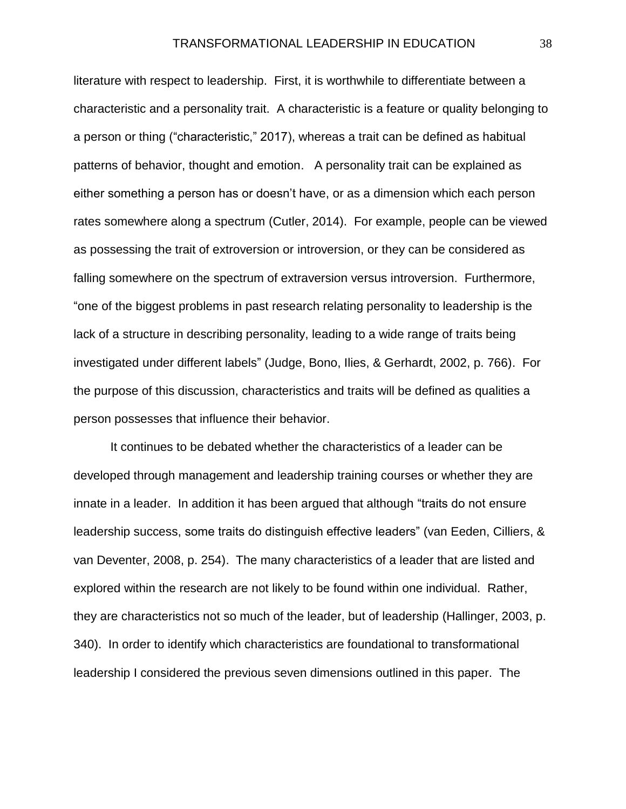literature with respect to leadership. First, it is worthwhile to differentiate between a characteristic and a personality trait. A characteristic is a feature or quality belonging to a person or thing ("characteristic," 2017), whereas a trait can be defined as habitual patterns of behavior, thought and emotion. A personality trait can be explained as either something a person has or doesn't have, or as a dimension which each person rates somewhere along a spectrum (Cutler, 2014). For example, people can be viewed as possessing the trait of extroversion or introversion, or they can be considered as falling somewhere on the spectrum of extraversion versus introversion. Furthermore, "one of the biggest problems in past research relating personality to leadership is the lack of a structure in describing personality, leading to a wide range of traits being investigated under different labels" (Judge, Bono, Ilies, & Gerhardt, 2002, p. 766). For the purpose of this discussion, characteristics and traits will be defined as qualities a person possesses that influence their behavior.

It continues to be debated whether the characteristics of a leader can be developed through management and leadership training courses or whether they are innate in a leader. In addition it has been argued that although "traits do not ensure leadership success, some traits do distinguish effective leaders" (van Eeden, Cilliers, & van Deventer, 2008, p. 254). The many characteristics of a leader that are listed and explored within the research are not likely to be found within one individual. Rather, they are characteristics not so much of the leader, but of leadership (Hallinger, 2003, p. 340). In order to identify which characteristics are foundational to transformational leadership I considered the previous seven dimensions outlined in this paper. The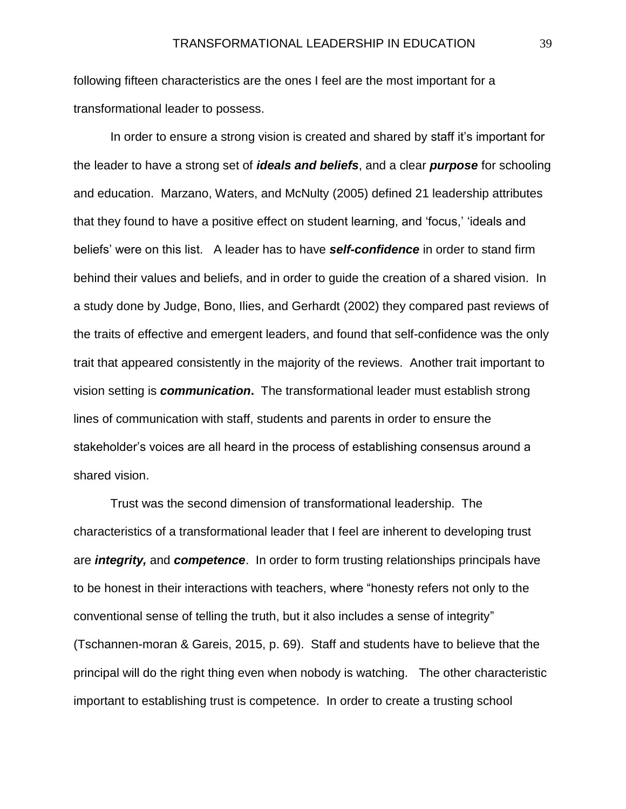following fifteen characteristics are the ones I feel are the most important for a transformational leader to possess.

In order to ensure a strong vision is created and shared by staff it's important for the leader to have a strong set of *ideals and beliefs*, and a clear *purpose* for schooling and education. Marzano, Waters, and McNulty (2005) defined 21 leadership attributes that they found to have a positive effect on student learning, and 'focus,' 'ideals and beliefs' were on this list. A leader has to have *self-confidence* in order to stand firm behind their values and beliefs, and in order to guide the creation of a shared vision. In a study done by Judge, Bono, Ilies, and Gerhardt (2002) they compared past reviews of the traits of effective and emergent leaders, and found that self-confidence was the only trait that appeared consistently in the majority of the reviews. Another trait important to vision setting is *communication***.** The transformational leader must establish strong lines of communication with staff, students and parents in order to ensure the stakeholder's voices are all heard in the process of establishing consensus around a shared vision.

Trust was the second dimension of transformational leadership. The characteristics of a transformational leader that I feel are inherent to developing trust are *integrity,* and *competence*. In order to form trusting relationships principals have to be honest in their interactions with teachers, where "honesty refers not only to the conventional sense of telling the truth, but it also includes a sense of integrity" (Tschannen-moran & Gareis, 2015, p. 69). Staff and students have to believe that the principal will do the right thing even when nobody is watching. The other characteristic important to establishing trust is competence. In order to create a trusting school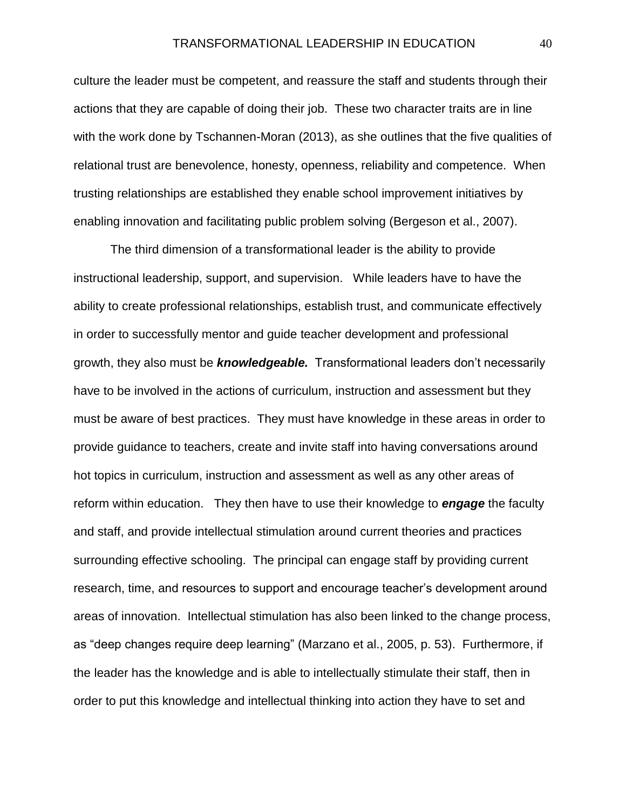culture the leader must be competent, and reassure the staff and students through their actions that they are capable of doing their job. These two character traits are in line with the work done by Tschannen-Moran (2013), as she outlines that the five qualities of relational trust are benevolence, honesty, openness, reliability and competence. When trusting relationships are established they enable school improvement initiatives by enabling innovation and facilitating public problem solving (Bergeson et al., 2007).

The third dimension of a transformational leader is the ability to provide instructional leadership, support, and supervision. While leaders have to have the ability to create professional relationships, establish trust, and communicate effectively in order to successfully mentor and guide teacher development and professional growth, they also must be *knowledgeable.* Transformational leaders don't necessarily have to be involved in the actions of curriculum, instruction and assessment but they must be aware of best practices. They must have knowledge in these areas in order to provide guidance to teachers, create and invite staff into having conversations around hot topics in curriculum, instruction and assessment as well as any other areas of reform within education. They then have to use their knowledge to *engage* the faculty and staff, and provide intellectual stimulation around current theories and practices surrounding effective schooling. The principal can engage staff by providing current research, time, and resources to support and encourage teacher's development around areas of innovation. Intellectual stimulation has also been linked to the change process, as "deep changes require deep learning" (Marzano et al., 2005, p. 53). Furthermore, if the leader has the knowledge and is able to intellectually stimulate their staff, then in order to put this knowledge and intellectual thinking into action they have to set and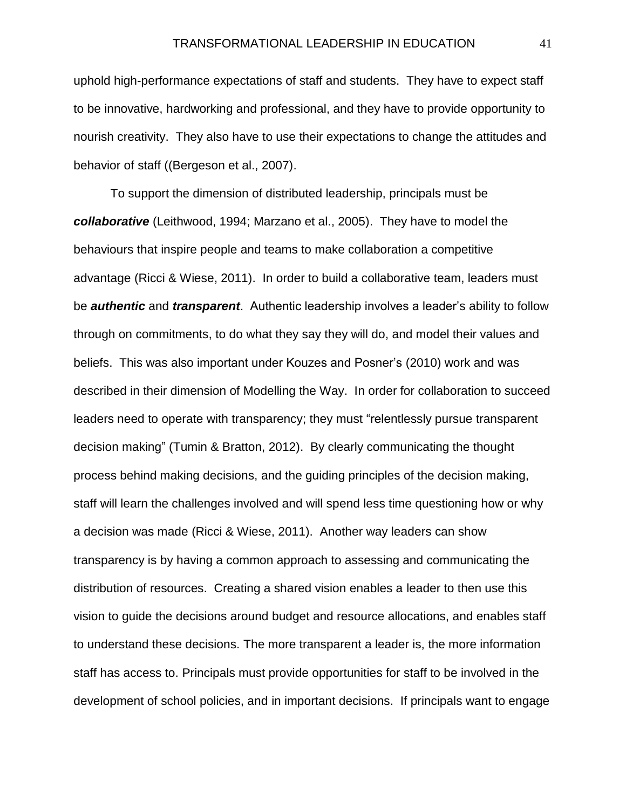uphold high-performance expectations of staff and students. They have to expect staff to be innovative, hardworking and professional, and they have to provide opportunity to nourish creativity. They also have to use their expectations to change the attitudes and behavior of staff ((Bergeson et al., 2007).

To support the dimension of distributed leadership, principals must be *collaborative* (Leithwood, 1994; Marzano et al., 2005). They have to model the behaviours that inspire people and teams to make collaboration a competitive advantage (Ricci & Wiese, 2011). In order to build a collaborative team, leaders must be *authentic* and *transparent*. Authentic leadership involves a leader's ability to follow through on commitments, to do what they say they will do, and model their values and beliefs. This was also important under Kouzes and Posner's (2010) work and was described in their dimension of Modelling the Way. In order for collaboration to succeed leaders need to operate with transparency; they must "relentlessly pursue transparent decision making" (Tumin & Bratton, 2012). By clearly communicating the thought process behind making decisions, and the guiding principles of the decision making, staff will learn the challenges involved and will spend less time questioning how or why a decision was made (Ricci & Wiese, 2011). Another way leaders can show transparency is by having a common approach to assessing and communicating the distribution of resources. Creating a shared vision enables a leader to then use this vision to guide the decisions around budget and resource allocations, and enables staff to understand these decisions. The more transparent a leader is, the more information staff has access to. Principals must provide opportunities for staff to be involved in the development of school policies, and in important decisions. If principals want to engage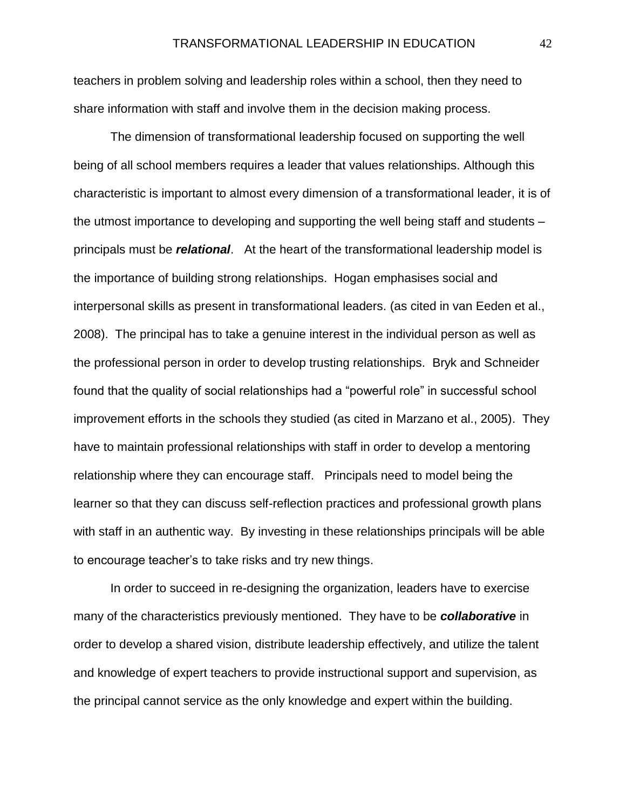teachers in problem solving and leadership roles within a school, then they need to share information with staff and involve them in the decision making process.

The dimension of transformational leadership focused on supporting the well being of all school members requires a leader that values relationships. Although this characteristic is important to almost every dimension of a transformational leader, it is of the utmost importance to developing and supporting the well being staff and students – principals must be *relational*. At the heart of the transformational leadership model is the importance of building strong relationships. Hogan emphasises social and interpersonal skills as present in transformational leaders. (as cited in van Eeden et al., 2008). The principal has to take a genuine interest in the individual person as well as the professional person in order to develop trusting relationships. Bryk and Schneider found that the quality of social relationships had a "powerful role" in successful school improvement efforts in the schools they studied (as cited in Marzano et al., 2005). They have to maintain professional relationships with staff in order to develop a mentoring relationship where they can encourage staff. Principals need to model being the learner so that they can discuss self-reflection practices and professional growth plans with staff in an authentic way. By investing in these relationships principals will be able to encourage teacher's to take risks and try new things.

In order to succeed in re-designing the organization, leaders have to exercise many of the characteristics previously mentioned. They have to be *collaborative* in order to develop a shared vision, distribute leadership effectively, and utilize the talent and knowledge of expert teachers to provide instructional support and supervision, as the principal cannot service as the only knowledge and expert within the building.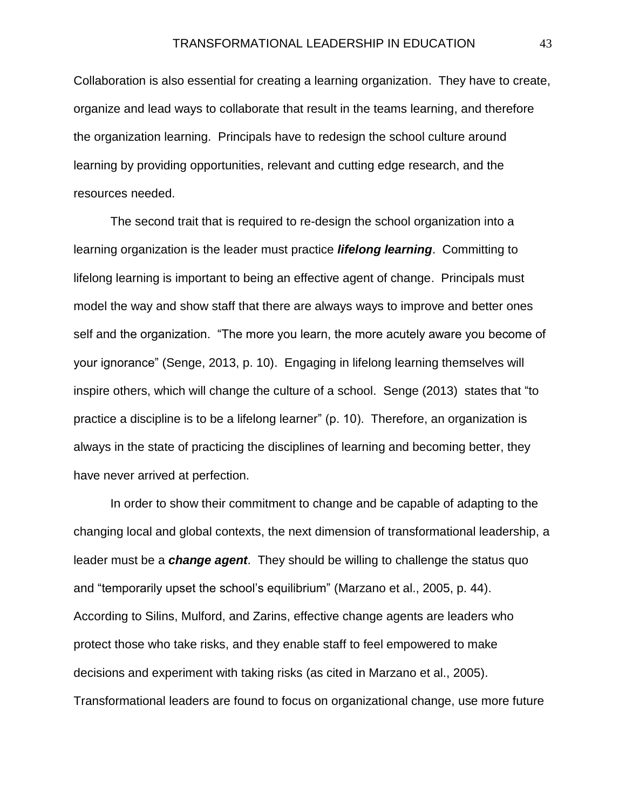Collaboration is also essential for creating a learning organization. They have to create, organize and lead ways to collaborate that result in the teams learning, and therefore the organization learning. Principals have to redesign the school culture around learning by providing opportunities, relevant and cutting edge research, and the resources needed.

The second trait that is required to re-design the school organization into a learning organization is the leader must practice *lifelong learning*. Committing to lifelong learning is important to being an effective agent of change. Principals must model the way and show staff that there are always ways to improve and better ones self and the organization. "The more you learn, the more acutely aware you become of your ignorance" (Senge, 2013, p. 10). Engaging in lifelong learning themselves will inspire others, which will change the culture of a school. Senge (2013) states that "to practice a discipline is to be a lifelong learner" (p. 10). Therefore, an organization is always in the state of practicing the disciplines of learning and becoming better, they have never arrived at perfection.

In order to show their commitment to change and be capable of adapting to the changing local and global contexts, the next dimension of transformational leadership, a leader must be a *change agent*. They should be willing to challenge the status quo and "temporarily upset the school's equilibrium" (Marzano et al., 2005, p. 44). According to Silins, Mulford, and Zarins, effective change agents are leaders who protect those who take risks, and they enable staff to feel empowered to make decisions and experiment with taking risks (as cited in Marzano et al., 2005). Transformational leaders are found to focus on organizational change, use more future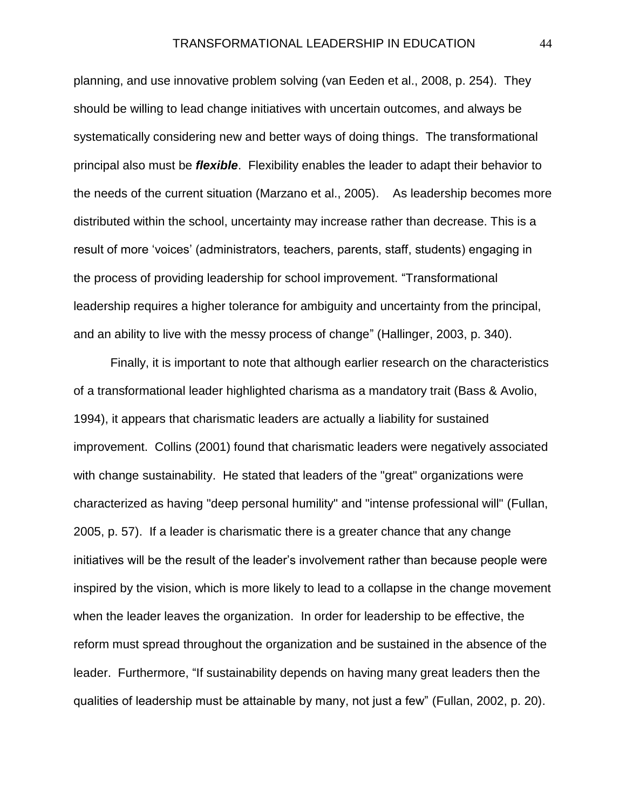planning, and use innovative problem solving (van Eeden et al., 2008, p. 254). They should be willing to lead change initiatives with uncertain outcomes, and always be systematically considering new and better ways of doing things. The transformational principal also must be *flexible*. Flexibility enables the leader to adapt their behavior to the needs of the current situation (Marzano et al., 2005). As leadership becomes more distributed within the school, uncertainty may increase rather than decrease. This is a result of more 'voices' (administrators, teachers, parents, staff, students) engaging in the process of providing leadership for school improvement. "Transformational leadership requires a higher tolerance for ambiguity and uncertainty from the principal, and an ability to live with the messy process of change" (Hallinger, 2003, p. 340).

Finally, it is important to note that although earlier research on the characteristics of a transformational leader highlighted charisma as a mandatory trait (Bass & Avolio, 1994), it appears that charismatic leaders are actually a liability for sustained improvement. Collins (2001) found that charismatic leaders were negatively associated with change sustainability. He stated that leaders of the "great" organizations were characterized as having "deep personal humility" and "intense professional will" (Fullan, 2005, p. 57). If a leader is charismatic there is a greater chance that any change initiatives will be the result of the leader's involvement rather than because people were inspired by the vision, which is more likely to lead to a collapse in the change movement when the leader leaves the organization. In order for leadership to be effective, the reform must spread throughout the organization and be sustained in the absence of the leader. Furthermore, "If sustainability depends on having many great leaders then the qualities of leadership must be attainable by many, not just a few" (Fullan, 2002, p. 20).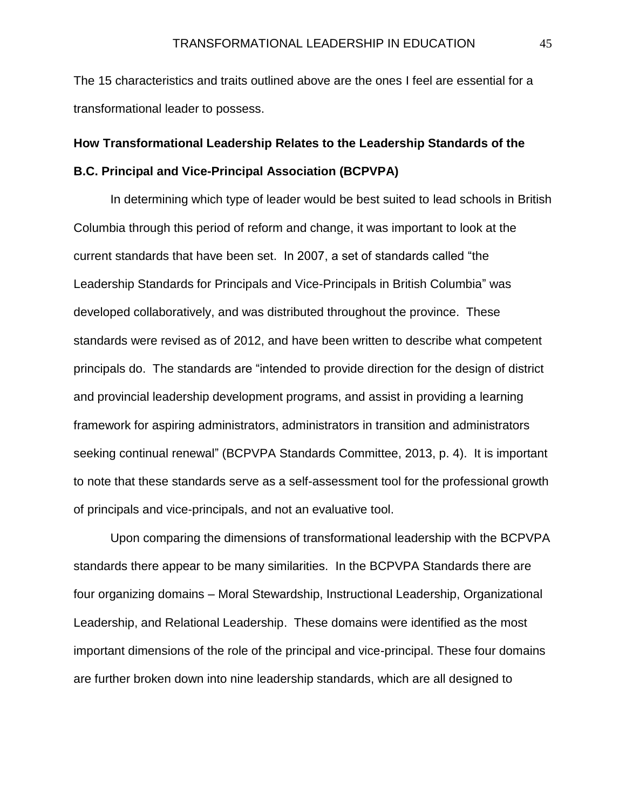The 15 characteristics and traits outlined above are the ones I feel are essential for a transformational leader to possess.

# **How Transformational Leadership Relates to the Leadership Standards of the B.C. Principal and Vice-Principal Association (BCPVPA)**

In determining which type of leader would be best suited to lead schools in British Columbia through this period of reform and change, it was important to look at the current standards that have been set. In 2007, a set of standards called "the Leadership Standards for Principals and Vice-Principals in British Columbia" was developed collaboratively, and was distributed throughout the province. These standards were revised as of 2012, and have been written to describe what competent principals do. The standards are "intended to provide direction for the design of district and provincial leadership development programs, and assist in providing a learning framework for aspiring administrators, administrators in transition and administrators seeking continual renewal" (BCPVPA Standards Committee, 2013, p. 4). It is important to note that these standards serve as a self-assessment tool for the professional growth of principals and vice-principals, and not an evaluative tool.

Upon comparing the dimensions of transformational leadership with the BCPVPA standards there appear to be many similarities. In the BCPVPA Standards there are four organizing domains – Moral Stewardship, Instructional Leadership, Organizational Leadership, and Relational Leadership. These domains were identified as the most important dimensions of the role of the principal and vice-principal. These four domains are further broken down into nine leadership standards, which are all designed to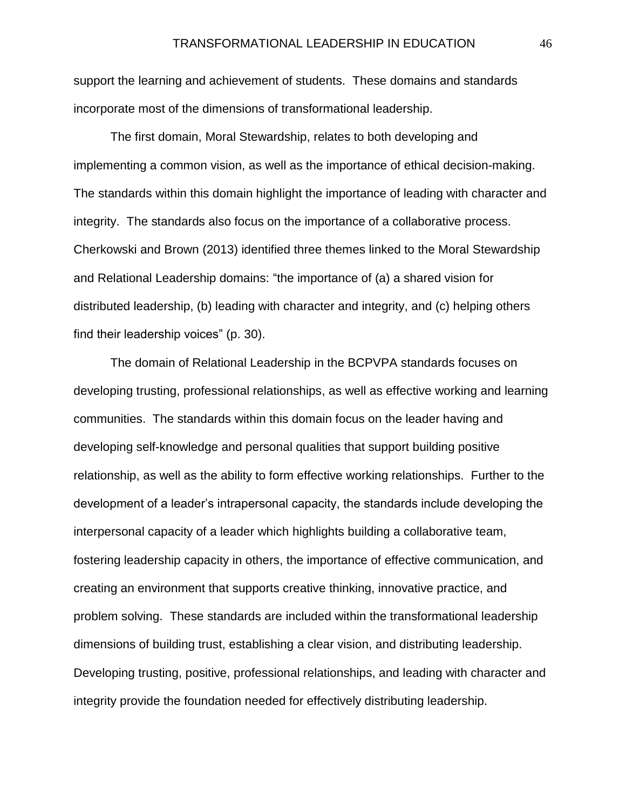support the learning and achievement of students. These domains and standards incorporate most of the dimensions of transformational leadership.

The first domain, Moral Stewardship, relates to both developing and implementing a common vision, as well as the importance of ethical decision-making. The standards within this domain highlight the importance of leading with character and integrity. The standards also focus on the importance of a collaborative process. Cherkowski and Brown (2013) identified three themes linked to the Moral Stewardship and Relational Leadership domains: "the importance of (a) a shared vision for distributed leadership, (b) leading with character and integrity, and (c) helping others find their leadership voices" (p. 30).

The domain of Relational Leadership in the BCPVPA standards focuses on developing trusting, professional relationships, as well as effective working and learning communities. The standards within this domain focus on the leader having and developing self-knowledge and personal qualities that support building positive relationship, as well as the ability to form effective working relationships. Further to the development of a leader's intrapersonal capacity, the standards include developing the interpersonal capacity of a leader which highlights building a collaborative team, fostering leadership capacity in others, the importance of effective communication, and creating an environment that supports creative thinking, innovative practice, and problem solving. These standards are included within the transformational leadership dimensions of building trust, establishing a clear vision, and distributing leadership. Developing trusting, positive, professional relationships, and leading with character and integrity provide the foundation needed for effectively distributing leadership.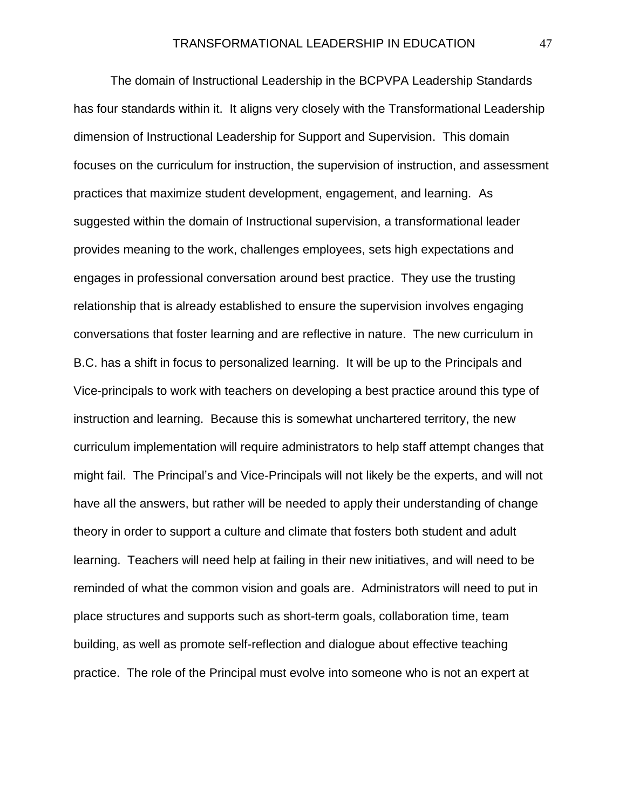The domain of Instructional Leadership in the BCPVPA Leadership Standards has four standards within it. It aligns very closely with the Transformational Leadership dimension of Instructional Leadership for Support and Supervision. This domain focuses on the curriculum for instruction, the supervision of instruction, and assessment practices that maximize student development, engagement, and learning. As suggested within the domain of Instructional supervision, a transformational leader provides meaning to the work, challenges employees, sets high expectations and engages in professional conversation around best practice. They use the trusting relationship that is already established to ensure the supervision involves engaging conversations that foster learning and are reflective in nature. The new curriculum in B.C. has a shift in focus to personalized learning. It will be up to the Principals and Vice-principals to work with teachers on developing a best practice around this type of instruction and learning. Because this is somewhat unchartered territory, the new curriculum implementation will require administrators to help staff attempt changes that might fail. The Principal's and Vice-Principals will not likely be the experts, and will not have all the answers, but rather will be needed to apply their understanding of change theory in order to support a culture and climate that fosters both student and adult learning. Teachers will need help at failing in their new initiatives, and will need to be reminded of what the common vision and goals are. Administrators will need to put in place structures and supports such as short-term goals, collaboration time, team building, as well as promote self-reflection and dialogue about effective teaching practice. The role of the Principal must evolve into someone who is not an expert at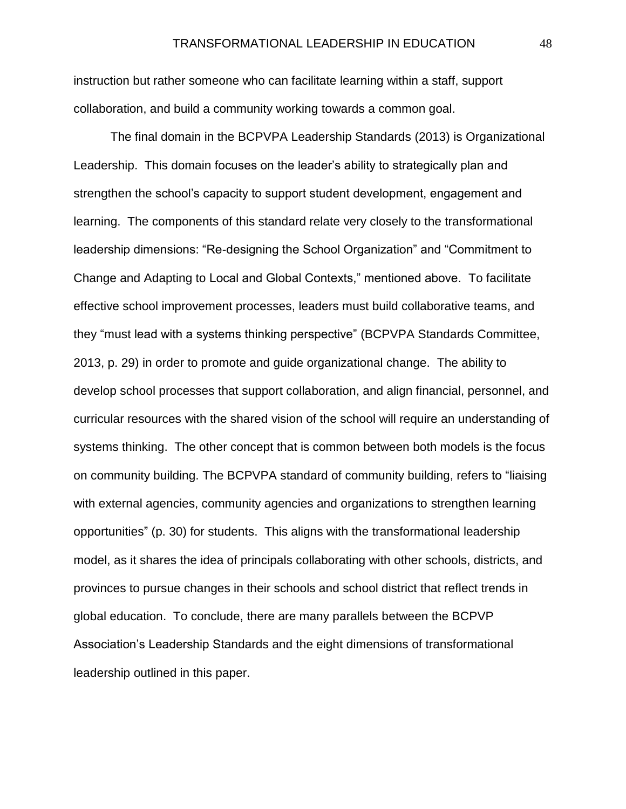instruction but rather someone who can facilitate learning within a staff, support collaboration, and build a community working towards a common goal.

The final domain in the BCPVPA Leadership Standards (2013) is Organizational Leadership. This domain focuses on the leader's ability to strategically plan and strengthen the school's capacity to support student development, engagement and learning. The components of this standard relate very closely to the transformational leadership dimensions: "Re-designing the School Organization" and "Commitment to Change and Adapting to Local and Global Contexts," mentioned above. To facilitate effective school improvement processes, leaders must build collaborative teams, and they "must lead with a systems thinking perspective" (BCPVPA Standards Committee, 2013, p. 29) in order to promote and guide organizational change. The ability to develop school processes that support collaboration, and align financial, personnel, and curricular resources with the shared vision of the school will require an understanding of systems thinking. The other concept that is common between both models is the focus on community building. The BCPVPA standard of community building, refers to "liaising with external agencies, community agencies and organizations to strengthen learning opportunities" (p. 30) for students. This aligns with the transformational leadership model, as it shares the idea of principals collaborating with other schools, districts, and provinces to pursue changes in their schools and school district that reflect trends in global education. To conclude, there are many parallels between the BCPVP Association's Leadership Standards and the eight dimensions of transformational leadership outlined in this paper.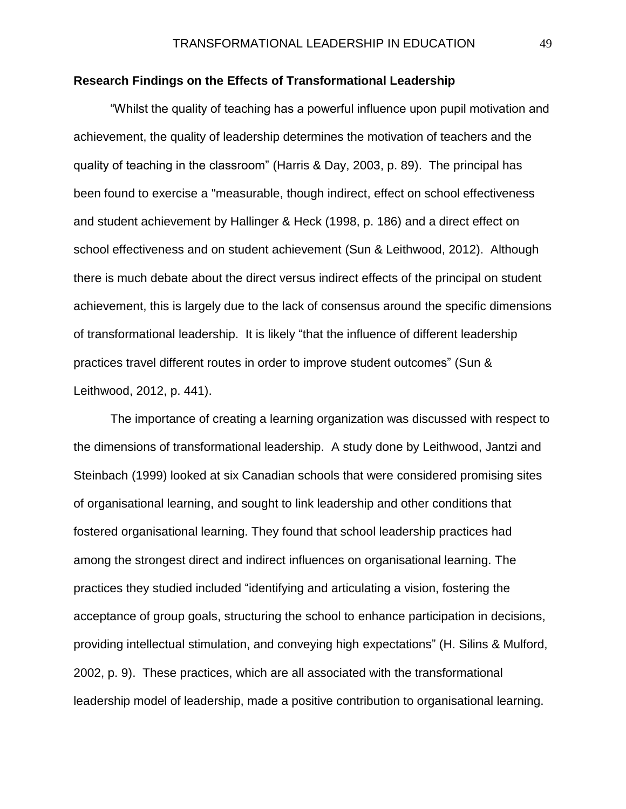## **Research Findings on the Effects of Transformational Leadership**

"Whilst the quality of teaching has a powerful influence upon pupil motivation and achievement, the quality of leadership determines the motivation of teachers and the quality of teaching in the classroom" (Harris & Day, 2003, p. 89). The principal has been found to exercise a "measurable, though indirect, effect on school effectiveness and student achievement by Hallinger & Heck (1998, p. 186) and a direct effect on school effectiveness and on student achievement (Sun & Leithwood, 2012). Although there is much debate about the direct versus indirect effects of the principal on student achievement, this is largely due to the lack of consensus around the specific dimensions of transformational leadership. It is likely "that the influence of different leadership practices travel different routes in order to improve student outcomes" (Sun & Leithwood, 2012, p. 441).

The importance of creating a learning organization was discussed with respect to the dimensions of transformational leadership. A study done by Leithwood, Jantzi and Steinbach (1999) looked at six Canadian schools that were considered promising sites of organisational learning, and sought to link leadership and other conditions that fostered organisational learning. They found that school leadership practices had among the strongest direct and indirect influences on organisational learning. The practices they studied included "identifying and articulating a vision, fostering the acceptance of group goals, structuring the school to enhance participation in decisions, providing intellectual stimulation, and conveying high expectations" (H. Silins & Mulford, 2002, p. 9). These practices, which are all associated with the transformational leadership model of leadership, made a positive contribution to organisational learning.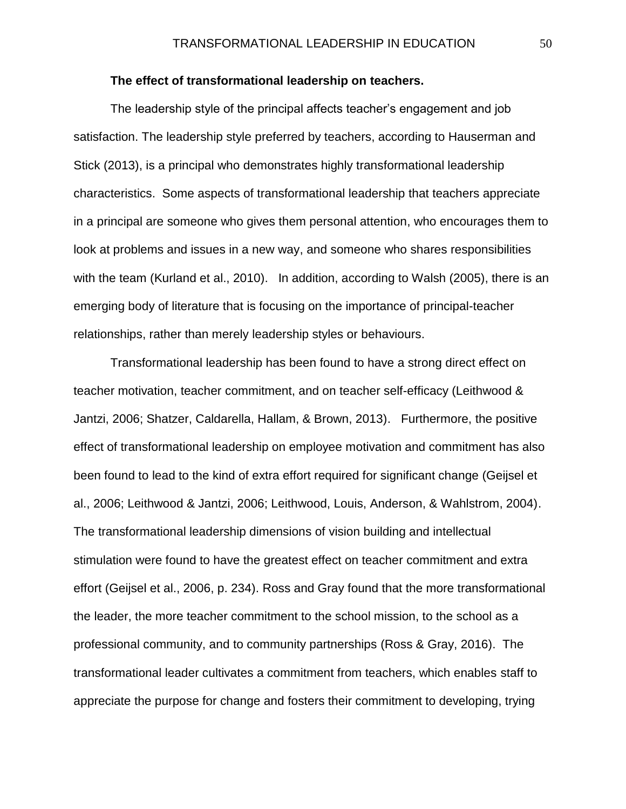## **The effect of transformational leadership on teachers.**

The leadership style of the principal affects teacher's engagement and job satisfaction. The leadership style preferred by teachers, according to Hauserman and Stick (2013), is a principal who demonstrates highly transformational leadership characteristics. Some aspects of transformational leadership that teachers appreciate in a principal are someone who gives them personal attention, who encourages them to look at problems and issues in a new way, and someone who shares responsibilities with the team (Kurland et al., 2010). In addition, according to Walsh (2005), there is an emerging body of literature that is focusing on the importance of principal-teacher relationships, rather than merely leadership styles or behaviours.

Transformational leadership has been found to have a strong direct effect on teacher motivation, teacher commitment, and on teacher self-efficacy (Leithwood & Jantzi, 2006; Shatzer, Caldarella, Hallam, & Brown, 2013). Furthermore, the positive effect of transformational leadership on employee motivation and commitment has also been found to lead to the kind of extra effort required for significant change (Geijsel et al., 2006; Leithwood & Jantzi, 2006; Leithwood, Louis, Anderson, & Wahlstrom, 2004). The transformational leadership dimensions of vision building and intellectual stimulation were found to have the greatest effect on teacher commitment and extra effort (Geijsel et al., 2006, p. 234). Ross and Gray found that the more transformational the leader, the more teacher commitment to the school mission, to the school as a professional community, and to community partnerships (Ross & Gray, 2016). The transformational leader cultivates a commitment from teachers, which enables staff to appreciate the purpose for change and fosters their commitment to developing, trying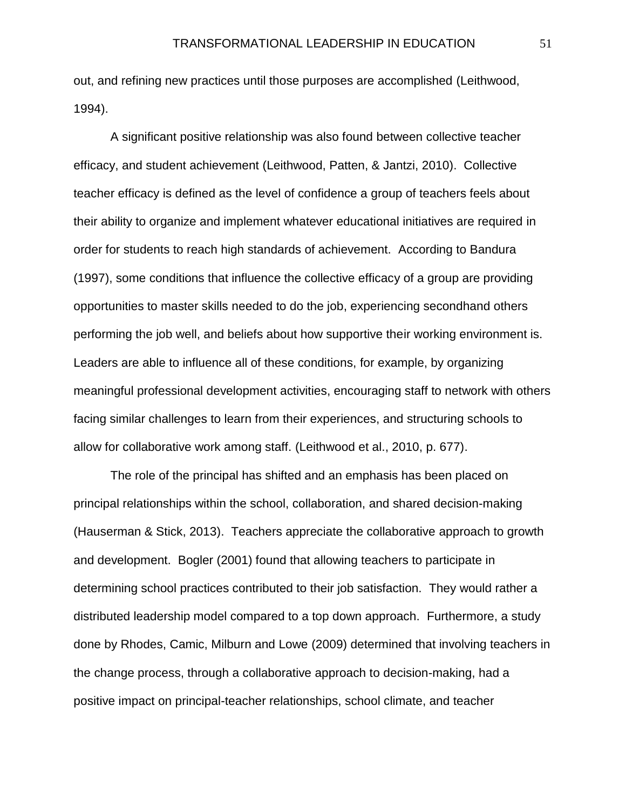out, and refining new practices until those purposes are accomplished (Leithwood, 1994).

A significant positive relationship was also found between collective teacher efficacy, and student achievement (Leithwood, Patten, & Jantzi, 2010). Collective teacher efficacy is defined as the level of confidence a group of teachers feels about their ability to organize and implement whatever educational initiatives are required in order for students to reach high standards of achievement. According to Bandura (1997), some conditions that influence the collective efficacy of a group are providing opportunities to master skills needed to do the job, experiencing secondhand others performing the job well, and beliefs about how supportive their working environment is. Leaders are able to influence all of these conditions, for example, by organizing meaningful professional development activities, encouraging staff to network with others facing similar challenges to learn from their experiences, and structuring schools to allow for collaborative work among staff. (Leithwood et al., 2010, p. 677).

The role of the principal has shifted and an emphasis has been placed on principal relationships within the school, collaboration, and shared decision-making (Hauserman & Stick, 2013). Teachers appreciate the collaborative approach to growth and development. Bogler (2001) found that allowing teachers to participate in determining school practices contributed to their job satisfaction. They would rather a distributed leadership model compared to a top down approach. Furthermore, a study done by Rhodes, Camic, Milburn and Lowe (2009) determined that involving teachers in the change process, through a collaborative approach to decision-making, had a positive impact on principal-teacher relationships, school climate, and teacher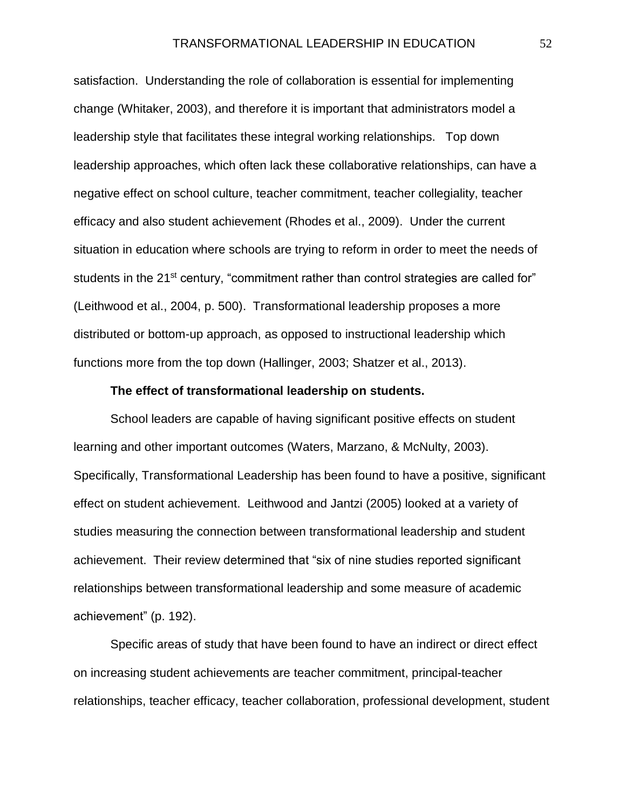satisfaction. Understanding the role of collaboration is essential for implementing change (Whitaker, 2003), and therefore it is important that administrators model a leadership style that facilitates these integral working relationships. Top down leadership approaches, which often lack these collaborative relationships, can have a negative effect on school culture, teacher commitment, teacher collegiality, teacher efficacy and also student achievement (Rhodes et al., 2009). Under the current situation in education where schools are trying to reform in order to meet the needs of students in the 21<sup>st</sup> century, "commitment rather than control strategies are called for" (Leithwood et al., 2004, p. 500). Transformational leadership proposes a more distributed or bottom-up approach, as opposed to instructional leadership which functions more from the top down (Hallinger, 2003; Shatzer et al., 2013).

## **The effect of transformational leadership on students.**

School leaders are capable of having significant positive effects on student learning and other important outcomes (Waters, Marzano, & McNulty, 2003). Specifically, Transformational Leadership has been found to have a positive, significant effect on student achievement. Leithwood and Jantzi (2005) looked at a variety of studies measuring the connection between transformational leadership and student achievement. Their review determined that "six of nine studies reported significant relationships between transformational leadership and some measure of academic achievement" (p. 192).

Specific areas of study that have been found to have an indirect or direct effect on increasing student achievements are teacher commitment, principal-teacher relationships, teacher efficacy, teacher collaboration, professional development, student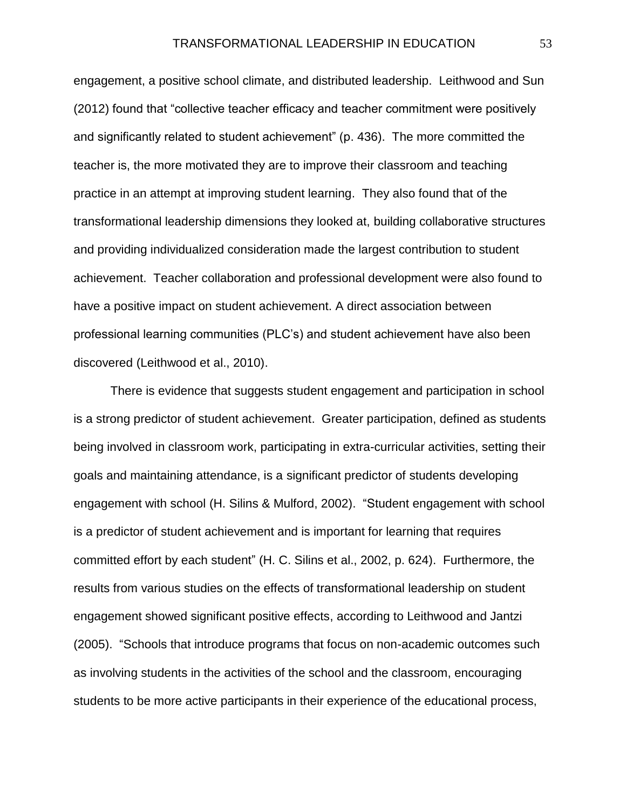engagement, a positive school climate, and distributed leadership. Leithwood and Sun (2012) found that "collective teacher efficacy and teacher commitment were positively and significantly related to student achievement" (p. 436). The more committed the teacher is, the more motivated they are to improve their classroom and teaching practice in an attempt at improving student learning. They also found that of the transformational leadership dimensions they looked at, building collaborative structures and providing individualized consideration made the largest contribution to student achievement. Teacher collaboration and professional development were also found to have a positive impact on student achievement. A direct association between professional learning communities (PLC's) and student achievement have also been discovered (Leithwood et al., 2010).

There is evidence that suggests student engagement and participation in school is a strong predictor of student achievement. Greater participation, defined as students being involved in classroom work, participating in extra-curricular activities, setting their goals and maintaining attendance, is a significant predictor of students developing engagement with school (H. Silins & Mulford, 2002). "Student engagement with school is a predictor of student achievement and is important for learning that requires committed effort by each student" (H. C. Silins et al., 2002, p. 624). Furthermore, the results from various studies on the effects of transformational leadership on student engagement showed significant positive effects, according to Leithwood and Jantzi (2005). "Schools that introduce programs that focus on non-academic outcomes such as involving students in the activities of the school and the classroom, encouraging students to be more active participants in their experience of the educational process,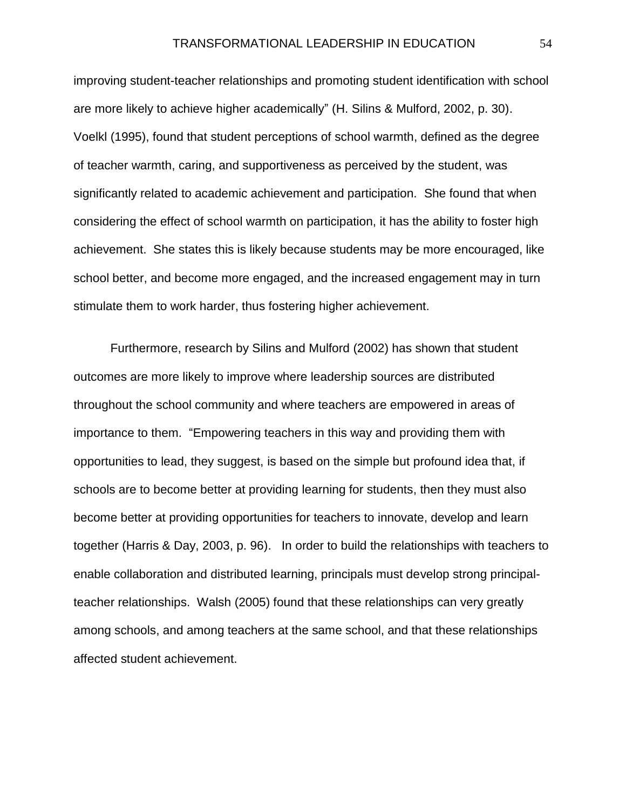improving student-teacher relationships and promoting student identification with school are more likely to achieve higher academically" (H. Silins & Mulford, 2002, p. 30). Voelkl (1995), found that student perceptions of school warmth, defined as the degree of teacher warmth, caring, and supportiveness as perceived by the student, was significantly related to academic achievement and participation. She found that when considering the effect of school warmth on participation, it has the ability to foster high achievement. She states this is likely because students may be more encouraged, like school better, and become more engaged, and the increased engagement may in turn stimulate them to work harder, thus fostering higher achievement.

Furthermore, research by Silins and Mulford (2002) has shown that student outcomes are more likely to improve where leadership sources are distributed throughout the school community and where teachers are empowered in areas of importance to them. "Empowering teachers in this way and providing them with opportunities to lead, they suggest, is based on the simple but profound idea that, if schools are to become better at providing learning for students, then they must also become better at providing opportunities for teachers to innovate, develop and learn together (Harris & Day, 2003, p. 96). In order to build the relationships with teachers to enable collaboration and distributed learning, principals must develop strong principalteacher relationships. Walsh (2005) found that these relationships can very greatly among schools, and among teachers at the same school, and that these relationships affected student achievement.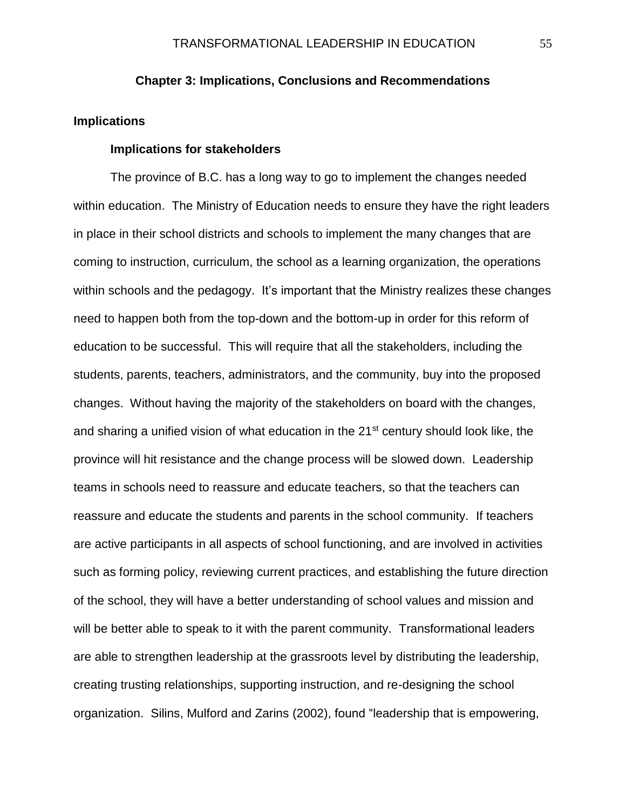## **Chapter 3: Implications, Conclusions and Recommendations**

## **Implications**

#### **Implications for stakeholders**

The province of B.C. has a long way to go to implement the changes needed within education. The Ministry of Education needs to ensure they have the right leaders in place in their school districts and schools to implement the many changes that are coming to instruction, curriculum, the school as a learning organization, the operations within schools and the pedagogy. It's important that the Ministry realizes these changes need to happen both from the top-down and the bottom-up in order for this reform of education to be successful. This will require that all the stakeholders, including the students, parents, teachers, administrators, and the community, buy into the proposed changes. Without having the majority of the stakeholders on board with the changes, and sharing a unified vision of what education in the  $21<sup>st</sup>$  century should look like, the province will hit resistance and the change process will be slowed down. Leadership teams in schools need to reassure and educate teachers, so that the teachers can reassure and educate the students and parents in the school community. If teachers are active participants in all aspects of school functioning, and are involved in activities such as forming policy, reviewing current practices, and establishing the future direction of the school, they will have a better understanding of school values and mission and will be better able to speak to it with the parent community. Transformational leaders are able to strengthen leadership at the grassroots level by distributing the leadership, creating trusting relationships, supporting instruction, and re-designing the school organization. Silins, Mulford and Zarins (2002), found "leadership that is empowering,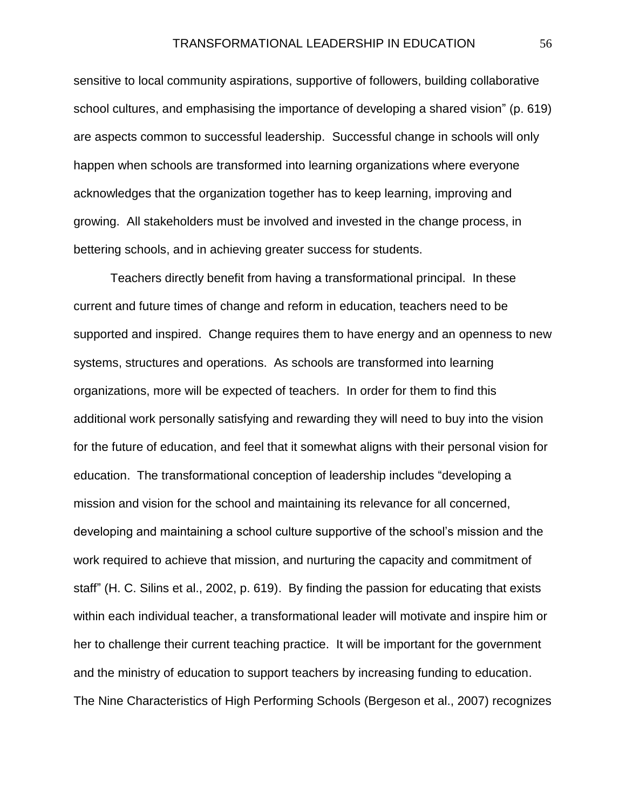sensitive to local community aspirations, supportive of followers, building collaborative school cultures, and emphasising the importance of developing a shared vision" (p. 619) are aspects common to successful leadership. Successful change in schools will only happen when schools are transformed into learning organizations where everyone acknowledges that the organization together has to keep learning, improving and growing. All stakeholders must be involved and invested in the change process, in bettering schools, and in achieving greater success for students.

Teachers directly benefit from having a transformational principal. In these current and future times of change and reform in education, teachers need to be supported and inspired. Change requires them to have energy and an openness to new systems, structures and operations. As schools are transformed into learning organizations, more will be expected of teachers. In order for them to find this additional work personally satisfying and rewarding they will need to buy into the vision for the future of education, and feel that it somewhat aligns with their personal vision for education. The transformational conception of leadership includes "developing a mission and vision for the school and maintaining its relevance for all concerned, developing and maintaining a school culture supportive of the school's mission and the work required to achieve that mission, and nurturing the capacity and commitment of staff" (H. C. Silins et al., 2002, p. 619). By finding the passion for educating that exists within each individual teacher, a transformational leader will motivate and inspire him or her to challenge their current teaching practice. It will be important for the government and the ministry of education to support teachers by increasing funding to education. The Nine Characteristics of High Performing Schools (Bergeson et al., 2007) recognizes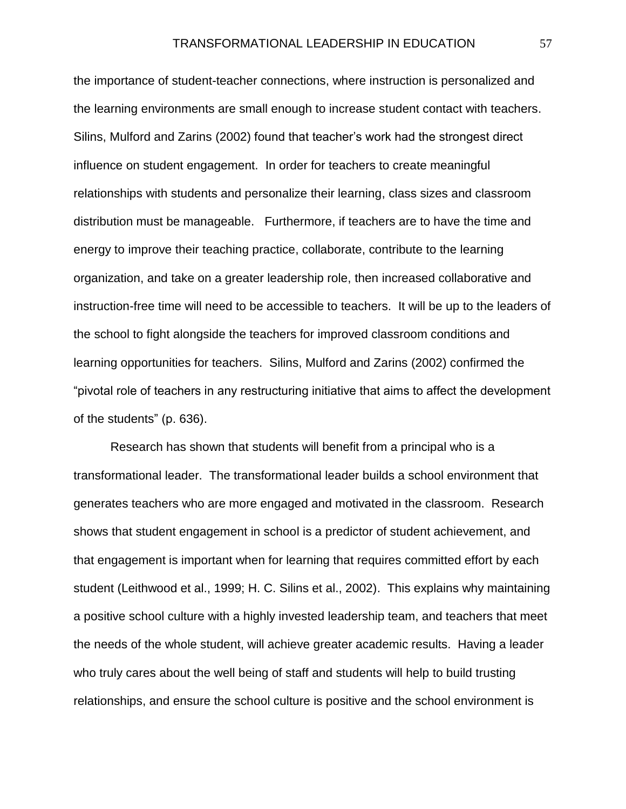the importance of student-teacher connections, where instruction is personalized and the learning environments are small enough to increase student contact with teachers. Silins, Mulford and Zarins (2002) found that teacher's work had the strongest direct influence on student engagement. In order for teachers to create meaningful relationships with students and personalize their learning, class sizes and classroom distribution must be manageable. Furthermore, if teachers are to have the time and energy to improve their teaching practice, collaborate, contribute to the learning organization, and take on a greater leadership role, then increased collaborative and instruction-free time will need to be accessible to teachers. It will be up to the leaders of the school to fight alongside the teachers for improved classroom conditions and learning opportunities for teachers. Silins, Mulford and Zarins (2002) confirmed the "pivotal role of teachers in any restructuring initiative that aims to affect the development of the students" (p. 636).

Research has shown that students will benefit from a principal who is a transformational leader. The transformational leader builds a school environment that generates teachers who are more engaged and motivated in the classroom. Research shows that student engagement in school is a predictor of student achievement, and that engagement is important when for learning that requires committed effort by each student (Leithwood et al., 1999; H. C. Silins et al., 2002). This explains why maintaining a positive school culture with a highly invested leadership team, and teachers that meet the needs of the whole student, will achieve greater academic results. Having a leader who truly cares about the well being of staff and students will help to build trusting relationships, and ensure the school culture is positive and the school environment is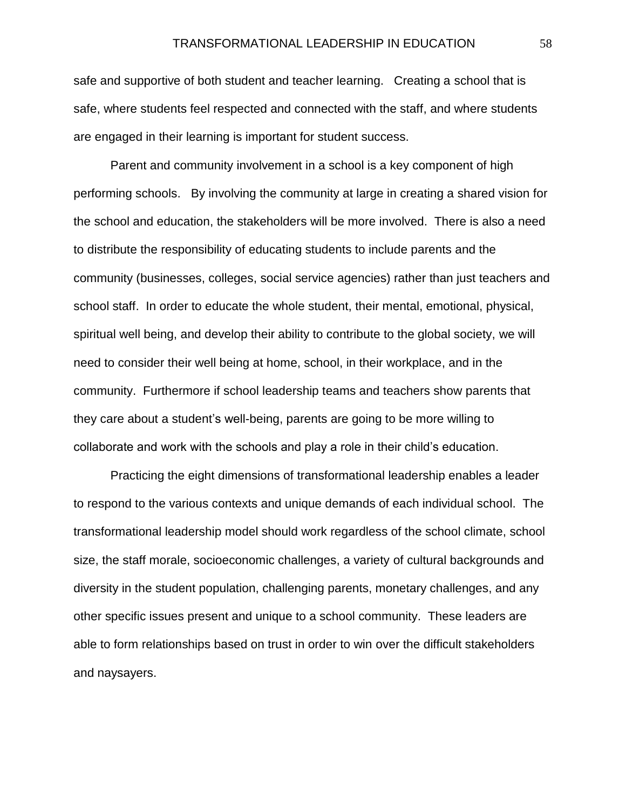safe and supportive of both student and teacher learning. Creating a school that is safe, where students feel respected and connected with the staff, and where students are engaged in their learning is important for student success.

Parent and community involvement in a school is a key component of high performing schools. By involving the community at large in creating a shared vision for the school and education, the stakeholders will be more involved. There is also a need to distribute the responsibility of educating students to include parents and the community (businesses, colleges, social service agencies) rather than just teachers and school staff. In order to educate the whole student, their mental, emotional, physical, spiritual well being, and develop their ability to contribute to the global society, we will need to consider their well being at home, school, in their workplace, and in the community. Furthermore if school leadership teams and teachers show parents that they care about a student's well-being, parents are going to be more willing to collaborate and work with the schools and play a role in their child's education.

Practicing the eight dimensions of transformational leadership enables a leader to respond to the various contexts and unique demands of each individual school. The transformational leadership model should work regardless of the school climate, school size, the staff morale, socioeconomic challenges, a variety of cultural backgrounds and diversity in the student population, challenging parents, monetary challenges, and any other specific issues present and unique to a school community. These leaders are able to form relationships based on trust in order to win over the difficult stakeholders and naysayers.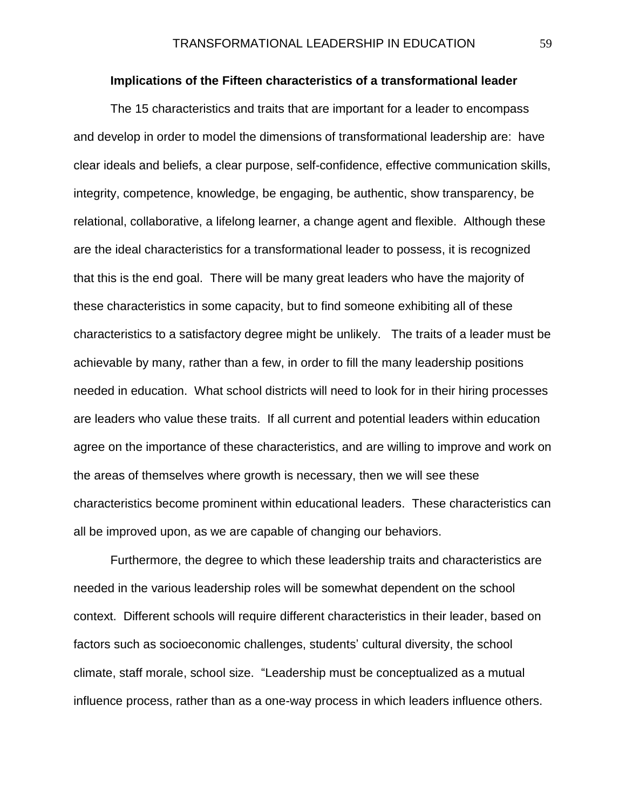## **Implications of the Fifteen characteristics of a transformational leader**

The 15 characteristics and traits that are important for a leader to encompass and develop in order to model the dimensions of transformational leadership are: have clear ideals and beliefs, a clear purpose, self-confidence, effective communication skills, integrity, competence, knowledge, be engaging, be authentic, show transparency, be relational, collaborative, a lifelong learner, a change agent and flexible. Although these are the ideal characteristics for a transformational leader to possess, it is recognized that this is the end goal. There will be many great leaders who have the majority of these characteristics in some capacity, but to find someone exhibiting all of these characteristics to a satisfactory degree might be unlikely. The traits of a leader must be achievable by many, rather than a few, in order to fill the many leadership positions needed in education. What school districts will need to look for in their hiring processes are leaders who value these traits. If all current and potential leaders within education agree on the importance of these characteristics, and are willing to improve and work on the areas of themselves where growth is necessary, then we will see these characteristics become prominent within educational leaders. These characteristics can all be improved upon, as we are capable of changing our behaviors.

Furthermore, the degree to which these leadership traits and characteristics are needed in the various leadership roles will be somewhat dependent on the school context. Different schools will require different characteristics in their leader, based on factors such as socioeconomic challenges, students' cultural diversity, the school climate, staff morale, school size. "Leadership must be conceptualized as a mutual influence process, rather than as a one-way process in which leaders influence others.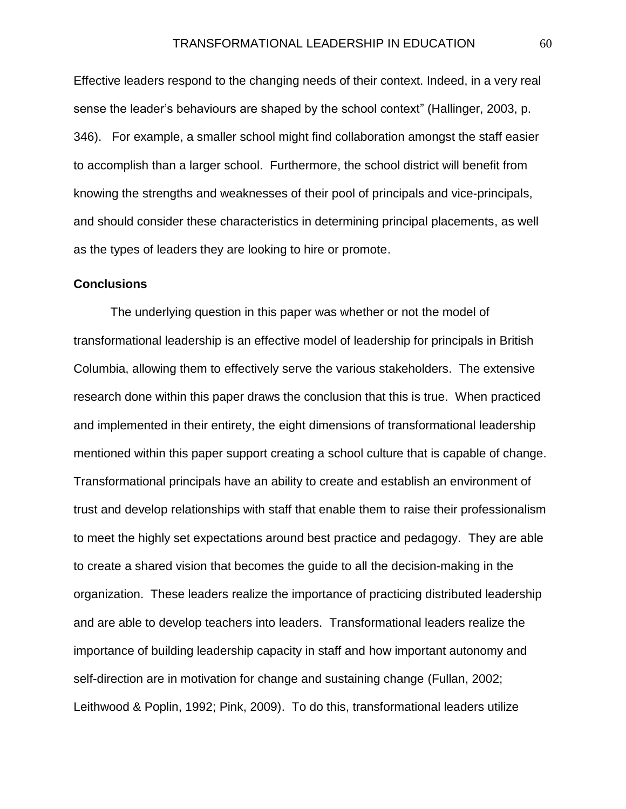Effective leaders respond to the changing needs of their context. Indeed, in a very real sense the leader's behaviours are shaped by the school context" (Hallinger, 2003, p. 346). For example, a smaller school might find collaboration amongst the staff easier to accomplish than a larger school. Furthermore, the school district will benefit from knowing the strengths and weaknesses of their pool of principals and vice-principals, and should consider these characteristics in determining principal placements, as well as the types of leaders they are looking to hire or promote.

#### **Conclusions**

The underlying question in this paper was whether or not the model of transformational leadership is an effective model of leadership for principals in British Columbia, allowing them to effectively serve the various stakeholders. The extensive research done within this paper draws the conclusion that this is true. When practiced and implemented in their entirety, the eight dimensions of transformational leadership mentioned within this paper support creating a school culture that is capable of change. Transformational principals have an ability to create and establish an environment of trust and develop relationships with staff that enable them to raise their professionalism to meet the highly set expectations around best practice and pedagogy. They are able to create a shared vision that becomes the guide to all the decision-making in the organization. These leaders realize the importance of practicing distributed leadership and are able to develop teachers into leaders. Transformational leaders realize the importance of building leadership capacity in staff and how important autonomy and self-direction are in motivation for change and sustaining change (Fullan, 2002; Leithwood & Poplin, 1992; Pink, 2009). To do this, transformational leaders utilize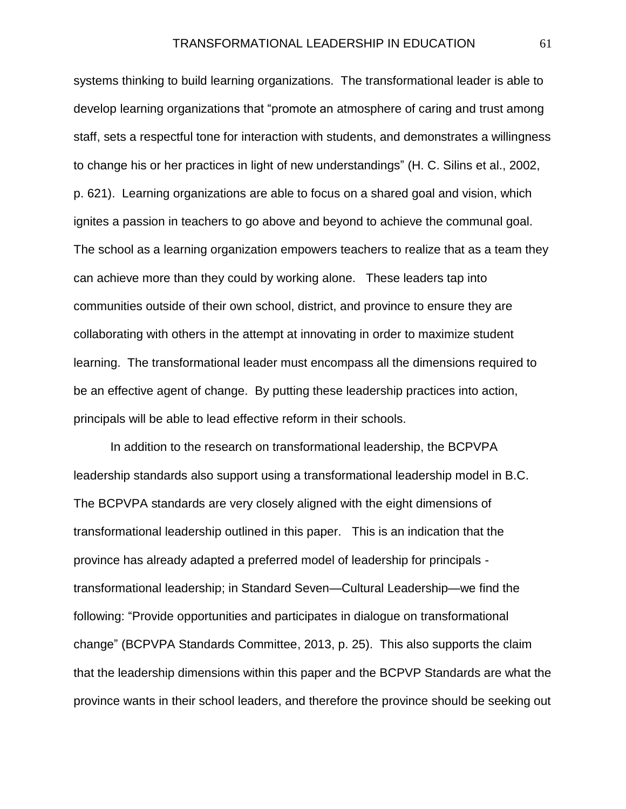systems thinking to build learning organizations. The transformational leader is able to develop learning organizations that "promote an atmosphere of caring and trust among staff, sets a respectful tone for interaction with students, and demonstrates a willingness to change his or her practices in light of new understandings" (H. C. Silins et al., 2002, p. 621). Learning organizations are able to focus on a shared goal and vision, which ignites a passion in teachers to go above and beyond to achieve the communal goal. The school as a learning organization empowers teachers to realize that as a team they can achieve more than they could by working alone. These leaders tap into communities outside of their own school, district, and province to ensure they are collaborating with others in the attempt at innovating in order to maximize student learning. The transformational leader must encompass all the dimensions required to be an effective agent of change. By putting these leadership practices into action, principals will be able to lead effective reform in their schools.

In addition to the research on transformational leadership, the BCPVPA leadership standards also support using a transformational leadership model in B.C. The BCPVPA standards are very closely aligned with the eight dimensions of transformational leadership outlined in this paper. This is an indication that the province has already adapted a preferred model of leadership for principals transformational leadership; in Standard Seven—Cultural Leadership—we find the following: "Provide opportunities and participates in dialogue on transformational change" (BCPVPA Standards Committee, 2013, p. 25). This also supports the claim that the leadership dimensions within this paper and the BCPVP Standards are what the province wants in their school leaders, and therefore the province should be seeking out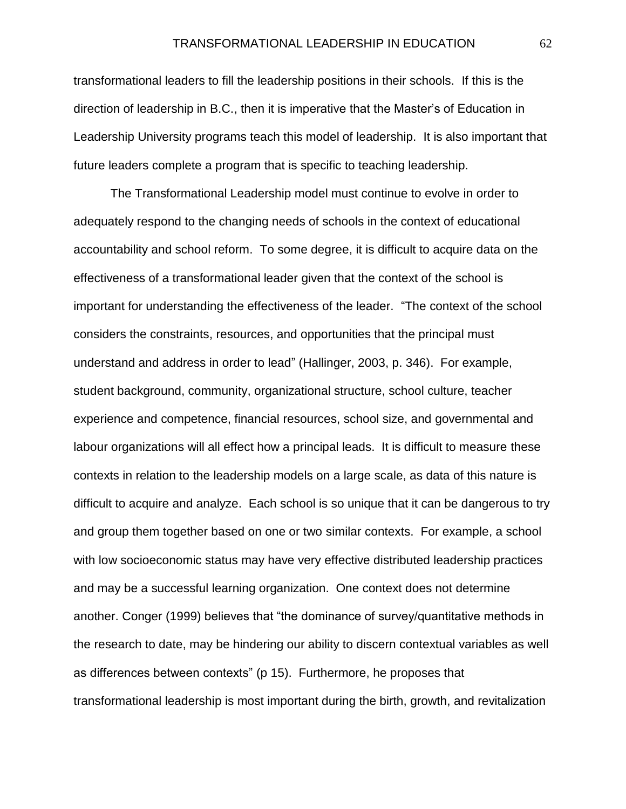transformational leaders to fill the leadership positions in their schools. If this is the direction of leadership in B.C., then it is imperative that the Master's of Education in Leadership University programs teach this model of leadership. It is also important that future leaders complete a program that is specific to teaching leadership.

The Transformational Leadership model must continue to evolve in order to adequately respond to the changing needs of schools in the context of educational accountability and school reform. To some degree, it is difficult to acquire data on the effectiveness of a transformational leader given that the context of the school is important for understanding the effectiveness of the leader. "The context of the school considers the constraints, resources, and opportunities that the principal must understand and address in order to lead" (Hallinger, 2003, p. 346). For example, student background, community, organizational structure, school culture, teacher experience and competence, financial resources, school size, and governmental and labour organizations will all effect how a principal leads. It is difficult to measure these contexts in relation to the leadership models on a large scale, as data of this nature is difficult to acquire and analyze. Each school is so unique that it can be dangerous to try and group them together based on one or two similar contexts. For example, a school with low socioeconomic status may have very effective distributed leadership practices and may be a successful learning organization. One context does not determine another. Conger (1999) believes that "the dominance of survey/quantitative methods in the research to date, may be hindering our ability to discern contextual variables as well as differences between contexts" (p 15). Furthermore, he proposes that transformational leadership is most important during the birth, growth, and revitalization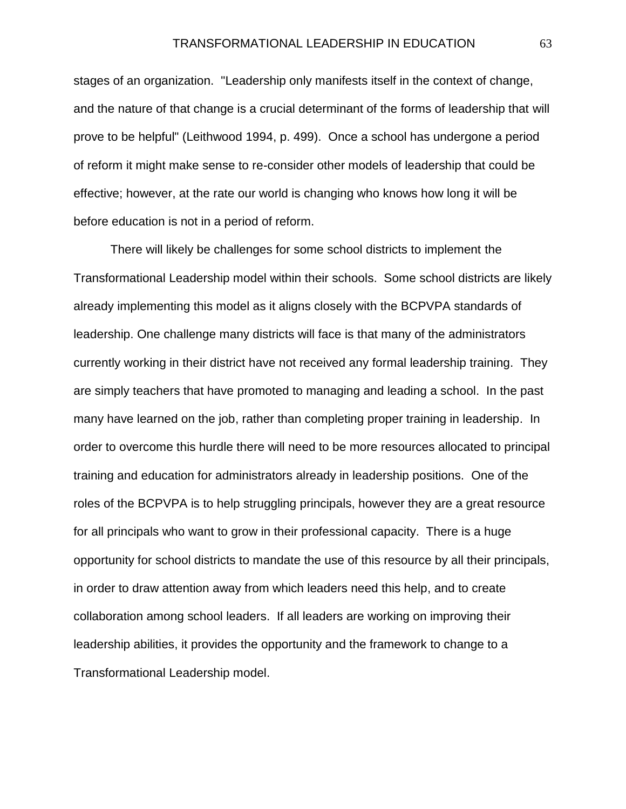stages of an organization. "Leadership only manifests itself in the context of change, and the nature of that change is a crucial determinant of the forms of leadership that will prove to be helpful" (Leithwood 1994, p. 499). Once a school has undergone a period of reform it might make sense to re-consider other models of leadership that could be effective; however, at the rate our world is changing who knows how long it will be before education is not in a period of reform.

There will likely be challenges for some school districts to implement the Transformational Leadership model within their schools. Some school districts are likely already implementing this model as it aligns closely with the BCPVPA standards of leadership. One challenge many districts will face is that many of the administrators currently working in their district have not received any formal leadership training. They are simply teachers that have promoted to managing and leading a school. In the past many have learned on the job, rather than completing proper training in leadership. In order to overcome this hurdle there will need to be more resources allocated to principal training and education for administrators already in leadership positions. One of the roles of the BCPVPA is to help struggling principals, however they are a great resource for all principals who want to grow in their professional capacity. There is a huge opportunity for school districts to mandate the use of this resource by all their principals, in order to draw attention away from which leaders need this help, and to create collaboration among school leaders. If all leaders are working on improving their leadership abilities, it provides the opportunity and the framework to change to a Transformational Leadership model.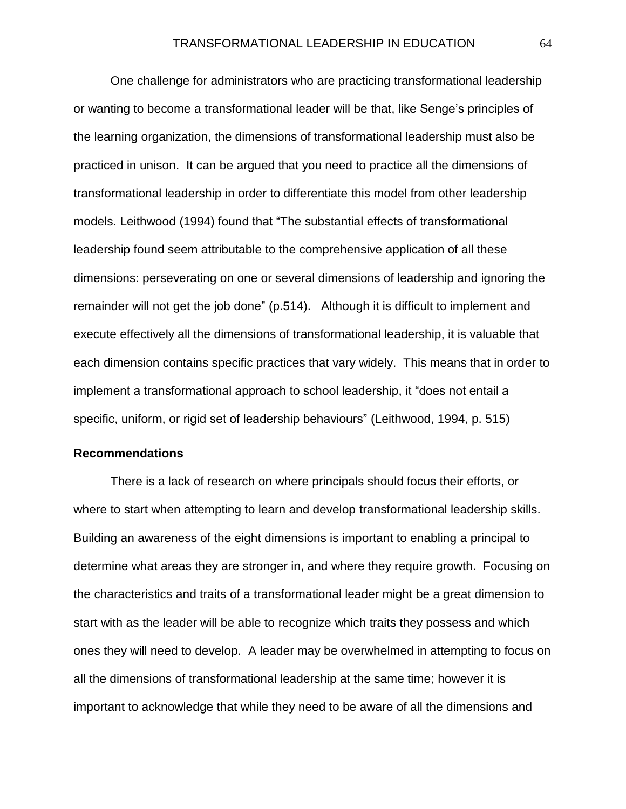One challenge for administrators who are practicing transformational leadership or wanting to become a transformational leader will be that, like Senge's principles of the learning organization, the dimensions of transformational leadership must also be practiced in unison. It can be argued that you need to practice all the dimensions of transformational leadership in order to differentiate this model from other leadership models. Leithwood (1994) found that "The substantial effects of transformational leadership found seem attributable to the comprehensive application of all these dimensions: perseverating on one or several dimensions of leadership and ignoring the remainder will not get the job done" (p.514). Although it is difficult to implement and execute effectively all the dimensions of transformational leadership, it is valuable that each dimension contains specific practices that vary widely. This means that in order to implement a transformational approach to school leadership, it "does not entail a specific, uniform, or rigid set of leadership behaviours" (Leithwood, 1994, p. 515)

#### **Recommendations**

There is a lack of research on where principals should focus their efforts, or where to start when attempting to learn and develop transformational leadership skills. Building an awareness of the eight dimensions is important to enabling a principal to determine what areas they are stronger in, and where they require growth. Focusing on the characteristics and traits of a transformational leader might be a great dimension to start with as the leader will be able to recognize which traits they possess and which ones they will need to develop. A leader may be overwhelmed in attempting to focus on all the dimensions of transformational leadership at the same time; however it is important to acknowledge that while they need to be aware of all the dimensions and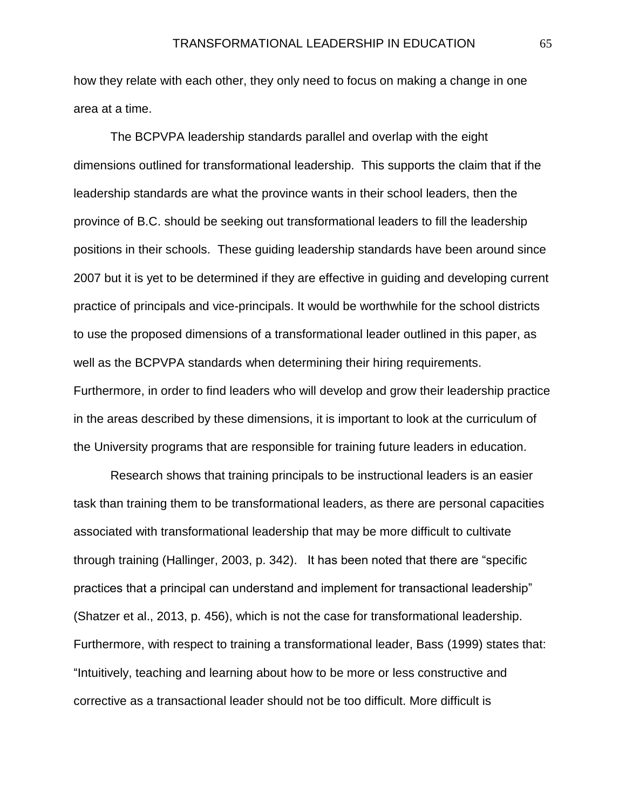how they relate with each other, they only need to focus on making a change in one area at a time.

The BCPVPA leadership standards parallel and overlap with the eight dimensions outlined for transformational leadership. This supports the claim that if the leadership standards are what the province wants in their school leaders, then the province of B.C. should be seeking out transformational leaders to fill the leadership positions in their schools. These guiding leadership standards have been around since 2007 but it is yet to be determined if they are effective in guiding and developing current practice of principals and vice-principals. It would be worthwhile for the school districts to use the proposed dimensions of a transformational leader outlined in this paper, as well as the BCPVPA standards when determining their hiring requirements. Furthermore, in order to find leaders who will develop and grow their leadership practice in the areas described by these dimensions, it is important to look at the curriculum of the University programs that are responsible for training future leaders in education.

Research shows that training principals to be instructional leaders is an easier task than training them to be transformational leaders, as there are personal capacities associated with transformational leadership that may be more difficult to cultivate through training (Hallinger, 2003, p. 342). It has been noted that there are "specific practices that a principal can understand and implement for transactional leadership" (Shatzer et al., 2013, p. 456), which is not the case for transformational leadership. Furthermore, with respect to training a transformational leader, Bass (1999) states that: "Intuitively, teaching and learning about how to be more or less constructive and corrective as a transactional leader should not be too difficult. More difficult is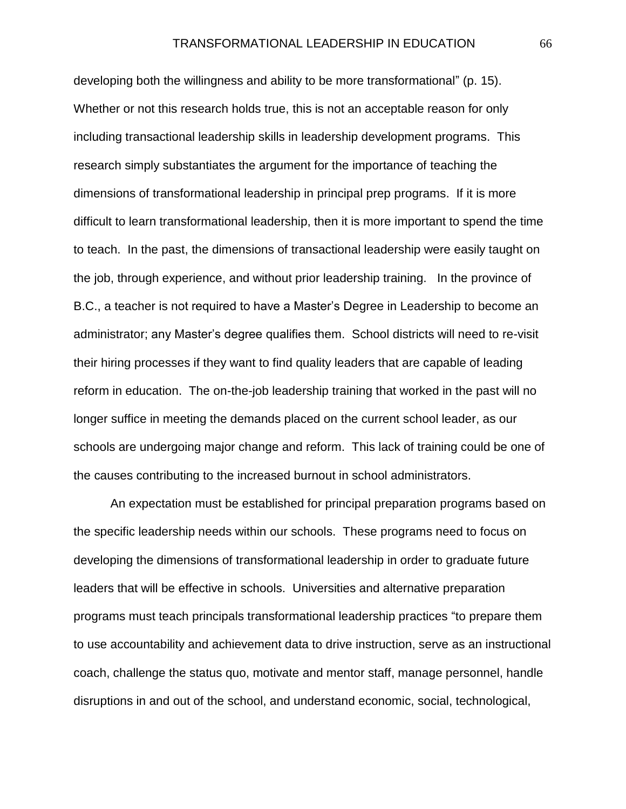developing both the willingness and ability to be more transformational" (p. 15). Whether or not this research holds true, this is not an acceptable reason for only including transactional leadership skills in leadership development programs. This research simply substantiates the argument for the importance of teaching the dimensions of transformational leadership in principal prep programs. If it is more difficult to learn transformational leadership, then it is more important to spend the time to teach. In the past, the dimensions of transactional leadership were easily taught on the job, through experience, and without prior leadership training. In the province of B.C., a teacher is not required to have a Master's Degree in Leadership to become an administrator; any Master's degree qualifies them. School districts will need to re-visit their hiring processes if they want to find quality leaders that are capable of leading reform in education. The on-the-job leadership training that worked in the past will no longer suffice in meeting the demands placed on the current school leader, as our schools are undergoing major change and reform. This lack of training could be one of the causes contributing to the increased burnout in school administrators.

An expectation must be established for principal preparation programs based on the specific leadership needs within our schools. These programs need to focus on developing the dimensions of transformational leadership in order to graduate future leaders that will be effective in schools. Universities and alternative preparation programs must teach principals transformational leadership practices "to prepare them to use accountability and achievement data to drive instruction, serve as an instructional coach, challenge the status quo, motivate and mentor staff, manage personnel, handle disruptions in and out of the school, and understand economic, social, technological,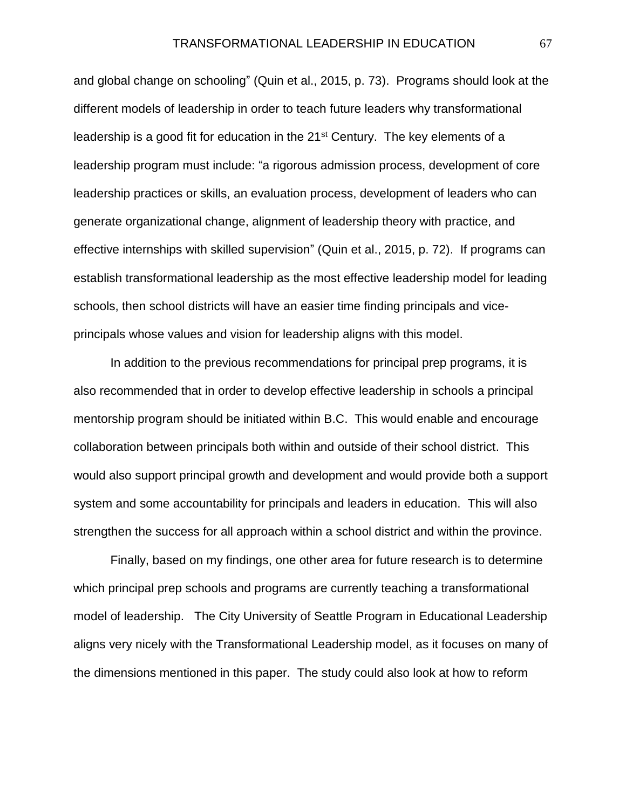and global change on schooling" (Quin et al., 2015, p. 73). Programs should look at the different models of leadership in order to teach future leaders why transformational leadership is a good fit for education in the 21<sup>st</sup> Century. The key elements of a leadership program must include: "a rigorous admission process, development of core leadership practices or skills, an evaluation process, development of leaders who can generate organizational change, alignment of leadership theory with practice, and effective internships with skilled supervision" (Quin et al., 2015, p. 72). If programs can establish transformational leadership as the most effective leadership model for leading schools, then school districts will have an easier time finding principals and viceprincipals whose values and vision for leadership aligns with this model.

In addition to the previous recommendations for principal prep programs, it is also recommended that in order to develop effective leadership in schools a principal mentorship program should be initiated within B.C. This would enable and encourage collaboration between principals both within and outside of their school district. This would also support principal growth and development and would provide both a support system and some accountability for principals and leaders in education. This will also strengthen the success for all approach within a school district and within the province.

Finally, based on my findings, one other area for future research is to determine which principal prep schools and programs are currently teaching a transformational model of leadership. The City University of Seattle Program in Educational Leadership aligns very nicely with the Transformational Leadership model, as it focuses on many of the dimensions mentioned in this paper. The study could also look at how to reform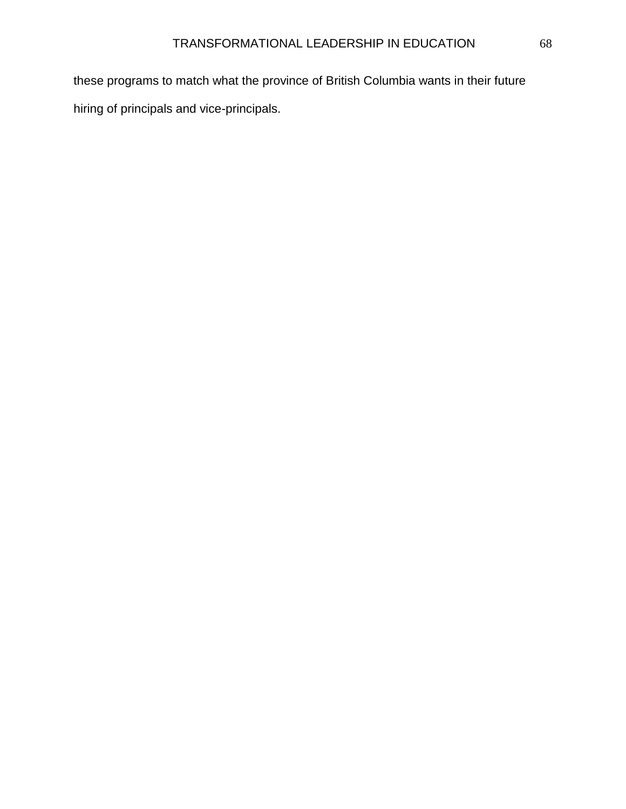these programs to match what the province of British Columbia wants in their future hiring of principals and vice-principals.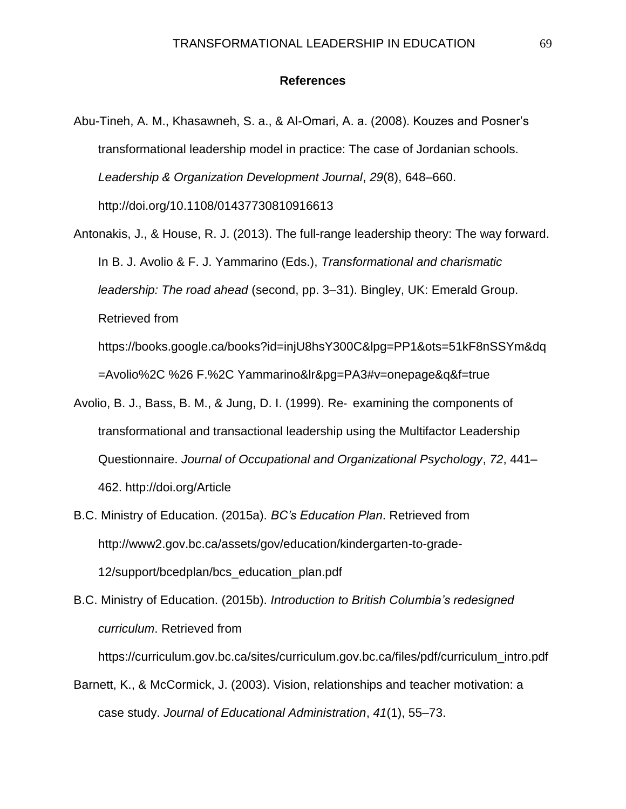## **References**

- Abu-Tineh, A. M., Khasawneh, S. a., & Al-Omari, A. a. (2008). Kouzes and Posner's transformational leadership model in practice: The case of Jordanian schools. *Leadership & Organization Development Journal*, *29*(8), 648–660. http://doi.org/10.1108/01437730810916613
- Antonakis, J., & House, R. J. (2013). The full-range leadership theory: The way forward. In B. J. Avolio & F. J. Yammarino (Eds.), *Transformational and charismatic leadership: The road ahead* (second, pp. 3–31). Bingley, UK: Emerald Group. Retrieved from https://books.google.ca/books?id=injU8hsY300C&lpg=PP1&ots=51kF8nSSYm&dq

=Avolio%2C %26 F.%2C Yammarino&lr&pg=PA3#v=onepage&q&f=true

- Avolio, B. J., Bass, B. M., & Jung, D. I. (1999). Re‐ examining the components of transformational and transactional leadership using the Multifactor Leadership Questionnaire. *Journal of Occupational and Organizational Psychology*, *72*, 441– 462. http://doi.org/Article
- B.C. Ministry of Education. (2015a). *BC's Education Plan*. Retrieved from http://www2.gov.bc.ca/assets/gov/education/kindergarten-to-grade-12/support/bcedplan/bcs\_education\_plan.pdf
- B.C. Ministry of Education. (2015b). *Introduction to British Columbia's redesigned curriculum*. Retrieved from

https://curriculum.gov.bc.ca/sites/curriculum.gov.bc.ca/files/pdf/curriculum\_intro.pdf

Barnett, K., & McCormick, J. (2003). Vision, relationships and teacher motivation: a case study. *Journal of Educational Administration*, *41*(1), 55–73.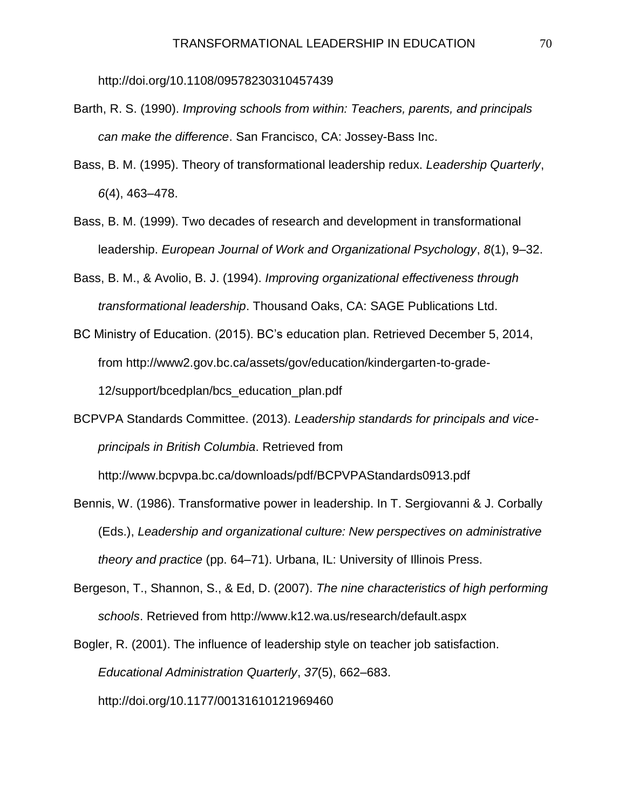http://doi.org/10.1108/09578230310457439

- Barth, R. S. (1990). *Improving schools from within: Teachers, parents, and principals can make the difference*. San Francisco, CA: Jossey-Bass Inc.
- Bass, B. M. (1995). Theory of transformational leadership redux. *Leadership Quarterly*, *6*(4), 463–478.
- Bass, B. M. (1999). Two decades of research and development in transformational leadership. *European Journal of Work and Organizational Psychology*, *8*(1), 9–32.
- Bass, B. M., & Avolio, B. J. (1994). *Improving organizational effectiveness through transformational leadership*. Thousand Oaks, CA: SAGE Publications Ltd.
- BC Ministry of Education. (2015). BC's education plan. Retrieved December 5, 2014, from http://www2.gov.bc.ca/assets/gov/education/kindergarten-to-grade-12/support/bcedplan/bcs\_education\_plan.pdf
- BCPVPA Standards Committee. (2013). *Leadership standards for principals and viceprincipals in British Columbia*. Retrieved from

http://www.bcpvpa.bc.ca/downloads/pdf/BCPVPAStandards0913.pdf

- Bennis, W. (1986). Transformative power in leadership. In T. Sergiovanni & J. Corbally (Eds.), *Leadership and organizational culture: New perspectives on administrative theory and practice* (pp. 64–71). Urbana, IL: University of Illinois Press.
- Bergeson, T., Shannon, S., & Ed, D. (2007). *The nine characteristics of high performing schools*. Retrieved from http://www.k12.wa.us/research/default.aspx
- Bogler, R. (2001). The influence of leadership style on teacher job satisfaction. *Educational Administration Quarterly*, *37*(5), 662–683. http://doi.org/10.1177/00131610121969460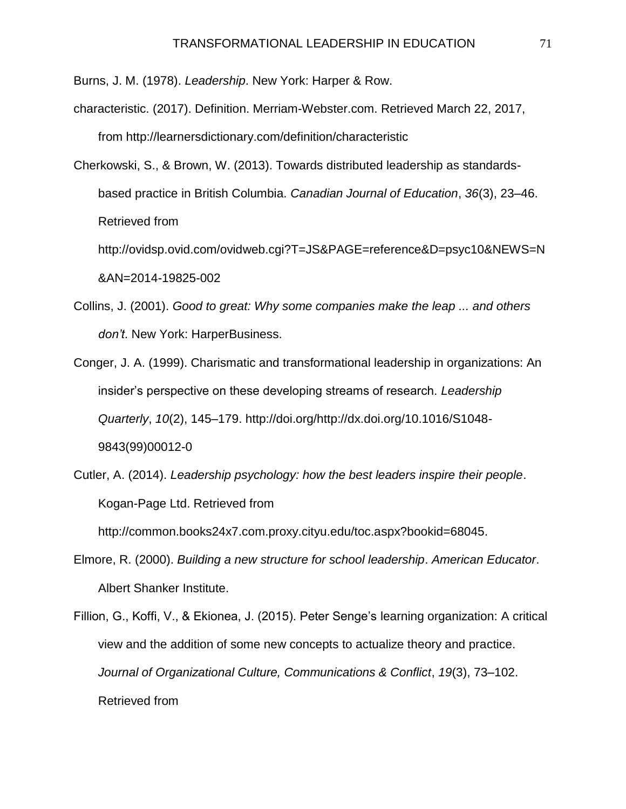Burns, J. M. (1978). *Leadership*. New York: Harper & Row.

- characteristic. (2017). Definition. Merriam-Webster.com. Retrieved March 22, 2017, from http://learnersdictionary.com/definition/characteristic
- Cherkowski, S., & Brown, W. (2013). Towards distributed leadership as standardsbased practice in British Columbia. *Canadian Journal of Education*, *36*(3), 23–46. Retrieved from

http://ovidsp.ovid.com/ovidweb.cgi?T=JS&PAGE=reference&D=psyc10&NEWS=N &AN=2014-19825-002

- Collins, J. (2001). *Good to great: Why some companies make the leap ... and others don't*. New York: HarperBusiness.
- Conger, J. A. (1999). Charismatic and transformational leadership in organizations: An insider's perspective on these developing streams of research. *Leadership Quarterly*, *10*(2), 145–179. http://doi.org/http://dx.doi.org/10.1016/S1048- 9843(99)00012-0
- Cutler, A. (2014). *Leadership psychology: how the best leaders inspire their people*. Kogan-Page Ltd. Retrieved from

http://common.books24x7.com.proxy.cityu.edu/toc.aspx?bookid=68045.

- Elmore, R. (2000). *Building a new structure for school leadership*. *American Educator*. Albert Shanker Institute.
- Fillion, G., Koffi, V., & Ekionea, J. (2015). Peter Senge's learning organization: A critical view and the addition of some new concepts to actualize theory and practice. *Journal of Organizational Culture, Communications & Conflict*, *19*(3), 73–102. Retrieved from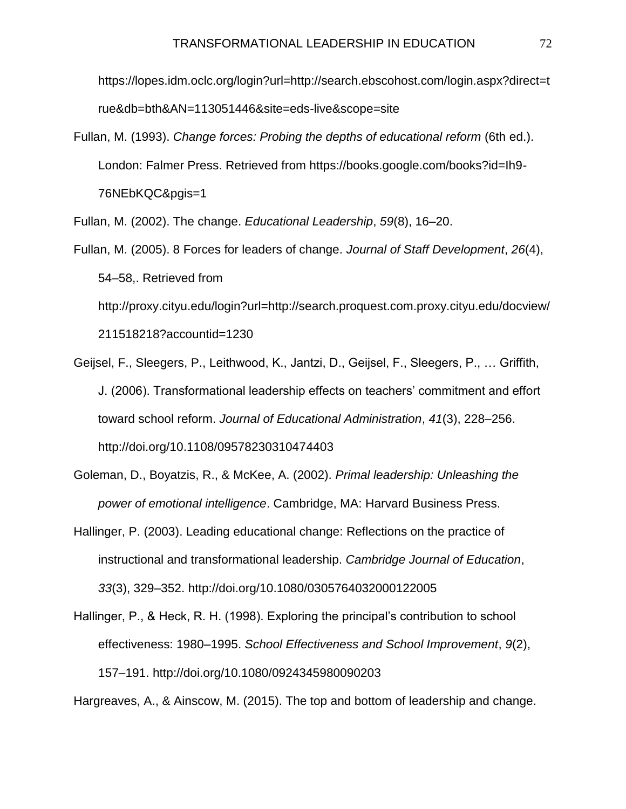https://lopes.idm.oclc.org/login?url=http://search.ebscohost.com/login.aspx?direct=t rue&db=bth&AN=113051446&site=eds-live&scope=site

Fullan, M. (1993). *Change forces: Probing the depths of educational reform* (6th ed.). London: Falmer Press. Retrieved from https://books.google.com/books?id=Ih9- 76NEbKQC&pgis=1

Fullan, M. (2002). The change. *Educational Leadership*, *59*(8), 16–20.

Fullan, M. (2005). 8 Forces for leaders of change. *Journal of Staff Development*, *26*(4), 54–58,. Retrieved from http://proxy.cityu.edu/login?url=http://search.proquest.com.proxy.cityu.edu/docview/

211518218?accountid=1230

- Geijsel, F., Sleegers, P., Leithwood, K., Jantzi, D., Geijsel, F., Sleegers, P., … Griffith, J. (2006). Transformational leadership effects on teachers' commitment and effort toward school reform. *Journal of Educational Administration*, *41*(3), 228–256. http://doi.org/10.1108/09578230310474403
- Goleman, D., Boyatzis, R., & McKee, A. (2002). *Primal leadership: Unleashing the power of emotional intelligence*. Cambridge, MA: Harvard Business Press.
- Hallinger, P. (2003). Leading educational change: Reflections on the practice of instructional and transformational leadership. *Cambridge Journal of Education*, *33*(3), 329–352. http://doi.org/10.1080/0305764032000122005
- Hallinger, P., & Heck, R. H. (1998). Exploring the principal's contribution to school effectiveness: 1980–1995. *School Effectiveness and School Improvement*, *9*(2), 157–191. http://doi.org/10.1080/0924345980090203

Hargreaves, A., & Ainscow, M. (2015). The top and bottom of leadership and change.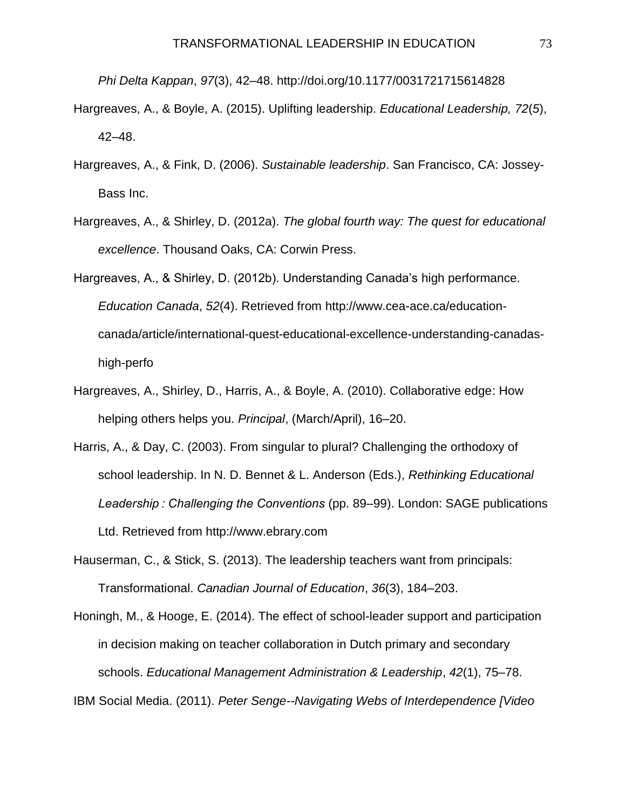*Phi Delta Kappan*, *97*(3), 42–48. http://doi.org/10.1177/0031721715614828

- Hargreaves, A., & Boyle, A. (2015). Uplifting leadership. *Educational Leadership, 72*(*5*), 42–48.
- Hargreaves, A., & Fink, D. (2006). *Sustainable leadership*. San Francisco, CA: Jossey-Bass Inc.
- Hargreaves, A., & Shirley, D. (2012a). *The global fourth way: The quest for educational excellence*. Thousand Oaks, CA: Corwin Press.
- Hargreaves, A., & Shirley, D. (2012b). Understanding Canada's high performance. *Education Canada*, *52*(4). Retrieved from http://www.cea-ace.ca/educationcanada/article/international-quest-educational-excellence-understanding-canadashigh-perfo
- Hargreaves, A., Shirley, D., Harris, A., & Boyle, A. (2010). Collaborative edge: How helping others helps you. *Principal*, (March/April), 16–20.
- Harris, A., & Day, C. (2003). From singular to plural? Challenging the orthodoxy of school leadership. In N. D. Bennet & L. Anderson (Eds.), *Rethinking Educational Leadership : Challenging the Conventions* (pp. 89–99). London: SAGE publications Ltd. Retrieved from http://www.ebrary.com
- Hauserman, C., & Stick, S. (2013). The leadership teachers want from principals: Transformational. *Canadian Journal of Education*, *36*(3), 184–203.
- Honingh, M., & Hooge, E. (2014). The effect of school-leader support and participation in decision making on teacher collaboration in Dutch primary and secondary schools. *Educational Management Administration & Leadership*, *42*(1), 75–78. IBM Social Media. (2011). *Peter Senge--Navigating Webs of Interdependence [Video*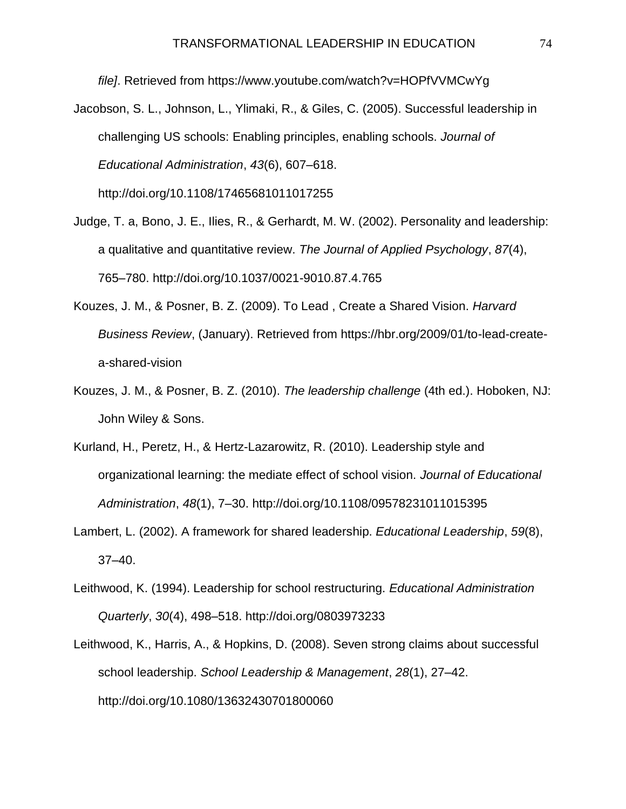*file]*. Retrieved from https://www.youtube.com/watch?v=HOPfVVMCwYg

- Jacobson, S. L., Johnson, L., Ylimaki, R., & Giles, C. (2005). Successful leadership in challenging US schools: Enabling principles, enabling schools. *Journal of Educational Administration*, *43*(6), 607–618. http://doi.org/10.1108/17465681011017255
- Judge, T. a, Bono, J. E., Ilies, R., & Gerhardt, M. W. (2002). Personality and leadership: a qualitative and quantitative review. *The Journal of Applied Psychology*, *87*(4), 765–780. http://doi.org/10.1037/0021-9010.87.4.765
- Kouzes, J. M., & Posner, B. Z. (2009). To Lead , Create a Shared Vision. *Harvard Business Review*, (January). Retrieved from https://hbr.org/2009/01/to-lead-createa-shared-vision
- Kouzes, J. M., & Posner, B. Z. (2010). *The leadership challenge* (4th ed.). Hoboken, NJ: John Wiley & Sons.
- Kurland, H., Peretz, H., & Hertz-Lazarowitz, R. (2010). Leadership style and organizational learning: the mediate effect of school vision. *Journal of Educational Administration*, *48*(1), 7–30. http://doi.org/10.1108/09578231011015395
- Lambert, L. (2002). A framework for shared leadership. *Educational Leadership*, *59*(8), 37–40.
- Leithwood, K. (1994). Leadership for school restructuring. *Educational Administration Quarterly*, *30*(4), 498–518. http://doi.org/0803973233
- Leithwood, K., Harris, A., & Hopkins, D. (2008). Seven strong claims about successful school leadership. *School Leadership & Management*, *28*(1), 27–42. http://doi.org/10.1080/13632430701800060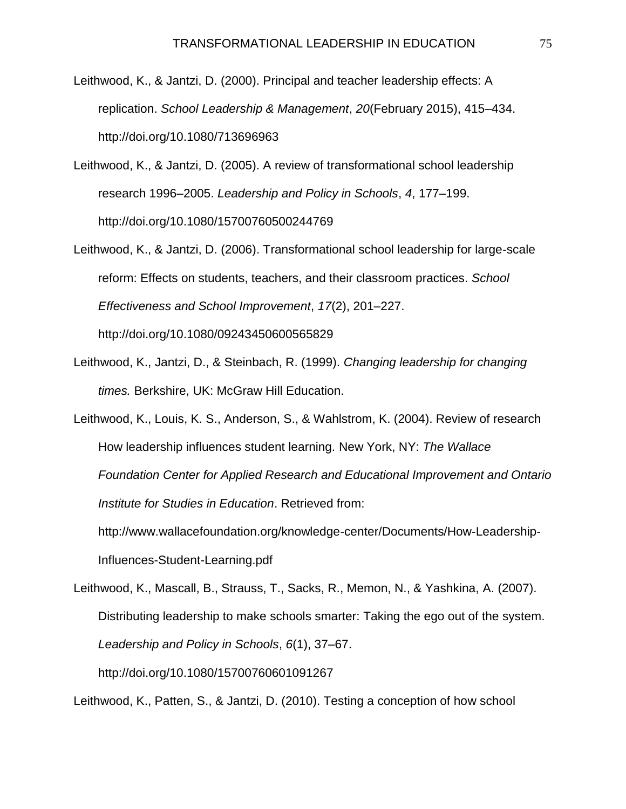- Leithwood, K., & Jantzi, D. (2000). Principal and teacher leadership effects: A replication. *School Leadership & Management*, *20*(February 2015), 415–434. http://doi.org/10.1080/713696963
- Leithwood, K., & Jantzi, D. (2005). A review of transformational school leadership research 1996–2005. *Leadership and Policy in Schools*, *4*, 177–199. http://doi.org/10.1080/15700760500244769
- Leithwood, K., & Jantzi, D. (2006). Transformational school leadership for large-scale reform: Effects on students, teachers, and their classroom practices. *School Effectiveness and School Improvement*, *17*(2), 201–227. http://doi.org/10.1080/09243450600565829
- Leithwood, K., Jantzi, D., & Steinbach, R. (1999). *Changing leadership for changing times.* Berkshire, UK: McGraw Hill Education.
- Leithwood, K., Louis, K. S., Anderson, S., & Wahlstrom, K. (2004). Review of research How leadership influences student learning. New York, NY: *The Wallace Foundation Center for Applied Research and Educational Improvement and Ontario Institute for Studies in Education*. Retrieved from: http://www.wallacefoundation.org/knowledge-center/Documents/How-Leadership-

Influences-Student-Learning.pdf

Leithwood, K., Mascall, B., Strauss, T., Sacks, R., Memon, N., & Yashkina, A. (2007). Distributing leadership to make schools smarter: Taking the ego out of the system. *Leadership and Policy in Schools*, *6*(1), 37–67. http://doi.org/10.1080/15700760601091267

Leithwood, K., Patten, S., & Jantzi, D. (2010). Testing a conception of how school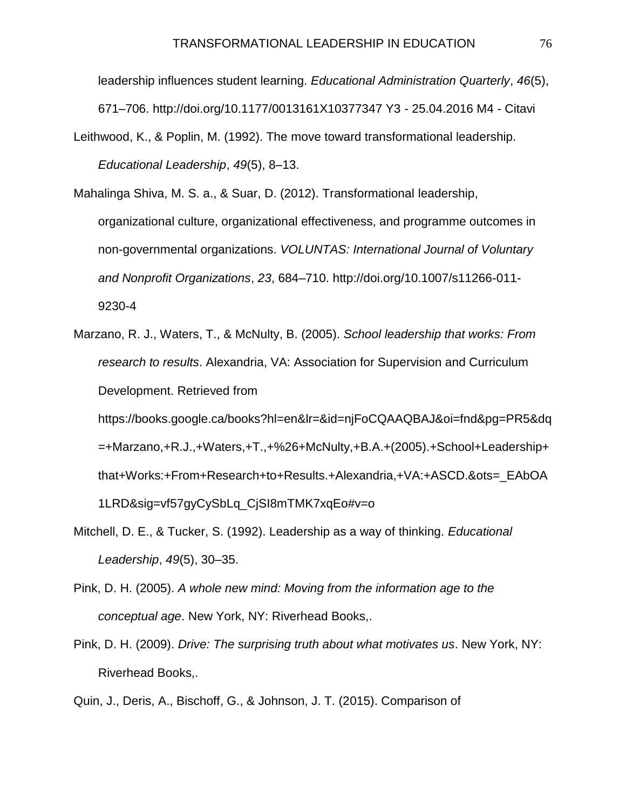leadership influences student learning. *Educational Administration Quarterly*, *46*(5), 671–706. http://doi.org/10.1177/0013161X10377347 Y3 - 25.04.2016 M4 - Citavi

Leithwood, K., & Poplin, M. (1992). The move toward transformational leadership. *Educational Leadership*, *49*(5), 8–13.

Mahalinga Shiva, M. S. a., & Suar, D. (2012). Transformational leadership, organizational culture, organizational effectiveness, and programme outcomes in non-governmental organizations. *VOLUNTAS: International Journal of Voluntary and Nonprofit Organizations*, *23*, 684–710. http://doi.org/10.1007/s11266-011- 9230-4

- Marzano, R. J., Waters, T., & McNulty, B. (2005). *School leadership that works: From research to results*. Alexandria, VA: Association for Supervision and Curriculum Development. Retrieved from https://books.google.ca/books?hl=en&lr=&id=njFoCQAAQBAJ&oi=fnd&pg=PR5&dq =+Marzano,+R.J.,+Waters,+T.,+%26+McNulty,+B.A.+(2005).+School+Leadership+ that+Works:+From+Research+to+Results.+Alexandria,+VA:+ASCD.&ots=\_EAbOA 1LRD&sig=vf57gyCySbLq\_CjSI8mTMK7xqEo#v=o
- Mitchell, D. E., & Tucker, S. (1992). Leadership as a way of thinking. *Educational Leadership*, *49*(5), 30–35.
- Pink, D. H. (2005). *A whole new mind: Moving from the information age to the conceptual age*. New York, NY: Riverhead Books,.
- Pink, D. H. (2009). *Drive: The surprising truth about what motivates us*. New York, NY: Riverhead Books,.

Quin, J., Deris, A., Bischoff, G., & Johnson, J. T. (2015). Comparison of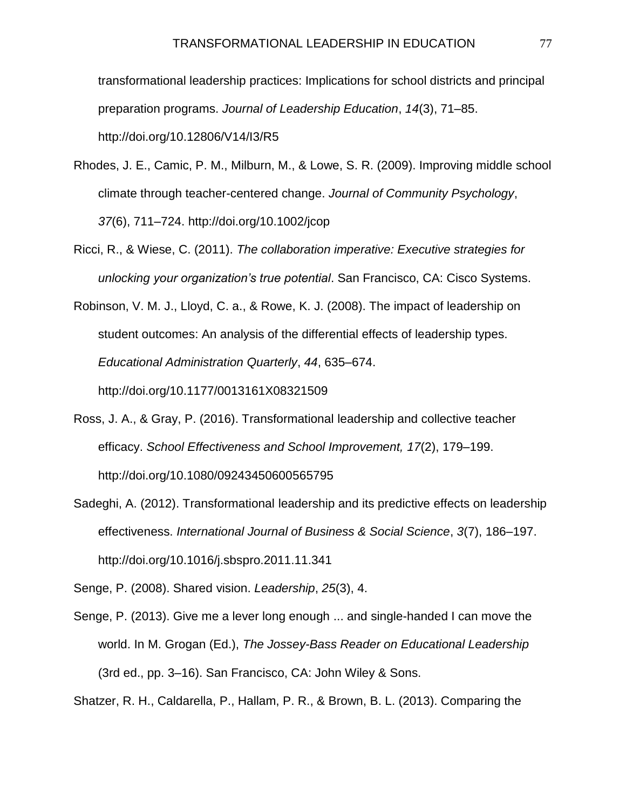transformational leadership practices: Implications for school districts and principal preparation programs. *Journal of Leadership Education*, *14*(3), 71–85.

http://doi.org/10.12806/V14/I3/R5

- Rhodes, J. E., Camic, P. M., Milburn, M., & Lowe, S. R. (2009). Improving middle school climate through teacher-centered change. *Journal of Community Psychology*, *37*(6), 711–724. http://doi.org/10.1002/jcop
- Ricci, R., & Wiese, C. (2011). *The collaboration imperative: Executive strategies for unlocking your organization's true potential*. San Francisco, CA: Cisco Systems.
- Robinson, V. M. J., Lloyd, C. a., & Rowe, K. J. (2008). The impact of leadership on student outcomes: An analysis of the differential effects of leadership types. *Educational Administration Quarterly*, *44*, 635–674. http://doi.org/10.1177/0013161X08321509
- Ross, J. A., & Gray, P. (2016). Transformational leadership and collective teacher efficacy. *School Effectiveness and School Improvement, 17*(2), 179–199. http://doi.org/10.1080/09243450600565795
- Sadeghi, A. (2012). Transformational leadership and its predictive effects on leadership effectiveness. *International Journal of Business & Social Science*, *3*(7), 186–197. http://doi.org/10.1016/j.sbspro.2011.11.341

Senge, P. (2008). Shared vision. *Leadership*, *25*(3), 4.

Senge, P. (2013). Give me a lever long enough ... and single-handed I can move the world. In M. Grogan (Ed.), *The Jossey-Bass Reader on Educational Leadership* (3rd ed., pp. 3–16). San Francisco, CA: John Wiley & Sons.

Shatzer, R. H., Caldarella, P., Hallam, P. R., & Brown, B. L. (2013). Comparing the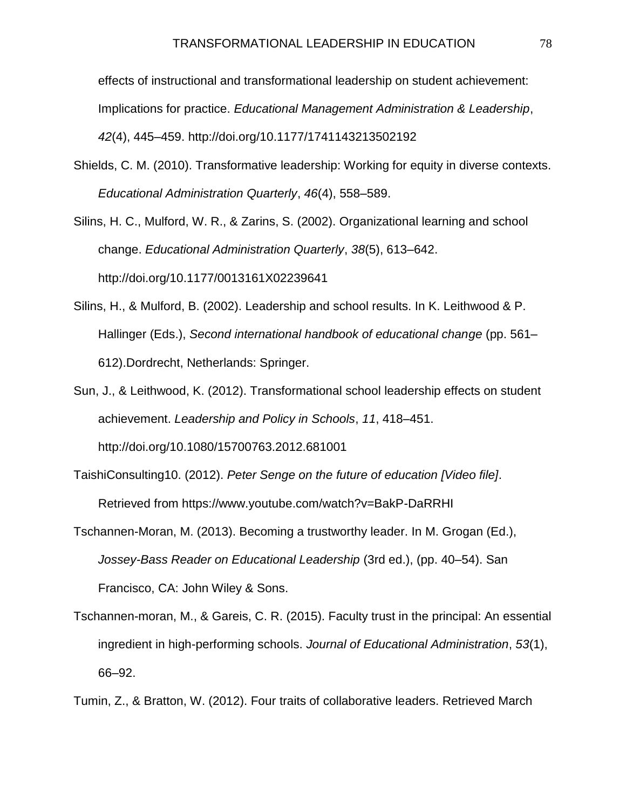effects of instructional and transformational leadership on student achievement: Implications for practice. *Educational Management Administration & Leadership*, *42*(4), 445–459. http://doi.org/10.1177/1741143213502192

Shields, C. M. (2010). Transformative leadership: Working for equity in diverse contexts. *Educational Administration Quarterly*, *46*(4), 558–589.

Silins, H. C., Mulford, W. R., & Zarins, S. (2002). Organizational learning and school change. *Educational Administration Quarterly*, *38*(5), 613–642. http://doi.org/10.1177/0013161X02239641

- Silins, H., & Mulford, B. (2002). Leadership and school results. In K. Leithwood & P. Hallinger (Eds.), *Second international handbook of educational change* (pp. 561– 612).Dordrecht, Netherlands: Springer.
- Sun, J., & Leithwood, K. (2012). Transformational school leadership effects on student achievement. *Leadership and Policy in Schools*, *11*, 418–451. http://doi.org/10.1080/15700763.2012.681001
- TaishiConsulting10. (2012). *Peter Senge on the future of education [Video file]*. Retrieved from https://www.youtube.com/watch?v=BakP-DaRRHI
- Tschannen-Moran, M. (2013). Becoming a trustworthy leader. In M. Grogan (Ed.), *Jossey-Bass Reader on Educational Leadership* (3rd ed.), (pp. 40–54). San Francisco, CA: John Wiley & Sons.
- Tschannen-moran, M., & Gareis, C. R. (2015). Faculty trust in the principal: An essential ingredient in high-performing schools. *Journal of Educational Administration*, *53*(1), 66–92.

Tumin, Z., & Bratton, W. (2012). Four traits of collaborative leaders. Retrieved March